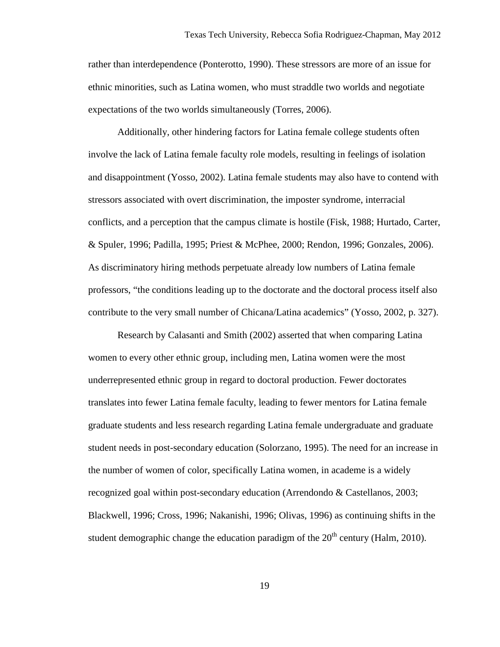rather than interdependence (Ponterotto, 1990). These stressors are more of an issue for ethnic minorities, such as Latina women, who must straddle two worlds and negotiate expectations of the two worlds simultaneously (Torres, 2006).

Additionally, other hindering factors for Latina female college students often involve the lack of Latina female faculty role models, resulting in feelings of isolation and disappointment (Yosso, 2002). Latina female students may also have to contend with stressors associated with overt discrimination, the imposter syndrome, interracial conflicts, and a perception that the campus climate is hostile (Fisk, 1988; Hurtado, Carter, & Spuler, 1996; Padilla, 1995; Priest & McPhee, 2000; Rendon, 1996; Gonzales, 2006). As discriminatory hiring methods perpetuate already low numbers of Latina female professors, "the conditions leading up to the doctorate and the doctoral process itself also contribute to the very small number of Chicana/Latina academics" (Yosso, 2002, p. 327).

Research by Calasanti and Smith (2002) asserted that when comparing Latina women to every other ethnic group, including men, Latina women were the most underrepresented ethnic group in regard to doctoral production. Fewer doctorates translates into fewer Latina female faculty, leading to fewer mentors for Latina female graduate students and less research regarding Latina female undergraduate and graduate student needs in post-secondary education (Solorzano, 1995). The need for an increase in the number of women of color, specifically Latina women, in academe is a widely recognized goal within post-secondary education (Arrendondo & Castellanos, 2003; Blackwell, 1996; Cross, 1996; Nakanishi, 1996; Olivas, 1996) as continuing shifts in the student demographic change the education paradigm of the  $20<sup>th</sup>$  century (Halm, 2010).

19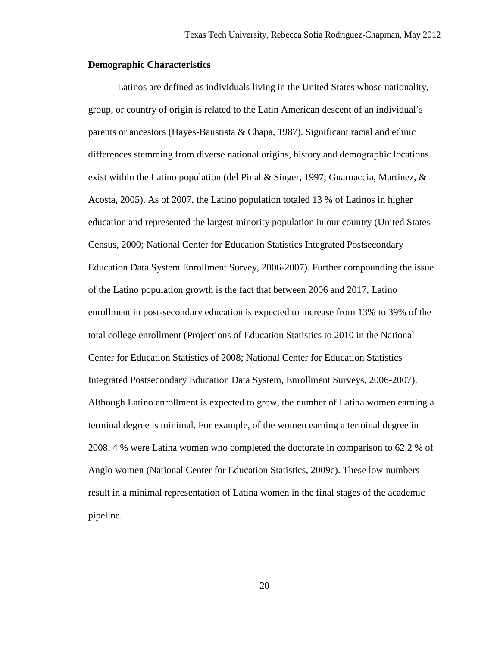### **Demographic Characteristics**

Latinos are defined as individuals living in the United States whose nationality, group, or country of origin is related to the Latin American descent of an individual's parents or ancestors (Hayes-Baustista & Chapa, 1987). Significant racial and ethnic differences stemming from diverse national origins, history and demographic locations exist within the Latino population (del Pinal & Singer, 1997; Guarnaccia, Martinez, & Acosta, 2005). As of 2007, the Latino population totaled 13 % of Latinos in higher education and represented the largest minority population in our country (United States Census, 2000; National Center for Education Statistics Integrated Postsecondary Education Data System Enrollment Survey, 2006-2007). Further compounding the issue of the Latino population growth is the fact that between 2006 and 2017, Latino enrollment in post-secondary education is expected to increase from 13% to 39% of the total college enrollment (Projections of Education Statistics to 2010 in the National Center for Education Statistics of 2008; National Center for Education Statistics Integrated Postsecondary Education Data System, Enrollment Surveys, 2006-2007). Although Latino enrollment is expected to grow, the number of Latina women earning a terminal degree is minimal. For example, of the women earning a terminal degree in 2008, 4 % were Latina women who completed the doctorate in comparison to 62.2 % of Anglo women (National Center for Education Statistics, 2009c). These low numbers result in a minimal representation of Latina women in the final stages of the academic pipeline.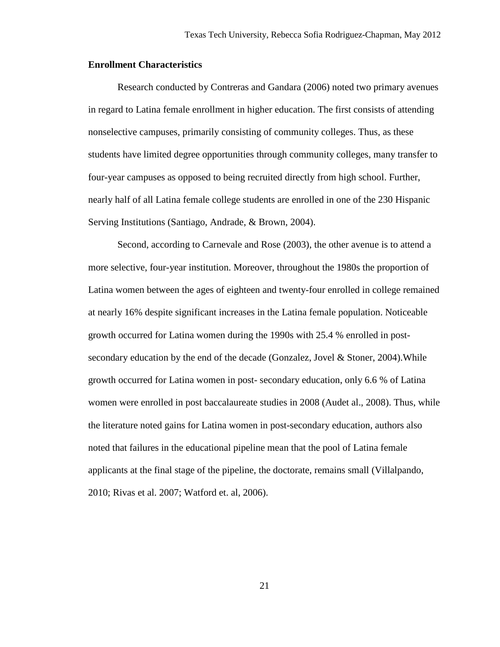### **Enrollment Characteristics**

Research conducted by Contreras and Gandara (2006) noted two primary avenues in regard to Latina female enrollment in higher education. The first consists of attending nonselective campuses, primarily consisting of community colleges. Thus, as these students have limited degree opportunities through community colleges, many transfer to four-year campuses as opposed to being recruited directly from high school. Further, nearly half of all Latina female college students are enrolled in one of the 230 Hispanic Serving Institutions (Santiago, Andrade, & Brown, 2004).

Second, according to Carnevale and Rose (2003), the other avenue is to attend a more selective, four-year institution. Moreover, throughout the 1980s the proportion of Latina women between the ages of eighteen and twenty-four enrolled in college remained at nearly 16% despite significant increases in the Latina female population. Noticeable growth occurred for Latina women during the 1990s with 25.4 % enrolled in postsecondary education by the end of the decade (Gonzalez, Jovel & Stoner, 2004).While growth occurred for Latina women in post- secondary education, only 6.6 % of Latina women were enrolled in post baccalaureate studies in 2008 (Audet al., 2008). Thus, while the literature noted gains for Latina women in post-secondary education, authors also noted that failures in the educational pipeline mean that the pool of Latina female applicants at the final stage of the pipeline, the doctorate, remains small (Villalpando, 2010; Rivas et al. 2007; Watford et. al, 2006).

21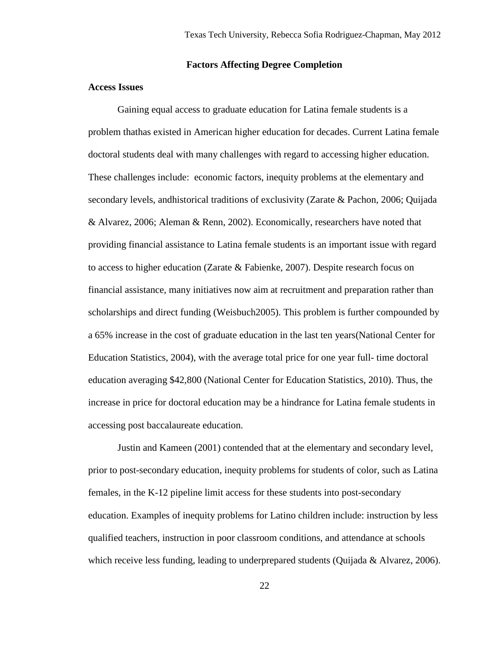## **Factors Affecting Degree Completion**

# **Access Issues**

Gaining equal access to graduate education for Latina female students is a problem thathas existed in American higher education for decades. Current Latina female doctoral students deal with many challenges with regard to accessing higher education. These challenges include: economic factors, inequity problems at the elementary and secondary levels, andhistorical traditions of exclusivity (Zarate & Pachon, 2006; Quijada & Alvarez, 2006; Aleman & Renn, 2002). Economically, researchers have noted that providing financial assistance to Latina female students is an important issue with regard to access to higher education (Zarate & Fabienke, 2007). Despite research focus on financial assistance, many initiatives now aim at recruitment and preparation rather than scholarships and direct funding (Weisbuch2005). This problem is further compounded by a 65% increase in the cost of graduate education in the last ten years(National Center for Education Statistics, 2004), with the average total price for one year full- time doctoral education averaging \$42,800 (National Center for Education Statistics, 2010). Thus, the increase in price for doctoral education may be a hindrance for Latina female students in accessing post baccalaureate education.

Justin and Kameen (2001) contended that at the elementary and secondary level, prior to post-secondary education, inequity problems for students of color, such as Latina females, in the K-12 pipeline limit access for these students into post-secondary education. Examples of inequity problems for Latino children include: instruction by less qualified teachers, instruction in poor classroom conditions, and attendance at schools which receive less funding, leading to underprepared students (Quijada  $\&$  Alvarez, 2006).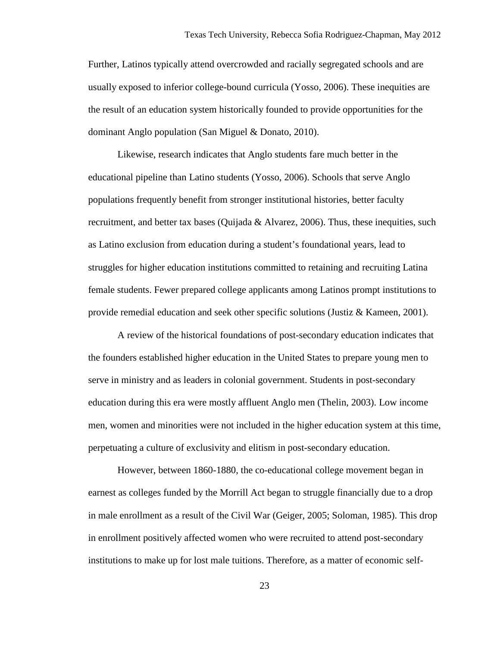Further, Latinos typically attend overcrowded and racially segregated schools and are usually exposed to inferior college-bound curricula (Yosso, 2006). These inequities are the result of an education system historically founded to provide opportunities for the dominant Anglo population (San Miguel & Donato, 2010).

Likewise, research indicates that Anglo students fare much better in the educational pipeline than Latino students (Yosso, 2006). Schools that serve Anglo populations frequently benefit from stronger institutional histories, better faculty recruitment, and better tax bases (Quijada  $\&$  Alvarez, 2006). Thus, these inequities, such as Latino exclusion from education during a student's foundational years, lead to struggles for higher education institutions committed to retaining and recruiting Latina female students. Fewer prepared college applicants among Latinos prompt institutions to provide remedial education and seek other specific solutions (Justiz  $\&$  Kameen, 2001).

A review of the historical foundations of post-secondary education indicates that the founders established higher education in the United States to prepare young men to serve in ministry and as leaders in colonial government. Students in post-secondary education during this era were mostly affluent Anglo men (Thelin, 2003). Low income men, women and minorities were not included in the higher education system at this time, perpetuating a culture of exclusivity and elitism in post-secondary education.

However, between 1860-1880, the co-educational college movement began in earnest as colleges funded by the Morrill Act began to struggle financially due to a drop in male enrollment as a result of the Civil War (Geiger, 2005; Soloman, 1985). This drop in enrollment positively affected women who were recruited to attend post-secondary institutions to make up for lost male tuitions. Therefore, as a matter of economic self-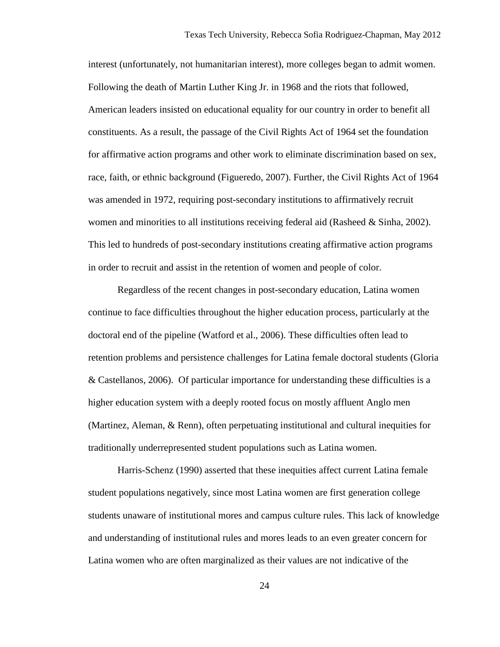interest (unfortunately, not humanitarian interest), more colleges began to admit women. Following the death of Martin Luther King Jr. in 1968 and the riots that followed, American leaders insisted on educational equality for our country in order to benefit all constituents. As a result, the passage of the Civil Rights Act of 1964 set the foundation for affirmative action programs and other work to eliminate discrimination based on sex, race, faith, or ethnic background (Figueredo, 2007). Further, the Civil Rights Act of 1964 was amended in 1972, requiring post-secondary institutions to affirmatively recruit women and minorities to all institutions receiving federal aid (Rasheed  $\&$  Sinha, 2002). This led to hundreds of post-secondary institutions creating affirmative action programs in order to recruit and assist in the retention of women and people of color.

Regardless of the recent changes in post-secondary education, Latina women continue to face difficulties throughout the higher education process, particularly at the doctoral end of the pipeline (Watford et al., 2006). These difficulties often lead to retention problems and persistence challenges for Latina female doctoral students (Gloria & Castellanos, 2006). Of particular importance for understanding these difficulties is a higher education system with a deeply rooted focus on mostly affluent Anglo men (Martinez, Aleman, & Renn), often perpetuating institutional and cultural inequities for traditionally underrepresented student populations such as Latina women.

Harris-Schenz (1990) asserted that these inequities affect current Latina female student populations negatively, since most Latina women are first generation college students unaware of institutional mores and campus culture rules. This lack of knowledge and understanding of institutional rules and mores leads to an even greater concern for Latina women who are often marginalized as their values are not indicative of the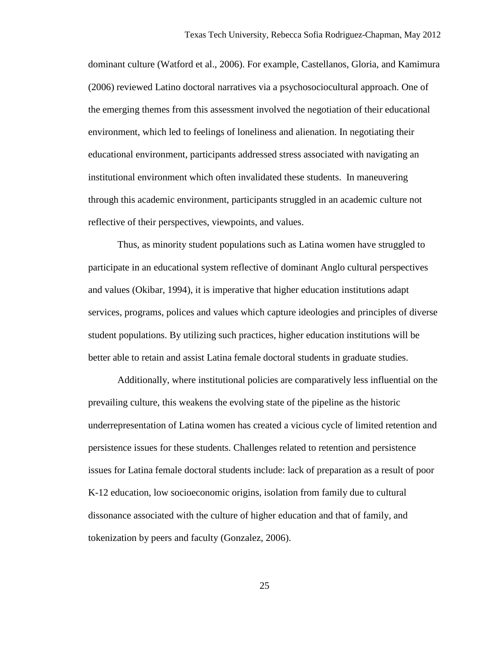dominant culture (Watford et al., 2006). For example, Castellanos, Gloria, and Kamimura (2006) reviewed Latino doctoral narratives via a psychosociocultural approach. One of the emerging themes from this assessment involved the negotiation of their educational environment, which led to feelings of loneliness and alienation. In negotiating their educational environment, participants addressed stress associated with navigating an institutional environment which often invalidated these students. In maneuvering through this academic environment, participants struggled in an academic culture not reflective of their perspectives, viewpoints, and values.

Thus, as minority student populations such as Latina women have struggled to participate in an educational system reflective of dominant Anglo cultural perspectives and values (Okibar, 1994), it is imperative that higher education institutions adapt services, programs, polices and values which capture ideologies and principles of diverse student populations. By utilizing such practices, higher education institutions will be better able to retain and assist Latina female doctoral students in graduate studies.

 Additionally, where institutional policies are comparatively less influential on the prevailing culture, this weakens the evolving state of the pipeline as the historic underrepresentation of Latina women has created a vicious cycle of limited retention and persistence issues for these students. Challenges related to retention and persistence issues for Latina female doctoral students include: lack of preparation as a result of poor K-12 education, low socioeconomic origins, isolation from family due to cultural dissonance associated with the culture of higher education and that of family, and tokenization by peers and faculty (Gonzalez, 2006).

25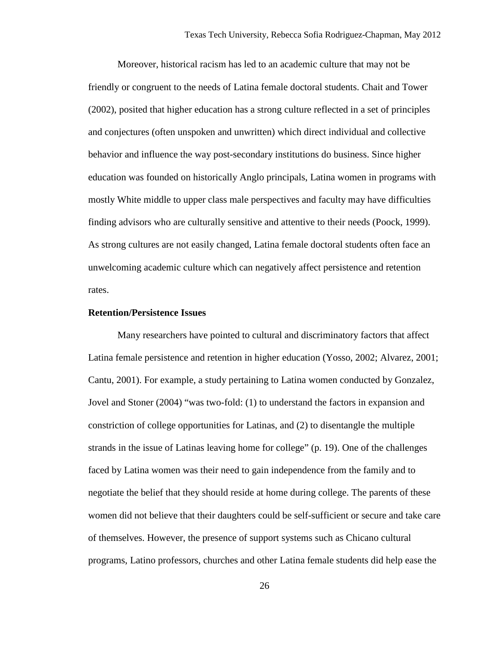Moreover, historical racism has led to an academic culture that may not be friendly or congruent to the needs of Latina female doctoral students. Chait and Tower (2002), posited that higher education has a strong culture reflected in a set of principles and conjectures (often unspoken and unwritten) which direct individual and collective behavior and influence the way post-secondary institutions do business. Since higher education was founded on historically Anglo principals, Latina women in programs with mostly White middle to upper class male perspectives and faculty may have difficulties finding advisors who are culturally sensitive and attentive to their needs (Poock, 1999). As strong cultures are not easily changed, Latina female doctoral students often face an unwelcoming academic culture which can negatively affect persistence and retention rates.

#### **Retention/Persistence Issues**

Many researchers have pointed to cultural and discriminatory factors that affect Latina female persistence and retention in higher education (Yosso, 2002; Alvarez, 2001; Cantu, 2001). For example, a study pertaining to Latina women conducted by Gonzalez, Jovel and Stoner (2004) "was two-fold: (1) to understand the factors in expansion and constriction of college opportunities for Latinas, and (2) to disentangle the multiple strands in the issue of Latinas leaving home for college" (p. 19). One of the challenges faced by Latina women was their need to gain independence from the family and to negotiate the belief that they should reside at home during college. The parents of these women did not believe that their daughters could be self-sufficient or secure and take care of themselves. However, the presence of support systems such as Chicano cultural programs, Latino professors, churches and other Latina female students did help ease the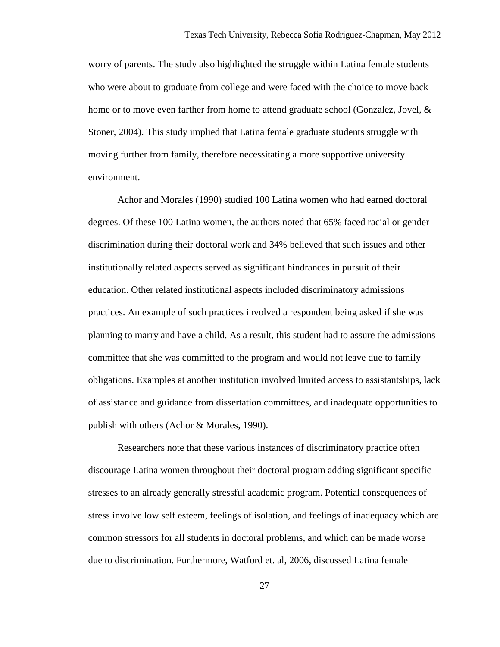worry of parents. The study also highlighted the struggle within Latina female students who were about to graduate from college and were faced with the choice to move back home or to move even farther from home to attend graduate school (Gonzalez, Jovel, & Stoner, 2004). This study implied that Latina female graduate students struggle with moving further from family, therefore necessitating a more supportive university environment.

Achor and Morales (1990) studied 100 Latina women who had earned doctoral degrees. Of these 100 Latina women, the authors noted that 65% faced racial or gender discrimination during their doctoral work and 34% believed that such issues and other institutionally related aspects served as significant hindrances in pursuit of their education. Other related institutional aspects included discriminatory admissions practices. An example of such practices involved a respondent being asked if she was planning to marry and have a child. As a result, this student had to assure the admissions committee that she was committed to the program and would not leave due to family obligations. Examples at another institution involved limited access to assistantships, lack of assistance and guidance from dissertation committees, and inadequate opportunities to publish with others (Achor & Morales, 1990).

Researchers note that these various instances of discriminatory practice often discourage Latina women throughout their doctoral program adding significant specific stresses to an already generally stressful academic program. Potential consequences of stress involve low self esteem, feelings of isolation, and feelings of inadequacy which are common stressors for all students in doctoral problems, and which can be made worse due to discrimination. Furthermore, Watford et. al, 2006, discussed Latina female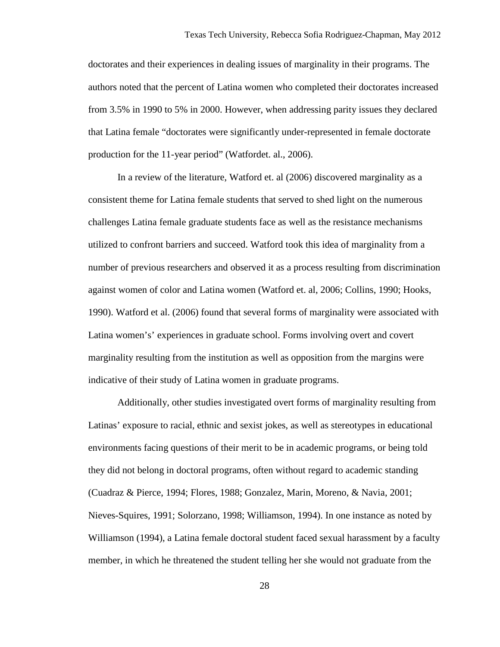doctorates and their experiences in dealing issues of marginality in their programs. The authors noted that the percent of Latina women who completed their doctorates increased from 3.5% in 1990 to 5% in 2000. However, when addressing parity issues they declared that Latina female "doctorates were significantly under-represented in female doctorate production for the 11-year period" (Watfordet. al., 2006).

In a review of the literature, Watford et. al (2006) discovered marginality as a consistent theme for Latina female students that served to shed light on the numerous challenges Latina female graduate students face as well as the resistance mechanisms utilized to confront barriers and succeed. Watford took this idea of marginality from a number of previous researchers and observed it as a process resulting from discrimination against women of color and Latina women (Watford et. al, 2006; Collins, 1990; Hooks, 1990). Watford et al. (2006) found that several forms of marginality were associated with Latina women's' experiences in graduate school. Forms involving overt and covert marginality resulting from the institution as well as opposition from the margins were indicative of their study of Latina women in graduate programs.

Additionally, other studies investigated overt forms of marginality resulting from Latinas' exposure to racial, ethnic and sexist jokes, as well as stereotypes in educational environments facing questions of their merit to be in academic programs, or being told they did not belong in doctoral programs, often without regard to academic standing (Cuadraz & Pierce, 1994; Flores, 1988; Gonzalez, Marin, Moreno, & Navia, 2001; Nieves-Squires, 1991; Solorzano, 1998; Williamson, 1994). In one instance as noted by Williamson (1994), a Latina female doctoral student faced sexual harassment by a faculty member, in which he threatened the student telling her she would not graduate from the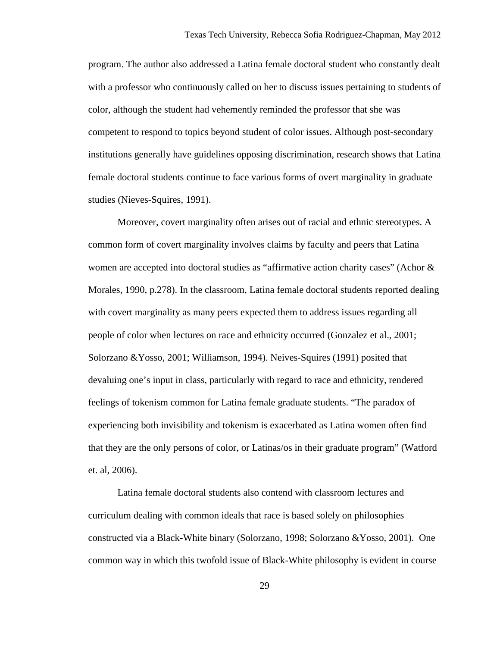program. The author also addressed a Latina female doctoral student who constantly dealt with a professor who continuously called on her to discuss issues pertaining to students of color, although the student had vehemently reminded the professor that she was competent to respond to topics beyond student of color issues. Although post-secondary institutions generally have guidelines opposing discrimination, research shows that Latina female doctoral students continue to face various forms of overt marginality in graduate studies (Nieves-Squires, 1991).

Moreover, covert marginality often arises out of racial and ethnic stereotypes. A common form of covert marginality involves claims by faculty and peers that Latina women are accepted into doctoral studies as "affirmative action charity cases" (Achor & Morales, 1990, p.278). In the classroom, Latina female doctoral students reported dealing with covert marginality as many peers expected them to address issues regarding all people of color when lectures on race and ethnicity occurred (Gonzalez et al., 2001; Solorzano &Yosso, 2001; Williamson, 1994). Neives-Squires (1991) posited that devaluing one's input in class, particularly with regard to race and ethnicity, rendered feelings of tokenism common for Latina female graduate students. "The paradox of experiencing both invisibility and tokenism is exacerbated as Latina women often find that they are the only persons of color, or Latinas/os in their graduate program" (Watford et. al, 2006).

Latina female doctoral students also contend with classroom lectures and curriculum dealing with common ideals that race is based solely on philosophies constructed via a Black-White binary (Solorzano, 1998; Solorzano &Yosso, 2001). One common way in which this twofold issue of Black-White philosophy is evident in course

29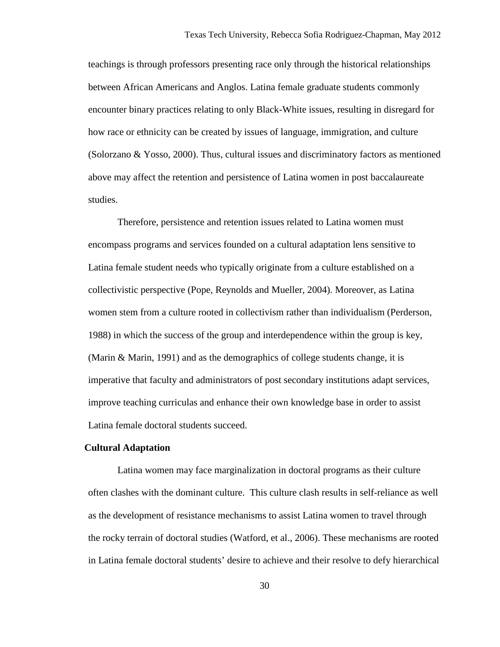teachings is through professors presenting race only through the historical relationships between African Americans and Anglos. Latina female graduate students commonly encounter binary practices relating to only Black-White issues, resulting in disregard for how race or ethnicity can be created by issues of language, immigration, and culture (Solorzano & Yosso, 2000). Thus, cultural issues and discriminatory factors as mentioned above may affect the retention and persistence of Latina women in post baccalaureate studies.

Therefore, persistence and retention issues related to Latina women must encompass programs and services founded on a cultural adaptation lens sensitive to Latina female student needs who typically originate from a culture established on a collectivistic perspective (Pope, Reynolds and Mueller, 2004). Moreover, as Latina women stem from a culture rooted in collectivism rather than individualism (Perderson, 1988) in which the success of the group and interdependence within the group is key, (Marin & Marin, 1991) and as the demographics of college students change, it is imperative that faculty and administrators of post secondary institutions adapt services, improve teaching curriculas and enhance their own knowledge base in order to assist Latina female doctoral students succeed.

#### **Cultural Adaptation**

Latina women may face marginalization in doctoral programs as their culture often clashes with the dominant culture. This culture clash results in self-reliance as well as the development of resistance mechanisms to assist Latina women to travel through the rocky terrain of doctoral studies (Watford, et al., 2006). These mechanisms are rooted in Latina female doctoral students' desire to achieve and their resolve to defy hierarchical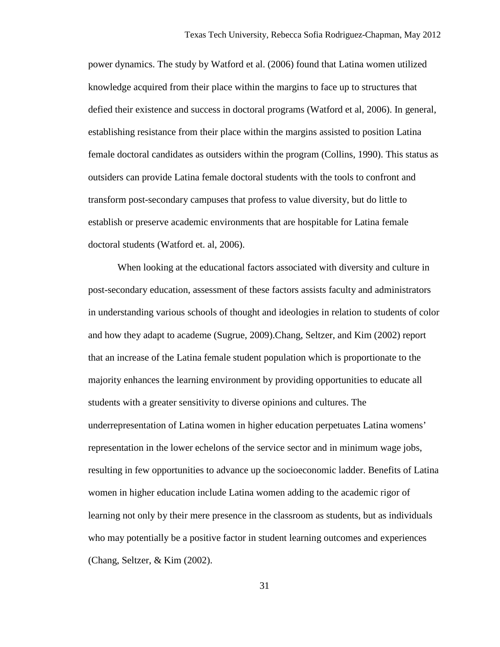power dynamics. The study by Watford et al. (2006) found that Latina women utilized knowledge acquired from their place within the margins to face up to structures that defied their existence and success in doctoral programs (Watford et al, 2006). In general, establishing resistance from their place within the margins assisted to position Latina female doctoral candidates as outsiders within the program (Collins, 1990). This status as outsiders can provide Latina female doctoral students with the tools to confront and transform post-secondary campuses that profess to value diversity, but do little to establish or preserve academic environments that are hospitable for Latina female doctoral students (Watford et. al, 2006).

When looking at the educational factors associated with diversity and culture in post-secondary education, assessment of these factors assists faculty and administrators in understanding various schools of thought and ideologies in relation to students of color and how they adapt to academe (Sugrue, 2009).Chang, Seltzer, and Kim (2002) report that an increase of the Latina female student population which is proportionate to the majority enhances the learning environment by providing opportunities to educate all students with a greater sensitivity to diverse opinions and cultures. The underrepresentation of Latina women in higher education perpetuates Latina womens' representation in the lower echelons of the service sector and in minimum wage jobs, resulting in few opportunities to advance up the socioeconomic ladder. Benefits of Latina women in higher education include Latina women adding to the academic rigor of learning not only by their mere presence in the classroom as students, but as individuals who may potentially be a positive factor in student learning outcomes and experiences (Chang, Seltzer, & Kim (2002).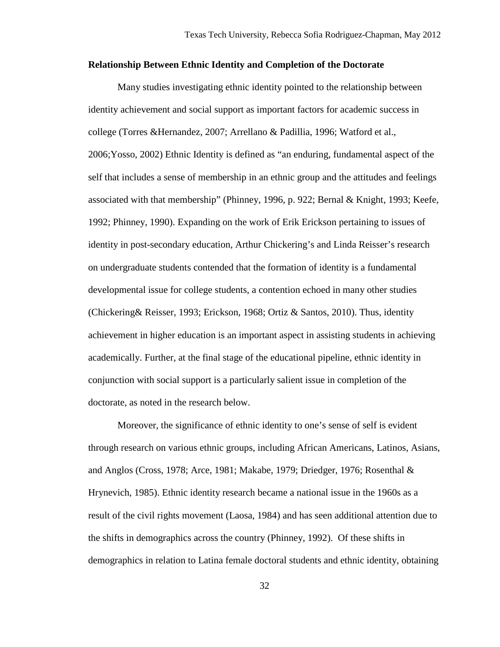## **Relationship Between Ethnic Identity and Completion of the Doctorate**

Many studies investigating ethnic identity pointed to the relationship between identity achievement and social support as important factors for academic success in college (Torres &Hernandez, 2007; Arrellano & Padillia, 1996; Watford et al., 2006;Yosso, 2002) Ethnic Identity is defined as "an enduring, fundamental aspect of the self that includes a sense of membership in an ethnic group and the attitudes and feelings associated with that membership" (Phinney, 1996, p. 922; Bernal & Knight, 1993; Keefe, 1992; Phinney, 1990). Expanding on the work of Erik Erickson pertaining to issues of identity in post-secondary education, Arthur Chickering's and Linda Reisser's research on undergraduate students contended that the formation of identity is a fundamental developmental issue for college students, a contention echoed in many other studies (Chickering& Reisser, 1993; Erickson, 1968; Ortiz & Santos, 2010). Thus, identity achievement in higher education is an important aspect in assisting students in achieving academically. Further, at the final stage of the educational pipeline, ethnic identity in conjunction with social support is a particularly salient issue in completion of the doctorate, as noted in the research below.

Moreover, the significance of ethnic identity to one's sense of self is evident through research on various ethnic groups, including African Americans, Latinos, Asians, and Anglos (Cross, 1978; Arce, 1981; Makabe, 1979; Driedger, 1976; Rosenthal & Hrynevich, 1985). Ethnic identity research became a national issue in the 1960s as a result of the civil rights movement (Laosa, 1984) and has seen additional attention due to the shifts in demographics across the country (Phinney, 1992). Of these shifts in demographics in relation to Latina female doctoral students and ethnic identity, obtaining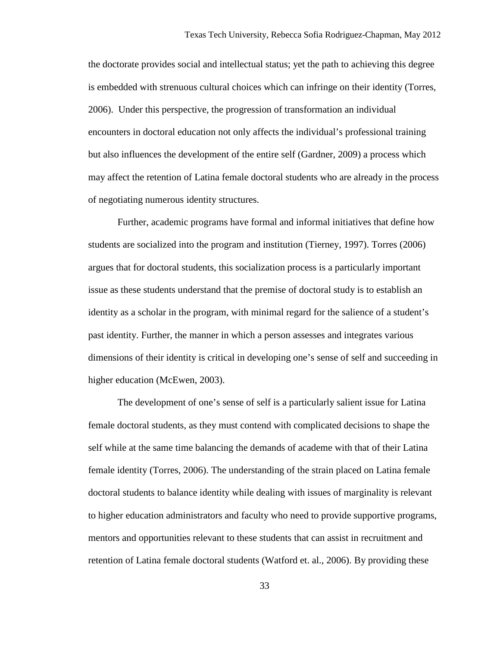the doctorate provides social and intellectual status; yet the path to achieving this degree is embedded with strenuous cultural choices which can infringe on their identity (Torres, 2006). Under this perspective, the progression of transformation an individual encounters in doctoral education not only affects the individual's professional training but also influences the development of the entire self (Gardner, 2009) a process which may affect the retention of Latina female doctoral students who are already in the process of negotiating numerous identity structures.

Further, academic programs have formal and informal initiatives that define how students are socialized into the program and institution (Tierney, 1997). Torres (2006) argues that for doctoral students, this socialization process is a particularly important issue as these students understand that the premise of doctoral study is to establish an identity as a scholar in the program, with minimal regard for the salience of a student's past identity. Further, the manner in which a person assesses and integrates various dimensions of their identity is critical in developing one's sense of self and succeeding in higher education (McEwen, 2003).

The development of one's sense of self is a particularly salient issue for Latina female doctoral students, as they must contend with complicated decisions to shape the self while at the same time balancing the demands of academe with that of their Latina female identity (Torres, 2006). The understanding of the strain placed on Latina female doctoral students to balance identity while dealing with issues of marginality is relevant to higher education administrators and faculty who need to provide supportive programs, mentors and opportunities relevant to these students that can assist in recruitment and retention of Latina female doctoral students (Watford et. al., 2006). By providing these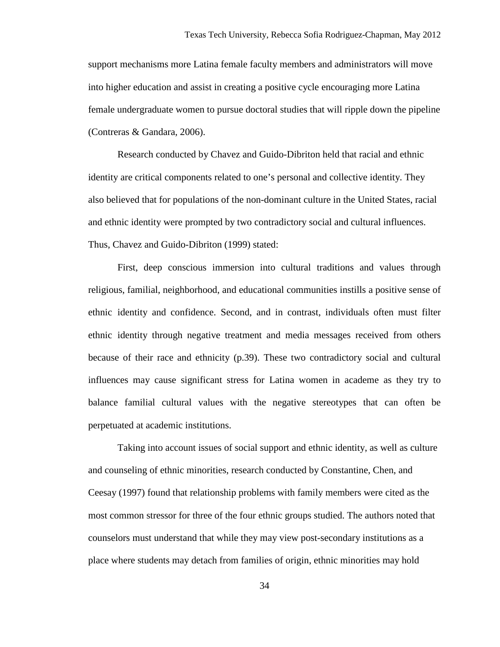support mechanisms more Latina female faculty members and administrators will move into higher education and assist in creating a positive cycle encouraging more Latina female undergraduate women to pursue doctoral studies that will ripple down the pipeline (Contreras & Gandara, 2006).

Research conducted by Chavez and Guido-Dibriton held that racial and ethnic identity are critical components related to one's personal and collective identity. They also believed that for populations of the non-dominant culture in the United States, racial and ethnic identity were prompted by two contradictory social and cultural influences. Thus, Chavez and Guido-Dibriton (1999) stated:

First, deep conscious immersion into cultural traditions and values through religious, familial, neighborhood, and educational communities instills a positive sense of ethnic identity and confidence. Second, and in contrast, individuals often must filter ethnic identity through negative treatment and media messages received from others because of their race and ethnicity (p.39). These two contradictory social and cultural influences may cause significant stress for Latina women in academe as they try to balance familial cultural values with the negative stereotypes that can often be perpetuated at academic institutions.

Taking into account issues of social support and ethnic identity, as well as culture and counseling of ethnic minorities, research conducted by Constantine, Chen, and Ceesay (1997) found that relationship problems with family members were cited as the most common stressor for three of the four ethnic groups studied. The authors noted that counselors must understand that while they may view post-secondary institutions as a place where students may detach from families of origin, ethnic minorities may hold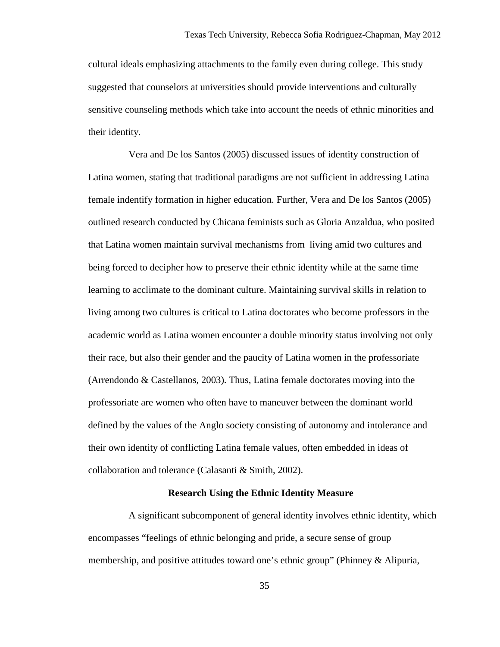cultural ideals emphasizing attachments to the family even during college. This study suggested that counselors at universities should provide interventions and culturally sensitive counseling methods which take into account the needs of ethnic minorities and their identity.

 Vera and De los Santos (2005) discussed issues of identity construction of Latina women, stating that traditional paradigms are not sufficient in addressing Latina female indentify formation in higher education. Further, Vera and De los Santos (2005) outlined research conducted by Chicana feminists such as Gloria Anzaldua, who posited that Latina women maintain survival mechanisms from living amid two cultures and being forced to decipher how to preserve their ethnic identity while at the same time learning to acclimate to the dominant culture. Maintaining survival skills in relation to living among two cultures is critical to Latina doctorates who become professors in the academic world as Latina women encounter a double minority status involving not only their race, but also their gender and the paucity of Latina women in the professoriate (Arrendondo & Castellanos, 2003). Thus, Latina female doctorates moving into the professoriate are women who often have to maneuver between the dominant world defined by the values of the Anglo society consisting of autonomy and intolerance and their own identity of conflicting Latina female values, often embedded in ideas of collaboration and tolerance (Calasanti & Smith, 2002).

## **Research Using the Ethnic Identity Measure**

 A significant subcomponent of general identity involves ethnic identity, which encompasses "feelings of ethnic belonging and pride, a secure sense of group membership, and positive attitudes toward one's ethnic group" (Phinney & Alipuria,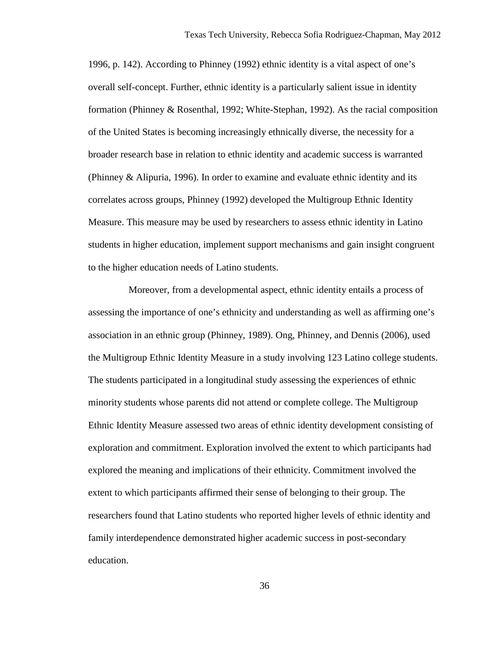1996, p. 142). According to Phinney (1992) ethnic identity is a vital aspect of one's overall self-concept. Further, ethnic identity is a particularly salient issue in identity formation (Phinney & Rosenthal, 1992; White-Stephan, 1992). As the racial composition of the United States is becoming increasingly ethnically diverse, the necessity for a broader research base in relation to ethnic identity and academic success is warranted (Phinney & Alipuria, 1996). In order to examine and evaluate ethnic identity and its correlates across groups, Phinney (1992) developed the Multigroup Ethnic Identity Measure. This measure may be used by researchers to assess ethnic identity in Latino students in higher education, implement support mechanisms and gain insight congruent to the higher education needs of Latino students.

 Moreover, from a developmental aspect, ethnic identity entails a process of assessing the importance of one's ethnicity and understanding as well as affirming one's association in an ethnic group (Phinney, 1989). Ong, Phinney, and Dennis (2006), used the Multigroup Ethnic Identity Measure in a study involving 123 Latino college students. The students participated in a longitudinal study assessing the experiences of ethnic minority students whose parents did not attend or complete college. The Multigroup Ethnic Identity Measure assessed two areas of ethnic identity development consisting of exploration and commitment. Exploration involved the extent to which participants had explored the meaning and implications of their ethnicity. Commitment involved the extent to which participants affirmed their sense of belonging to their group. The researchers found that Latino students who reported higher levels of ethnic identity and family interdependence demonstrated higher academic success in post-secondary education.

36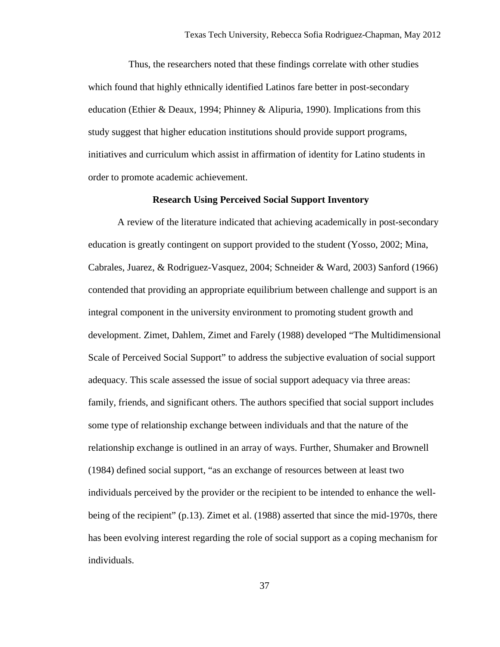Thus, the researchers noted that these findings correlate with other studies which found that highly ethnically identified Latinos fare better in post-secondary education (Ethier & Deaux, 1994; Phinney & Alipuria, 1990). Implications from this study suggest that higher education institutions should provide support programs, initiatives and curriculum which assist in affirmation of identity for Latino students in order to promote academic achievement.

## **Research Using Perceived Social Support Inventory**

A review of the literature indicated that achieving academically in post-secondary education is greatly contingent on support provided to the student (Yosso, 2002; Mina, Cabrales, Juarez, & Rodriguez-Vasquez, 2004; Schneider & Ward, 2003) Sanford (1966) contended that providing an appropriate equilibrium between challenge and support is an integral component in the university environment to promoting student growth and development. Zimet, Dahlem, Zimet and Farely (1988) developed "The Multidimensional Scale of Perceived Social Support" to address the subjective evaluation of social support adequacy. This scale assessed the issue of social support adequacy via three areas: family, friends, and significant others. The authors specified that social support includes some type of relationship exchange between individuals and that the nature of the relationship exchange is outlined in an array of ways. Further, Shumaker and Brownell (1984) defined social support, "as an exchange of resources between at least two individuals perceived by the provider or the recipient to be intended to enhance the wellbeing of the recipient" (p.13). Zimet et al. (1988) asserted that since the mid-1970s, there has been evolving interest regarding the role of social support as a coping mechanism for individuals.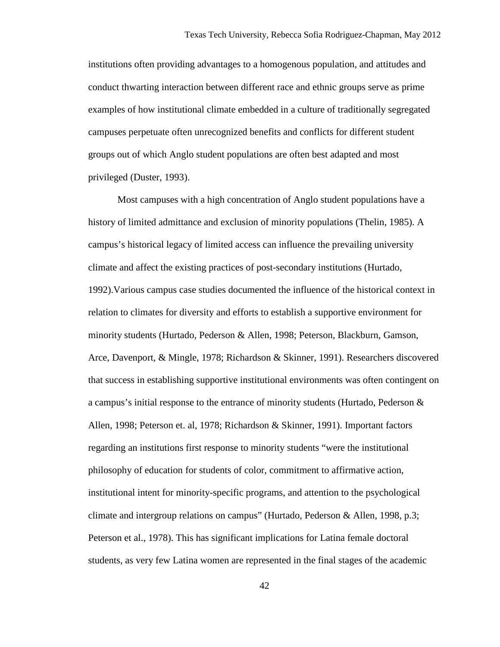institutions often providing advantages to a homogenous population, and attitudes and conduct thwarting interaction between different race and ethnic groups serve as prime examples of how institutional climate embedded in a culture of traditionally segregated campuses perpetuate often unrecognized benefits and conflicts for different student groups out of which Anglo student populations are often best adapted and most privileged (Duster, 1993).

Most campuses with a high concentration of Anglo student populations have a history of limited admittance and exclusion of minority populations (Thelin, 1985). A campus's historical legacy of limited access can influence the prevailing university climate and affect the existing practices of post-secondary institutions (Hurtado, 1992).Various campus case studies documented the influence of the historical context in relation to climates for diversity and efforts to establish a supportive environment for minority students (Hurtado, Pederson & Allen, 1998; Peterson, Blackburn, Gamson, Arce, Davenport, & Mingle, 1978; Richardson & Skinner, 1991). Researchers discovered that success in establishing supportive institutional environments was often contingent on a campus's initial response to the entrance of minority students (Hurtado, Pederson & Allen, 1998; Peterson et. al, 1978; Richardson & Skinner, 1991). Important factors regarding an institutions first response to minority students "were the institutional philosophy of education for students of color, commitment to affirmative action, institutional intent for minority-specific programs, and attention to the psychological climate and intergroup relations on campus" (Hurtado, Pederson & Allen, 1998, p.3; Peterson et al., 1978). This has significant implications for Latina female doctoral students, as very few Latina women are represented in the final stages of the academic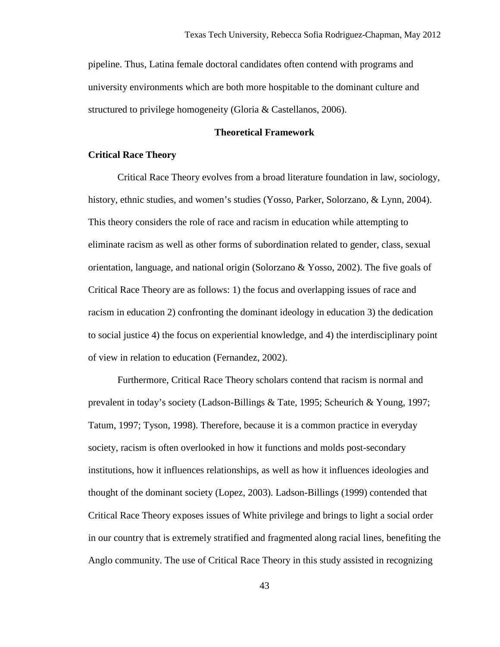pipeline. Thus, Latina female doctoral candidates often contend with programs and university environments which are both more hospitable to the dominant culture and structured to privilege homogeneity (Gloria & Castellanos, 2006).

## **Theoretical Framework**

## **Critical Race Theory**

Critical Race Theory evolves from a broad literature foundation in law, sociology, history, ethnic studies, and women's studies (Yosso, Parker, Solorzano, & Lynn, 2004). This theory considers the role of race and racism in education while attempting to eliminate racism as well as other forms of subordination related to gender, class, sexual orientation, language, and national origin (Solorzano & Yosso, 2002). The five goals of Critical Race Theory are as follows: 1) the focus and overlapping issues of race and racism in education 2) confronting the dominant ideology in education 3) the dedication to social justice 4) the focus on experiential knowledge, and 4) the interdisciplinary point of view in relation to education (Fernandez, 2002).

Furthermore, Critical Race Theory scholars contend that racism is normal and prevalent in today's society (Ladson-Billings & Tate, 1995; Scheurich & Young, 1997; Tatum, 1997; Tyson, 1998). Therefore, because it is a common practice in everyday society, racism is often overlooked in how it functions and molds post-secondary institutions, how it influences relationships, as well as how it influences ideologies and thought of the dominant society (Lopez, 2003). Ladson-Billings (1999) contended that Critical Race Theory exposes issues of White privilege and brings to light a social order in our country that is extremely stratified and fragmented along racial lines, benefiting the Anglo community. The use of Critical Race Theory in this study assisted in recognizing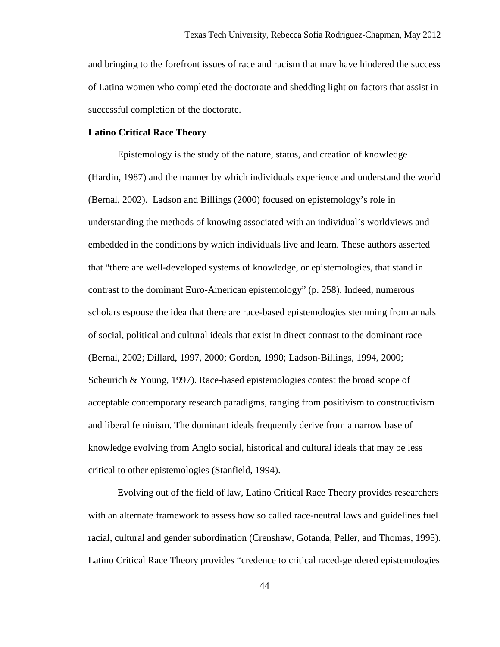and bringing to the forefront issues of race and racism that may have hindered the success of Latina women who completed the doctorate and shedding light on factors that assist in successful completion of the doctorate.

## **Latino Critical Race Theory**

Epistemology is the study of the nature, status, and creation of knowledge (Hardin, 1987) and the manner by which individuals experience and understand the world (Bernal, 2002). Ladson and Billings (2000) focused on epistemology's role in understanding the methods of knowing associated with an individual's worldviews and embedded in the conditions by which individuals live and learn. These authors asserted that "there are well-developed systems of knowledge, or epistemologies, that stand in contrast to the dominant Euro-American epistemology" (p. 258). Indeed, numerous scholars espouse the idea that there are race-based epistemologies stemming from annals of social, political and cultural ideals that exist in direct contrast to the dominant race (Bernal, 2002; Dillard, 1997, 2000; Gordon, 1990; Ladson-Billings, 1994, 2000; Scheurich & Young, 1997). Race-based epistemologies contest the broad scope of acceptable contemporary research paradigms, ranging from positivism to constructivism and liberal feminism. The dominant ideals frequently derive from a narrow base of knowledge evolving from Anglo social, historical and cultural ideals that may be less critical to other epistemologies (Stanfield, 1994).

Evolving out of the field of law, Latino Critical Race Theory provides researchers with an alternate framework to assess how so called race-neutral laws and guidelines fuel racial, cultural and gender subordination (Crenshaw, Gotanda, Peller, and Thomas, 1995). Latino Critical Race Theory provides "credence to critical raced-gendered epistemologies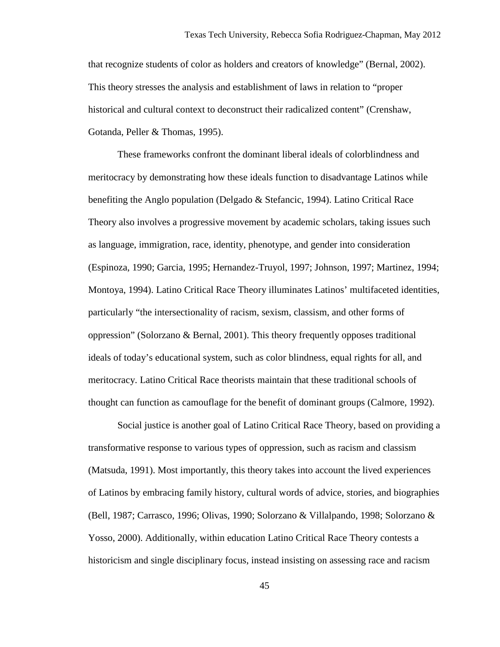that recognize students of color as holders and creators of knowledge" (Bernal, 2002). This theory stresses the analysis and establishment of laws in relation to "proper historical and cultural context to deconstruct their radicalized content" (Crenshaw, Gotanda, Peller & Thomas, 1995).

These frameworks confront the dominant liberal ideals of colorblindness and meritocracy by demonstrating how these ideals function to disadvantage Latinos while benefiting the Anglo population (Delgado & Stefancic, 1994). Latino Critical Race Theory also involves a progressive movement by academic scholars, taking issues such as language, immigration, race, identity, phenotype, and gender into consideration (Espinoza, 1990; Garcia, 1995; Hernandez-Truyol, 1997; Johnson, 1997; Martinez, 1994; Montoya, 1994). Latino Critical Race Theory illuminates Latinos' multifaceted identities, particularly "the intersectionality of racism, sexism, classism, and other forms of oppression" (Solorzano & Bernal, 2001). This theory frequently opposes traditional ideals of today's educational system, such as color blindness, equal rights for all, and meritocracy. Latino Critical Race theorists maintain that these traditional schools of thought can function as camouflage for the benefit of dominant groups (Calmore, 1992).

Social justice is another goal of Latino Critical Race Theory, based on providing a transformative response to various types of oppression, such as racism and classism (Matsuda, 1991). Most importantly, this theory takes into account the lived experiences of Latinos by embracing family history, cultural words of advice, stories, and biographies (Bell, 1987; Carrasco, 1996; Olivas, 1990; Solorzano & Villalpando, 1998; Solorzano & Yosso, 2000). Additionally, within education Latino Critical Race Theory contests a historicism and single disciplinary focus, instead insisting on assessing race and racism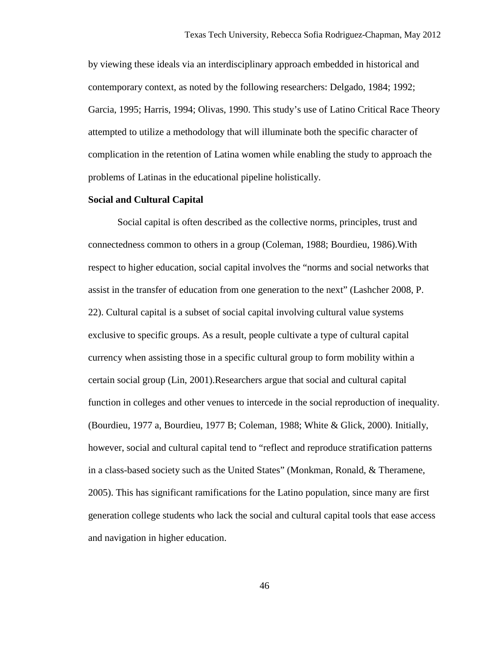by viewing these ideals via an interdisciplinary approach embedded in historical and contemporary context, as noted by the following researchers: Delgado, 1984; 1992; Garcia, 1995; Harris, 1994; Olivas, 1990. This study's use of Latino Critical Race Theory attempted to utilize a methodology that will illuminate both the specific character of complication in the retention of Latina women while enabling the study to approach the problems of Latinas in the educational pipeline holistically.

## **Social and Cultural Capital**

Social capital is often described as the collective norms, principles, trust and connectedness common to others in a group (Coleman, 1988; Bourdieu, 1986).With respect to higher education, social capital involves the "norms and social networks that assist in the transfer of education from one generation to the next" (Lashcher 2008, P. 22). Cultural capital is a subset of social capital involving cultural value systems exclusive to specific groups. As a result, people cultivate a type of cultural capital currency when assisting those in a specific cultural group to form mobility within a certain social group (Lin, 2001).Researchers argue that social and cultural capital function in colleges and other venues to intercede in the social reproduction of inequality. (Bourdieu, 1977 a, Bourdieu, 1977 B; Coleman, 1988; White & Glick, 2000). Initially, however, social and cultural capital tend to "reflect and reproduce stratification patterns in a class-based society such as the United States" (Monkman, Ronald, & Theramene, 2005). This has significant ramifications for the Latino population, since many are first generation college students who lack the social and cultural capital tools that ease access and navigation in higher education.

46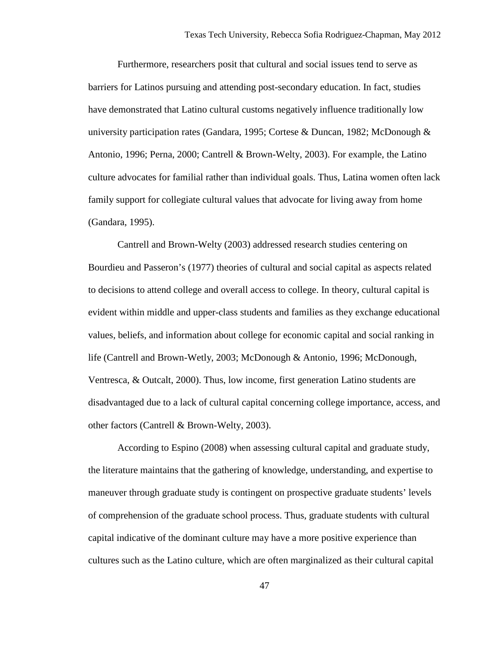Furthermore, researchers posit that cultural and social issues tend to serve as barriers for Latinos pursuing and attending post-secondary education. In fact, studies have demonstrated that Latino cultural customs negatively influence traditionally low university participation rates (Gandara, 1995; Cortese & Duncan, 1982; McDonough & Antonio, 1996; Perna, 2000; Cantrell & Brown-Welty, 2003). For example, the Latino culture advocates for familial rather than individual goals. Thus, Latina women often lack family support for collegiate cultural values that advocate for living away from home (Gandara, 1995).

 Cantrell and Brown-Welty (2003) addressed research studies centering on Bourdieu and Passeron's (1977) theories of cultural and social capital as aspects related to decisions to attend college and overall access to college. In theory, cultural capital is evident within middle and upper-class students and families as they exchange educational values, beliefs, and information about college for economic capital and social ranking in life (Cantrell and Brown-Wetly, 2003; McDonough & Antonio, 1996; McDonough, Ventresca, & Outcalt, 2000). Thus, low income, first generation Latino students are disadvantaged due to a lack of cultural capital concerning college importance, access, and other factors (Cantrell & Brown-Welty, 2003).

 According to Espino (2008) when assessing cultural capital and graduate study, the literature maintains that the gathering of knowledge, understanding, and expertise to maneuver through graduate study is contingent on prospective graduate students' levels of comprehension of the graduate school process. Thus, graduate students with cultural capital indicative of the dominant culture may have a more positive experience than cultures such as the Latino culture, which are often marginalized as their cultural capital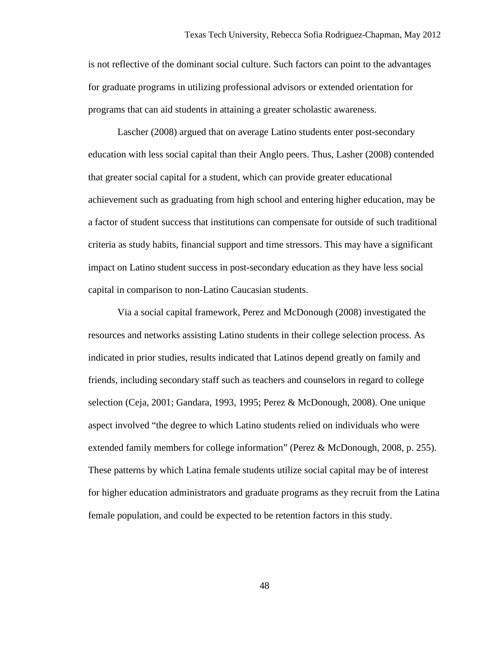is not reflective of the dominant social culture. Such factors can point to the advantages for graduate programs in utilizing professional advisors or extended orientation for programs that can aid students in attaining a greater scholastic awareness.

Lascher (2008) argued that on average Latino students enter post-secondary education with less social capital than their Anglo peers. Thus, Lasher (2008) contended that greater social capital for a student, which can provide greater educational achievement such as graduating from high school and entering higher education, may be a factor of student success that institutions can compensate for outside of such traditional criteria as study habits, financial support and time stressors. This may have a significant impact on Latino student success in post-secondary education as they have less social capital in comparison to non-Latino Caucasian students.

 Via a social capital framework, Perez and McDonough (2008) investigated the resources and networks assisting Latino students in their college selection process. As indicated in prior studies, results indicated that Latinos depend greatly on family and friends, including secondary staff such as teachers and counselors in regard to college selection (Ceja, 2001; Gandara, 1993, 1995; Perez & McDonough, 2008). One unique aspect involved "the degree to which Latino students relied on individuals who were extended family members for college information" (Perez & McDonough, 2008, p. 255). These patterns by which Latina female students utilize social capital may be of interest for higher education administrators and graduate programs as they recruit from the Latina female population, and could be expected to be retention factors in this study.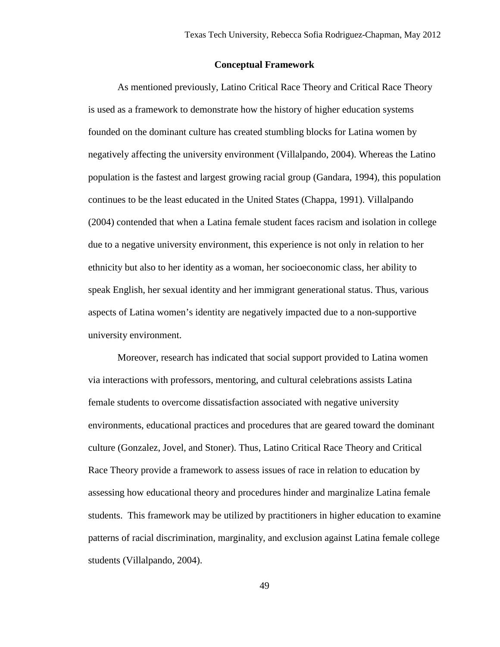#### **Conceptual Framework**

 As mentioned previously, Latino Critical Race Theory and Critical Race Theory is used as a framework to demonstrate how the history of higher education systems founded on the dominant culture has created stumbling blocks for Latina women by negatively affecting the university environment (Villalpando, 2004). Whereas the Latino population is the fastest and largest growing racial group (Gandara, 1994), this population continues to be the least educated in the United States (Chappa, 1991). Villalpando (2004) contended that when a Latina female student faces racism and isolation in college due to a negative university environment, this experience is not only in relation to her ethnicity but also to her identity as a woman, her socioeconomic class, her ability to speak English, her sexual identity and her immigrant generational status. Thus, various aspects of Latina women's identity are negatively impacted due to a non-supportive university environment.

Moreover, research has indicated that social support provided to Latina women via interactions with professors, mentoring, and cultural celebrations assists Latina female students to overcome dissatisfaction associated with negative university environments, educational practices and procedures that are geared toward the dominant culture (Gonzalez, Jovel, and Stoner). Thus, Latino Critical Race Theory and Critical Race Theory provide a framework to assess issues of race in relation to education by assessing how educational theory and procedures hinder and marginalize Latina female students. This framework may be utilized by practitioners in higher education to examine patterns of racial discrimination, marginality, and exclusion against Latina female college students (Villalpando, 2004).

49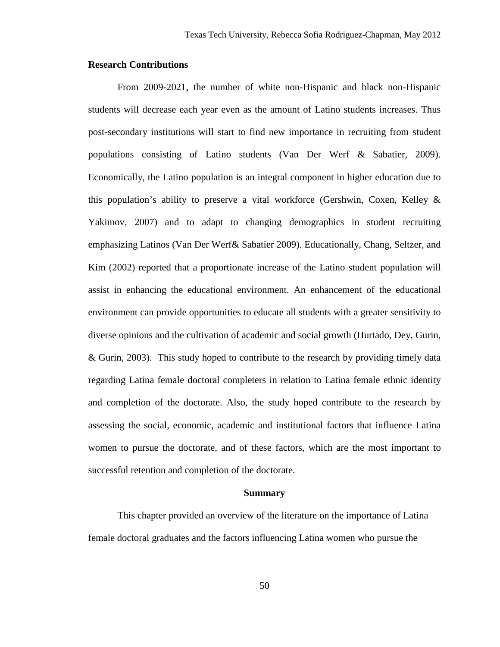## **Research Contributions**

From 2009-2021, the number of white non-Hispanic and black non-Hispanic students will decrease each year even as the amount of Latino students increases. Thus post-secondary institutions will start to find new importance in recruiting from student populations consisting of Latino students (Van Der Werf & Sabatier, 2009). Economically, the Latino population is an integral component in higher education due to this population's ability to preserve a vital workforce (Gershwin, Coxen, Kelley & Yakimov, 2007) and to adapt to changing demographics in student recruiting emphasizing Latinos (Van Der Werf& Sabatier 2009). Educationally, Chang, Seltzer, and Kim (2002) reported that a proportionate increase of the Latino student population will assist in enhancing the educational environment. An enhancement of the educational environment can provide opportunities to educate all students with a greater sensitivity to diverse opinions and the cultivation of academic and social growth (Hurtado, Dey, Gurin, & Gurin, 2003). This study hoped to contribute to the research by providing timely data regarding Latina female doctoral completers in relation to Latina female ethnic identity and completion of the doctorate. Also, the study hoped contribute to the research by assessing the social, economic, academic and institutional factors that influence Latina women to pursue the doctorate, and of these factors, which are the most important to successful retention and completion of the doctorate.

#### **Summary**

This chapter provided an overview of the literature on the importance of Latina female doctoral graduates and the factors influencing Latina women who pursue the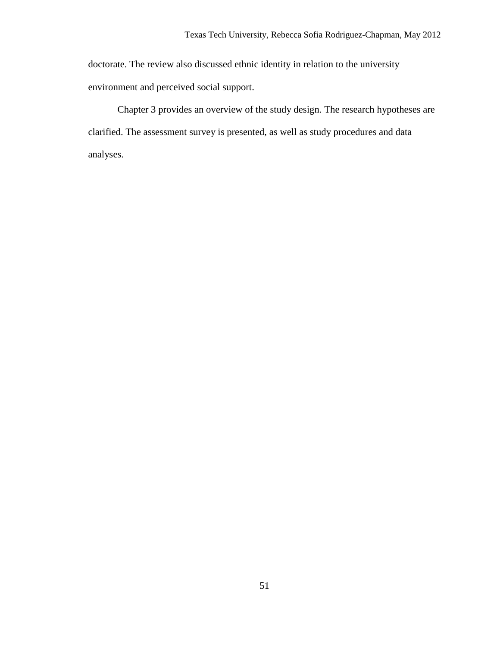doctorate. The review also discussed ethnic identity in relation to the university environment and perceived social support.

Chapter 3 provides an overview of the study design. The research hypotheses are clarified. The assessment survey is presented, as well as study procedures and data analyses.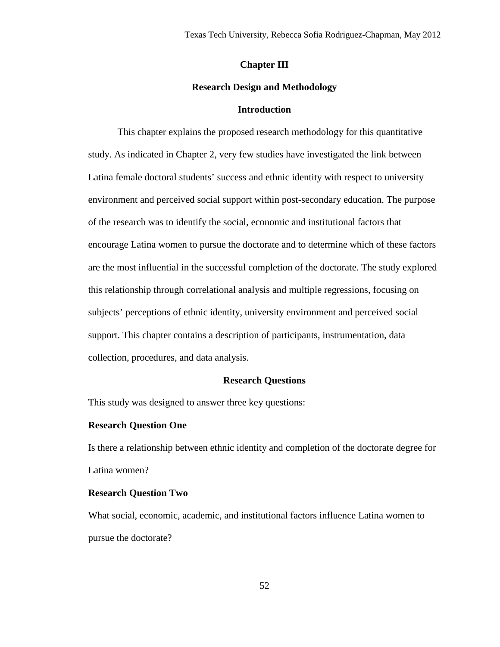## **Chapter III**

## **Research Design and Methodology**

## **Introduction**

This chapter explains the proposed research methodology for this quantitative study. As indicated in Chapter 2, very few studies have investigated the link between Latina female doctoral students' success and ethnic identity with respect to university environment and perceived social support within post-secondary education. The purpose of the research was to identify the social, economic and institutional factors that encourage Latina women to pursue the doctorate and to determine which of these factors are the most influential in the successful completion of the doctorate. The study explored this relationship through correlational analysis and multiple regressions, focusing on subjects' perceptions of ethnic identity, university environment and perceived social support. This chapter contains a description of participants, instrumentation, data collection, procedures, and data analysis.

#### **Research Questions**

This study was designed to answer three key questions:

#### **Research Question One**

Is there a relationship between ethnic identity and completion of the doctorate degree for Latina women?

## **Research Question Two**

What social, economic, academic, and institutional factors influence Latina women to pursue the doctorate?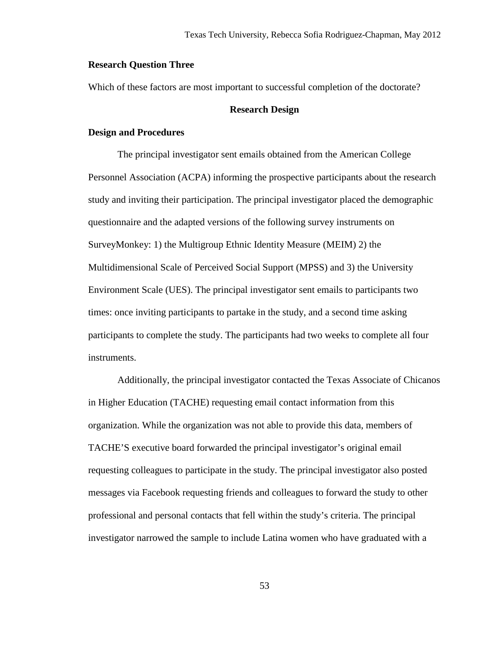## **Research Question Three**

Which of these factors are most important to successful completion of the doctorate?

## **Research Design**

## **Design and Procedures**

 The principal investigator sent emails obtained from the American College Personnel Association (ACPA) informing the prospective participants about the research study and inviting their participation. The principal investigator placed the demographic questionnaire and the adapted versions of the following survey instruments on SurveyMonkey: 1) the Multigroup Ethnic Identity Measure (MEIM) 2) the Multidimensional Scale of Perceived Social Support (MPSS) and 3) the University Environment Scale (UES). The principal investigator sent emails to participants two times: once inviting participants to partake in the study, and a second time asking participants to complete the study. The participants had two weeks to complete all four instruments.

 Additionally, the principal investigator contacted the Texas Associate of Chicanos in Higher Education (TACHE) requesting email contact information from this organization. While the organization was not able to provide this data, members of TACHE'S executive board forwarded the principal investigator's original email requesting colleagues to participate in the study. The principal investigator also posted messages via Facebook requesting friends and colleagues to forward the study to other professional and personal contacts that fell within the study's criteria. The principal investigator narrowed the sample to include Latina women who have graduated with a

53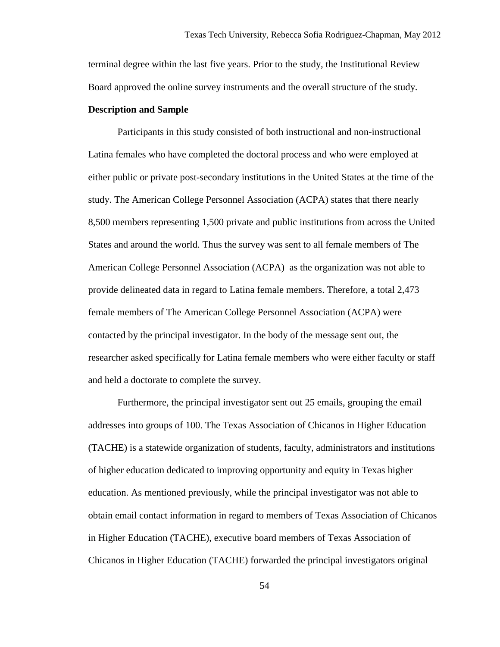terminal degree within the last five years. Prior to the study, the Institutional Review Board approved the online survey instruments and the overall structure of the study.

## **Description and Sample**

Participants in this study consisted of both instructional and non-instructional Latina females who have completed the doctoral process and who were employed at either public or private post-secondary institutions in the United States at the time of the study. The American College Personnel Association (ACPA) states that there nearly 8,500 members representing 1,500 private and public institutions from across the United States and around the world. Thus the survey was sent to all female members of The American College Personnel Association (ACPA) as the organization was not able to provide delineated data in regard to Latina female members. Therefore, a total 2,473 female members of The American College Personnel Association (ACPA) were contacted by the principal investigator. In the body of the message sent out, the researcher asked specifically for Latina female members who were either faculty or staff and held a doctorate to complete the survey.

Furthermore, the principal investigator sent out 25 emails, grouping the email addresses into groups of 100. The Texas Association of Chicanos in Higher Education (TACHE) is a statewide organization of students, faculty, administrators and institutions of higher education dedicated to improving opportunity and equity in Texas higher education. As mentioned previously, while the principal investigator was not able to obtain email contact information in regard to members of Texas Association of Chicanos in Higher Education (TACHE), executive board members of Texas Association of Chicanos in Higher Education (TACHE) forwarded the principal investigators original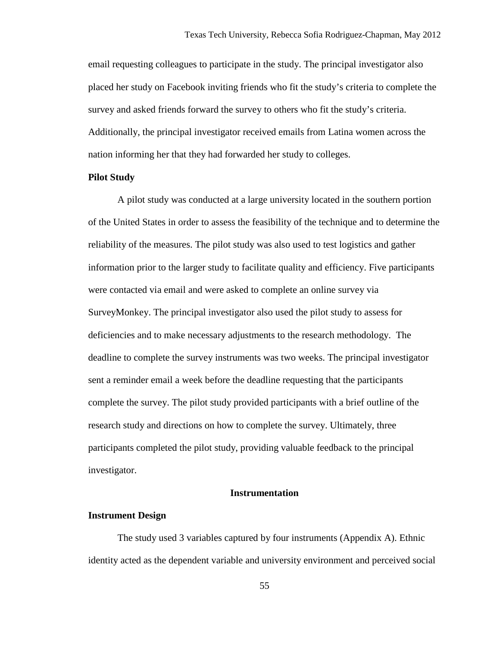email requesting colleagues to participate in the study. The principal investigator also placed her study on Facebook inviting friends who fit the study's criteria to complete the survey and asked friends forward the survey to others who fit the study's criteria. Additionally, the principal investigator received emails from Latina women across the nation informing her that they had forwarded her study to colleges.

## **Pilot Study**

A pilot study was conducted at a large university located in the southern portion of the United States in order to assess the feasibility of the technique and to determine the reliability of the measures. The pilot study was also used to test logistics and gather information prior to the larger study to facilitate quality and efficiency. Five participants were contacted via email and were asked to complete an online survey via SurveyMonkey. The principal investigator also used the pilot study to assess for deficiencies and to make necessary adjustments to the research methodology. The deadline to complete the survey instruments was two weeks. The principal investigator sent a reminder email a week before the deadline requesting that the participants complete the survey. The pilot study provided participants with a brief outline of the research study and directions on how to complete the survey. Ultimately, three participants completed the pilot study, providing valuable feedback to the principal investigator.

## **Instrumentation**

#### **Instrument Design**

The study used 3 variables captured by four instruments (Appendix A). Ethnic identity acted as the dependent variable and university environment and perceived social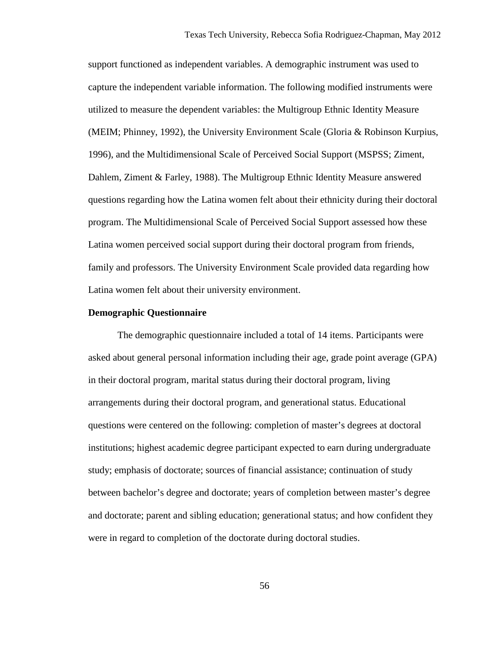support functioned as independent variables. A demographic instrument was used to capture the independent variable information. The following modified instruments were utilized to measure the dependent variables: the Multigroup Ethnic Identity Measure (MEIM; Phinney, 1992), the University Environment Scale (Gloria & Robinson Kurpius, 1996), and the Multidimensional Scale of Perceived Social Support (MSPSS; Ziment, Dahlem, Ziment & Farley, 1988). The Multigroup Ethnic Identity Measure answered questions regarding how the Latina women felt about their ethnicity during their doctoral program. The Multidimensional Scale of Perceived Social Support assessed how these Latina women perceived social support during their doctoral program from friends, family and professors. The University Environment Scale provided data regarding how Latina women felt about their university environment.

#### **Demographic Questionnaire**

 The demographic questionnaire included a total of 14 items. Participants were asked about general personal information including their age, grade point average (GPA) in their doctoral program, marital status during their doctoral program, living arrangements during their doctoral program, and generational status. Educational questions were centered on the following: completion of master's degrees at doctoral institutions; highest academic degree participant expected to earn during undergraduate study; emphasis of doctorate; sources of financial assistance; continuation of study between bachelor's degree and doctorate; years of completion between master's degree and doctorate; parent and sibling education; generational status; and how confident they were in regard to completion of the doctorate during doctoral studies.

56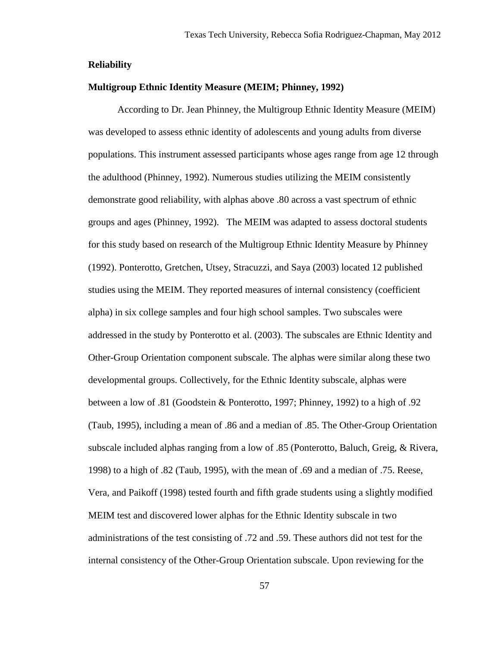## **Reliability**

## **Multigroup Ethnic Identity Measure (MEIM; Phinney, 1992)**

 According to Dr. Jean Phinney, the Multigroup Ethnic Identity Measure (MEIM) was developed to assess ethnic identity of adolescents and young adults from diverse populations. This instrument assessed participants whose ages range from age 12 through the adulthood (Phinney, 1992). Numerous studies utilizing the MEIM consistently demonstrate good reliability, with alphas above .80 across a vast spectrum of ethnic groups and ages (Phinney, 1992). The MEIM was adapted to assess doctoral students for this study based on research of the Multigroup Ethnic Identity Measure by Phinney (1992). Ponterotto, Gretchen, Utsey, Stracuzzi, and Saya (2003) located 12 published studies using the MEIM. They reported measures of internal consistency (coefficient alpha) in six college samples and four high school samples. Two subscales were addressed in the study by Ponterotto et al. (2003). The subscales are Ethnic Identity and Other-Group Orientation component subscale. The alphas were similar along these two developmental groups. Collectively, for the Ethnic Identity subscale, alphas were between a low of .81 (Goodstein & Ponterotto, 1997; Phinney, 1992) to a high of .92 (Taub, 1995), including a mean of .86 and a median of .85. The Other-Group Orientation subscale included alphas ranging from a low of .85 (Ponterotto, Baluch, Greig, & Rivera, 1998) to a high of .82 (Taub, 1995), with the mean of .69 and a median of .75. Reese, Vera, and Paikoff (1998) tested fourth and fifth grade students using a slightly modified MEIM test and discovered lower alphas for the Ethnic Identity subscale in two administrations of the test consisting of .72 and .59. These authors did not test for the internal consistency of the Other-Group Orientation subscale. Upon reviewing for the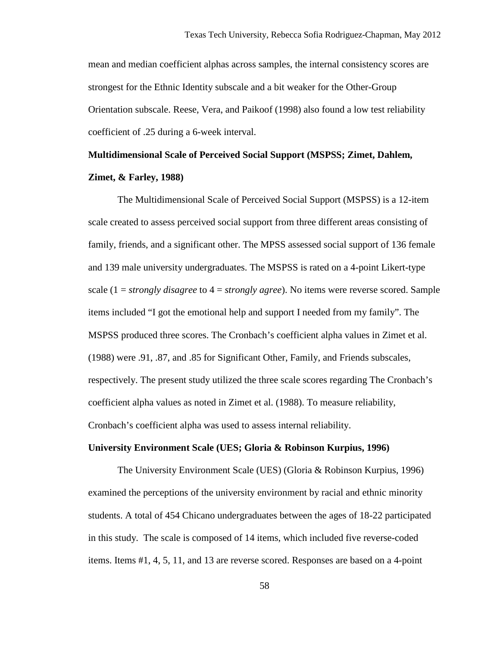mean and median coefficient alphas across samples, the internal consistency scores are strongest for the Ethnic Identity subscale and a bit weaker for the Other-Group Orientation subscale. Reese, Vera, and Paikoof (1998) also found a low test reliability coefficient of .25 during a 6-week interval.

## **Multidimensional Scale of Perceived Social Support (MSPSS; Zimet, Dahlem, Zimet, & Farley, 1988)**

The Multidimensional Scale of Perceived Social Support (MSPSS) is a 12-item scale created to assess perceived social support from three different areas consisting of family, friends, and a significant other. The MPSS assessed social support of 136 female and 139 male university undergraduates. The MSPSS is rated on a 4-point Likert-type scale (1 = *strongly disagree* to 4 = *strongly agree*). No items were reverse scored. Sample items included "I got the emotional help and support I needed from my family". The MSPSS produced three scores. The Cronbach's coefficient alpha values in Zimet et al. (1988) were .91, .87, and .85 for Significant Other, Family, and Friends subscales, respectively. The present study utilized the three scale scores regarding The Cronbach's coefficient alpha values as noted in Zimet et al. (1988). To measure reliability, Cronbach's coefficient alpha was used to assess internal reliability.

#### **University Environment Scale (UES; Gloria & Robinson Kurpius, 1996)**

The University Environment Scale (UES) (Gloria & Robinson Kurpius, 1996) examined the perceptions of the university environment by racial and ethnic minority students. A total of 454 Chicano undergraduates between the ages of 18-22 participated in this study. The scale is composed of 14 items, which included five reverse-coded items. Items #1, 4, 5, 11, and 13 are reverse scored. Responses are based on a 4-point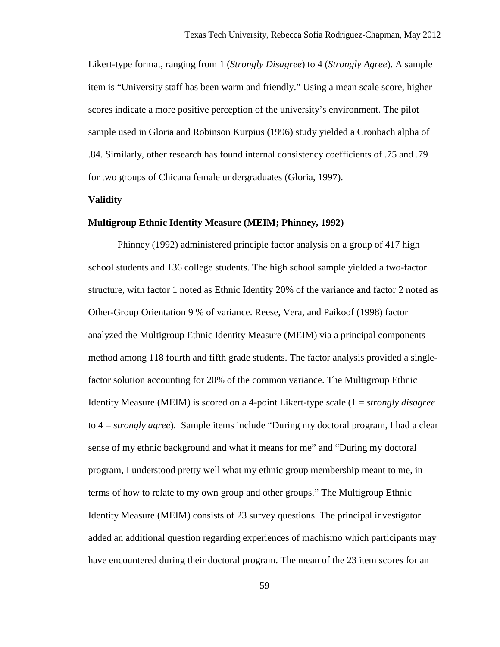Likert-type format, ranging from 1 (*Strongly Disagree*) to 4 (*Strongly Agree*). A sample item is "University staff has been warm and friendly." Using a mean scale score, higher scores indicate a more positive perception of the university's environment. The pilot sample used in Gloria and Robinson Kurpius (1996) study yielded a Cronbach alpha of .84. Similarly, other research has found internal consistency coefficients of .75 and .79 for two groups of Chicana female undergraduates (Gloria, 1997).

#### **Validity**

## **Multigroup Ethnic Identity Measure (MEIM; Phinney, 1992)**

 Phinney (1992) administered principle factor analysis on a group of 417 high school students and 136 college students. The high school sample yielded a two-factor structure, with factor 1 noted as Ethnic Identity 20% of the variance and factor 2 noted as Other-Group Orientation 9 % of variance. Reese, Vera, and Paikoof (1998) factor analyzed the Multigroup Ethnic Identity Measure (MEIM) via a principal components method among 118 fourth and fifth grade students. The factor analysis provided a singlefactor solution accounting for 20% of the common variance. The Multigroup Ethnic Identity Measure (MEIM) is scored on a 4-point Likert-type scale (1 = *strongly disagree*  to 4 = *strongly agree*). Sample items include "During my doctoral program, I had a clear sense of my ethnic background and what it means for me" and "During my doctoral program, I understood pretty well what my ethnic group membership meant to me, in terms of how to relate to my own group and other groups." The Multigroup Ethnic Identity Measure (MEIM) consists of 23 survey questions. The principal investigator added an additional question regarding experiences of machismo which participants may have encountered during their doctoral program. The mean of the 23 item scores for an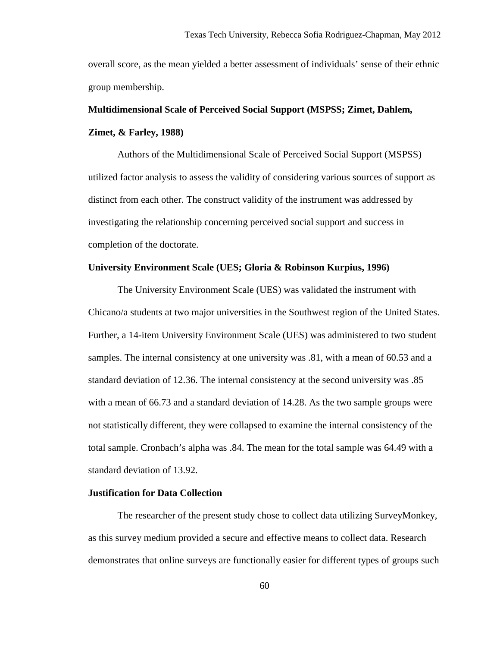overall score, as the mean yielded a better assessment of individuals' sense of their ethnic group membership.

# **Multidimensional Scale of Perceived Social Support (MSPSS; Zimet, Dahlem, Zimet, & Farley, 1988)**

Authors of the Multidimensional Scale of Perceived Social Support (MSPSS) utilized factor analysis to assess the validity of considering various sources of support as distinct from each other. The construct validity of the instrument was addressed by investigating the relationship concerning perceived social support and success in completion of the doctorate.

## **University Environment Scale (UES; Gloria & Robinson Kurpius, 1996)**

The University Environment Scale (UES) was validated the instrument with Chicano/a students at two major universities in the Southwest region of the United States. Further, a 14-item University Environment Scale (UES) was administered to two student samples. The internal consistency at one university was .81, with a mean of 60.53 and a standard deviation of 12.36. The internal consistency at the second university was .85 with a mean of 66.73 and a standard deviation of 14.28. As the two sample groups were not statistically different, they were collapsed to examine the internal consistency of the total sample. Cronbach's alpha was .84. The mean for the total sample was 64.49 with a standard deviation of 13.92.

## **Justification for Data Collection**

The researcher of the present study chose to collect data utilizing SurveyMonkey, as this survey medium provided a secure and effective means to collect data. Research demonstrates that online surveys are functionally easier for different types of groups such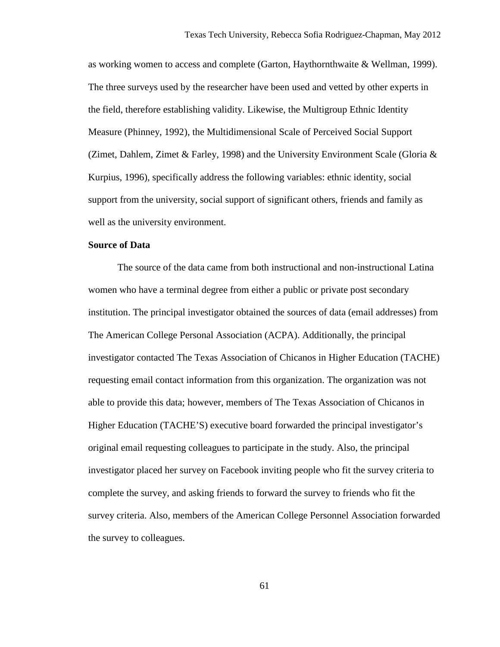as working women to access and complete (Garton, Haythornthwaite & Wellman, 1999). The three surveys used by the researcher have been used and vetted by other experts in the field, therefore establishing validity. Likewise, the Multigroup Ethnic Identity Measure (Phinney, 1992), the Multidimensional Scale of Perceived Social Support (Zimet, Dahlem, Zimet & Farley, 1998) and the University Environment Scale (Gloria & Kurpius, 1996), specifically address the following variables: ethnic identity, social support from the university, social support of significant others, friends and family as well as the university environment.

## **Source of Data**

The source of the data came from both instructional and non-instructional Latina women who have a terminal degree from either a public or private post secondary institution. The principal investigator obtained the sources of data (email addresses) from The American College Personal Association (ACPA). Additionally, the principal investigator contacted The Texas Association of Chicanos in Higher Education (TACHE) requesting email contact information from this organization. The organization was not able to provide this data; however, members of The Texas Association of Chicanos in Higher Education (TACHE'S) executive board forwarded the principal investigator's original email requesting colleagues to participate in the study. Also, the principal investigator placed her survey on Facebook inviting people who fit the survey criteria to complete the survey, and asking friends to forward the survey to friends who fit the survey criteria. Also, members of the American College Personnel Association forwarded the survey to colleagues.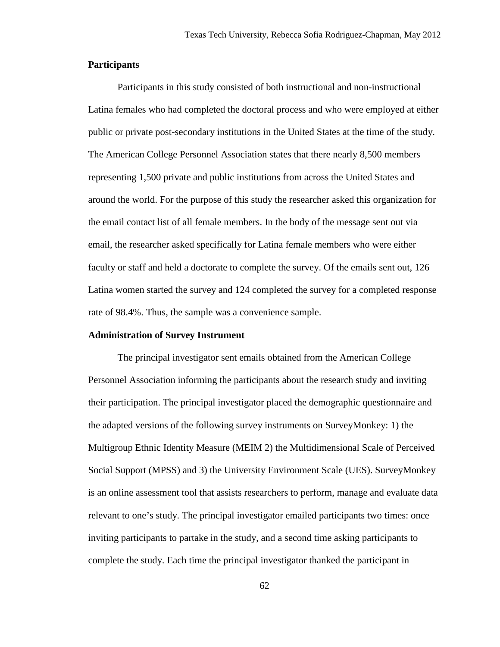## **Participants**

Participants in this study consisted of both instructional and non-instructional Latina females who had completed the doctoral process and who were employed at either public or private post-secondary institutions in the United States at the time of the study. The American College Personnel Association states that there nearly 8,500 members representing 1,500 private and public institutions from across the United States and around the world. For the purpose of this study the researcher asked this organization for the email contact list of all female members. In the body of the message sent out via email, the researcher asked specifically for Latina female members who were either faculty or staff and held a doctorate to complete the survey. Of the emails sent out, 126 Latina women started the survey and 124 completed the survey for a completed response rate of 98.4%. Thus, the sample was a convenience sample.

#### **Administration of Survey Instrument**

 The principal investigator sent emails obtained from the American College Personnel Association informing the participants about the research study and inviting their participation. The principal investigator placed the demographic questionnaire and the adapted versions of the following survey instruments on SurveyMonkey: 1) the Multigroup Ethnic Identity Measure (MEIM 2) the Multidimensional Scale of Perceived Social Support (MPSS) and 3) the University Environment Scale (UES). SurveyMonkey is an online assessment tool that assists researchers to perform, manage and evaluate data relevant to one's study. The principal investigator emailed participants two times: once inviting participants to partake in the study, and a second time asking participants to complete the study. Each time the principal investigator thanked the participant in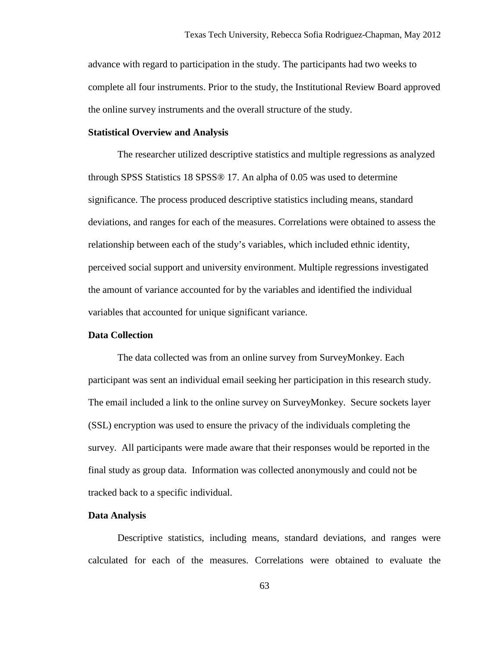advance with regard to participation in the study. The participants had two weeks to complete all four instruments. Prior to the study, the Institutional Review Board approved the online survey instruments and the overall structure of the study.

## **Statistical Overview and Analysis**

The researcher utilized descriptive statistics and multiple regressions as analyzed through SPSS Statistics 18 SPSS® 17. An alpha of 0.05 was used to determine significance. The process produced descriptive statistics including means, standard deviations, and ranges for each of the measures. Correlations were obtained to assess the relationship between each of the study's variables, which included ethnic identity, perceived social support and university environment. Multiple regressions investigated the amount of variance accounted for by the variables and identified the individual variables that accounted for unique significant variance.

## **Data Collection**

The data collected was from an online survey from SurveyMonkey. Each participant was sent an individual email seeking her participation in this research study. The email included a link to the online survey on SurveyMonkey. Secure sockets layer (SSL) encryption was used to ensure the privacy of the individuals completing the survey. All participants were made aware that their responses would be reported in the final study as group data. Information was collected anonymously and could not be tracked back to a specific individual.

#### **Data Analysis**

Descriptive statistics, including means, standard deviations, and ranges were calculated for each of the measures. Correlations were obtained to evaluate the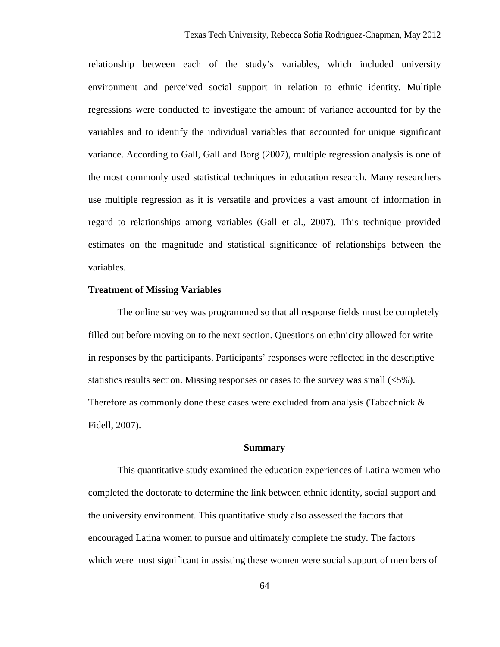relationship between each of the study's variables, which included university environment and perceived social support in relation to ethnic identity. Multiple regressions were conducted to investigate the amount of variance accounted for by the variables and to identify the individual variables that accounted for unique significant variance. According to Gall, Gall and Borg (2007), multiple regression analysis is one of the most commonly used statistical techniques in education research. Many researchers use multiple regression as it is versatile and provides a vast amount of information in regard to relationships among variables (Gall et al., 2007). This technique provided estimates on the magnitude and statistical significance of relationships between the variables.

#### **Treatment of Missing Variables**

The online survey was programmed so that all response fields must be completely filled out before moving on to the next section. Questions on ethnicity allowed for write in responses by the participants. Participants' responses were reflected in the descriptive statistics results section. Missing responses or cases to the survey was small (<5%). Therefore as commonly done these cases were excluded from analysis (Tabachnick & Fidell, 2007).

#### **Summary**

This quantitative study examined the education experiences of Latina women who completed the doctorate to determine the link between ethnic identity, social support and the university environment. This quantitative study also assessed the factors that encouraged Latina women to pursue and ultimately complete the study. The factors which were most significant in assisting these women were social support of members of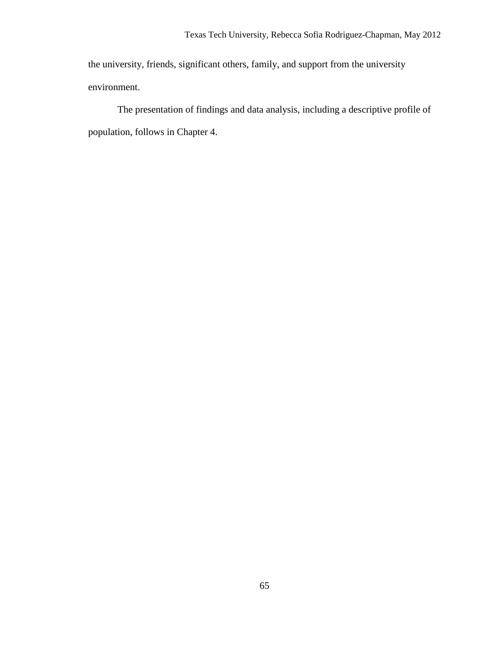the university, friends, significant others, family, and support from the university environment.

The presentation of findings and data analysis, including a descriptive profile of population, follows in Chapter 4.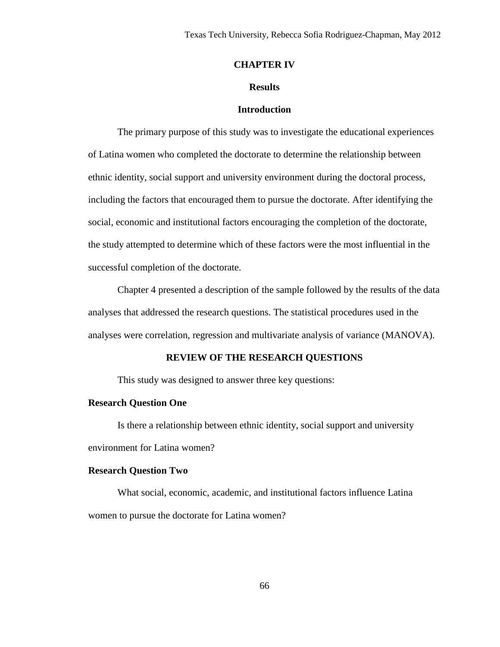#### **CHAPTER IV**

#### **Results**

#### **Introduction**

 The primary purpose of this study was to investigate the educational experiences of Latina women who completed the doctorate to determine the relationship between ethnic identity, social support and university environment during the doctoral process, including the factors that encouraged them to pursue the doctorate. After identifying the social, economic and institutional factors encouraging the completion of the doctorate, the study attempted to determine which of these factors were the most influential in the successful completion of the doctorate.

Chapter 4 presented a description of the sample followed by the results of the data analyses that addressed the research questions. The statistical procedures used in the analyses were correlation, regression and multivariate analysis of variance (MANOVA).

#### **REVIEW OF THE RESEARCH QUESTIONS**

This study was designed to answer three key questions:

### **Research Question One**

Is there a relationship between ethnic identity, social support and university environment for Latina women?

#### **Research Question Two**

What social, economic, academic, and institutional factors influence Latina women to pursue the doctorate for Latina women?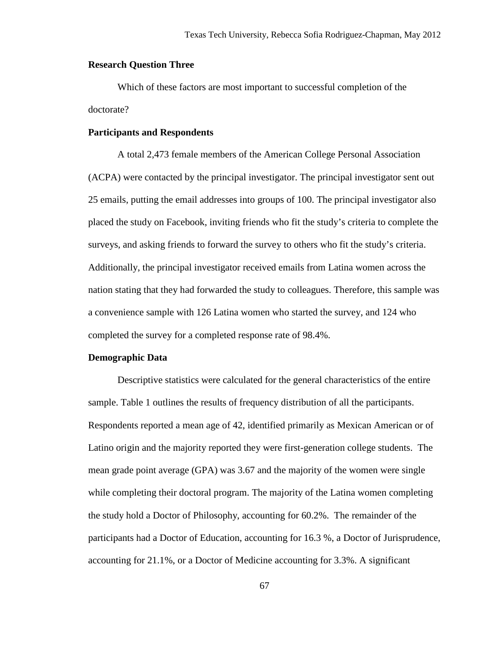### **Research Question Three**

 Which of these factors are most important to successful completion of the doctorate?

#### **Participants and Respondents**

A total 2,473 female members of the American College Personal Association (ACPA) were contacted by the principal investigator. The principal investigator sent out 25 emails, putting the email addresses into groups of 100. The principal investigator also placed the study on Facebook, inviting friends who fit the study's criteria to complete the surveys, and asking friends to forward the survey to others who fit the study's criteria. Additionally, the principal investigator received emails from Latina women across the nation stating that they had forwarded the study to colleagues. Therefore, this sample was a convenience sample with 126 Latina women who started the survey, and 124 who completed the survey for a completed response rate of 98.4%.

#### **Demographic Data**

Descriptive statistics were calculated for the general characteristics of the entire sample. Table 1 outlines the results of frequency distribution of all the participants. Respondents reported a mean age of 42, identified primarily as Mexican American or of Latino origin and the majority reported they were first-generation college students. The mean grade point average (GPA) was 3.67 and the majority of the women were single while completing their doctoral program. The majority of the Latina women completing the study hold a Doctor of Philosophy, accounting for 60.2%. The remainder of the participants had a Doctor of Education, accounting for 16.3 %, a Doctor of Jurisprudence, accounting for 21.1%, or a Doctor of Medicine accounting for 3.3%. A significant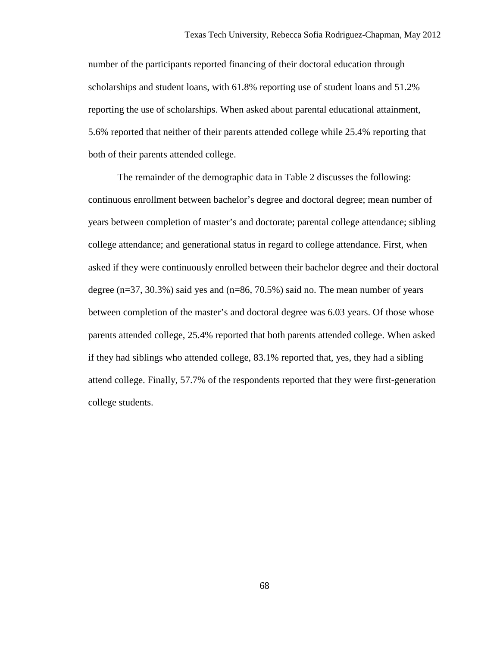number of the participants reported financing of their doctoral education through scholarships and student loans, with 61.8% reporting use of student loans and 51.2% reporting the use of scholarships. When asked about parental educational attainment, 5.6% reported that neither of their parents attended college while 25.4% reporting that both of their parents attended college.

The remainder of the demographic data in Table 2 discusses the following: continuous enrollment between bachelor's degree and doctoral degree; mean number of years between completion of master's and doctorate; parental college attendance; sibling college attendance; and generational status in regard to college attendance. First, when asked if they were continuously enrolled between their bachelor degree and their doctoral degree ( $n=37, 30.3\%$ ) said yes and ( $n=86, 70.5\%$ ) said no. The mean number of years between completion of the master's and doctoral degree was 6.03 years. Of those whose parents attended college, 25.4% reported that both parents attended college. When asked if they had siblings who attended college, 83.1% reported that, yes, they had a sibling attend college. Finally, 57.7% of the respondents reported that they were first-generation college students.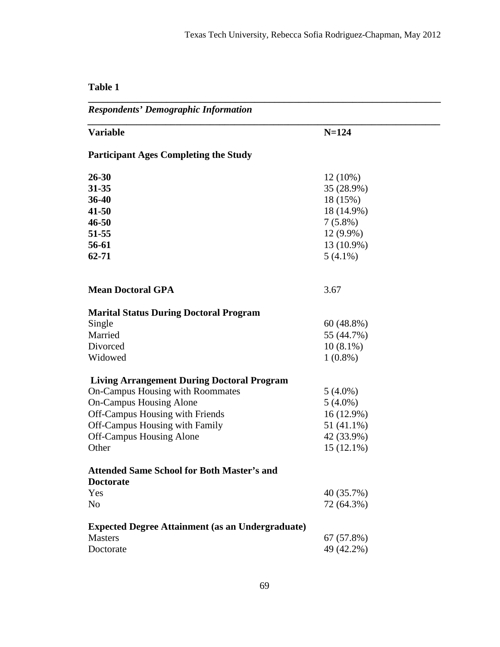# **Table 1**

*Respondents' Demographic Information* 

| <b>Variable</b>                                         | $N = 124$    |
|---------------------------------------------------------|--------------|
| <b>Participant Ages Completing the Study</b>            |              |
| 26-30                                                   | $12(10\%)$   |
| 31-35                                                   | 35 (28.9%)   |
| 36-40                                                   | 18 (15%)     |
| 41-50                                                   | 18 (14.9%)   |
| 46-50                                                   | $7(5.8\%)$   |
| 51-55                                                   | $12(9.9\%)$  |
| 56-61                                                   | $13(10.9\%)$ |
| 62-71                                                   | $5(4.1\%)$   |
|                                                         |              |
| <b>Mean Doctoral GPA</b>                                | 3.67         |
| <b>Marital Status During Doctoral Program</b>           |              |
| Single                                                  | $60(48.8\%)$ |
| Married                                                 | 55 (44.7%)   |
| Divorced                                                | $10(8.1\%)$  |
| Widowed                                                 | $1(0.8\%)$   |
| <b>Living Arrangement During Doctoral Program</b>       |              |
| On-Campus Housing with Roommates                        | $5(4.0\%)$   |
| On-Campus Housing Alone                                 | $5(4.0\%)$   |
| Off-Campus Housing with Friends                         | $16(12.9\%)$ |
| Off-Campus Housing with Family                          | 51 (41.1%)   |
| <b>Off-Campus Housing Alone</b>                         | 42 (33.9%)   |
| Other                                                   | $15(12.1\%)$ |
| <b>Attended Same School for Both Master's and</b>       |              |
| <b>Doctorate</b>                                        |              |
| Yes                                                     | 40 (35.7%)   |
| N <sub>0</sub>                                          | 72 (64.3%)   |
| <b>Expected Degree Attainment (as an Undergraduate)</b> |              |
| <b>Masters</b>                                          | $67(57.8\%)$ |
| Doctorate                                               | 49 (42.2%)   |
|                                                         |              |

**\_\_\_\_\_\_\_\_\_\_\_\_\_\_\_\_\_\_\_\_\_\_\_\_\_\_\_\_\_\_\_\_\_\_\_\_\_\_\_\_\_\_\_\_\_\_\_\_\_\_\_\_\_\_\_\_\_\_\_\_\_\_\_\_\_\_\_\_\_\_\_\_**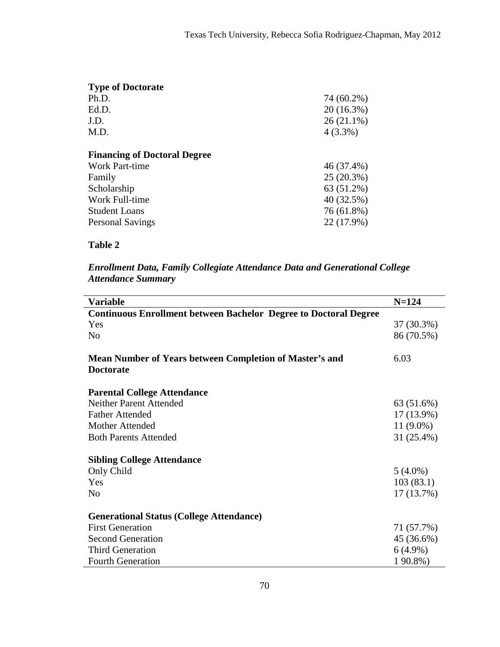| <b>Type of Doctorate</b>            |              |
|-------------------------------------|--------------|
| Ph.D.                               | 74 (60.2%)   |
| Ed.D.                               | $20(16.3\%)$ |
| J.D.                                | $26(21.1\%)$ |
| M.D.                                | $4(3.3\%)$   |
| <b>Financing of Doctoral Degree</b> |              |
| Work Part-time                      | $46(37.4\%)$ |
| Family                              | $25(20.3\%)$ |
| Scholarship                         | $63(51.2\%)$ |
| Work Full-time                      | 40(32.5%)    |
| <b>Student Loans</b>                | 76 (61.8%)   |
| <b>Personal Savings</b>             | $22(17.9\%)$ |
|                                     |              |

# **Table 2**

# *Enrollment Data, Family Collegiate Attendance Data and Generational College Attendance Summary*

| <b>Variable</b>                                                                    | $N = 124$     |
|------------------------------------------------------------------------------------|---------------|
| <b>Continuous Enrollment between Bachelor Degree to Doctoral Degree</b>            |               |
| Yes                                                                                | $37(30.3\%)$  |
| No                                                                                 | 86 (70.5%)    |
| <b>Mean Number of Years between Completion of Master's and</b><br><b>Doctorate</b> | 6.03          |
| <b>Parental College Attendance</b>                                                 |               |
| Neither Parent Attended                                                            | $63(51.6\%)$  |
| Father Attended                                                                    | $17(13.9\%)$  |
| Mother Attended                                                                    | 11 $(9.0\%)$  |
| <b>Both Parents Attended</b>                                                       | 31 $(25.4\%)$ |
| <b>Sibling College Attendance</b>                                                  |               |
| Only Child                                                                         | $5(4.0\%)$    |
| Yes                                                                                | 103(83.1)     |
| N <sub>0</sub>                                                                     | $17(13.7\%)$  |
| <b>Generational Status (College Attendance)</b>                                    |               |
| <b>First Generation</b>                                                            | 71 (57.7%)    |
| <b>Second Generation</b>                                                           | $45(36.6\%)$  |
| <b>Third Generation</b>                                                            | $6(4.9\%)$    |
| <b>Fourth Generation</b>                                                           | $190.8\%$     |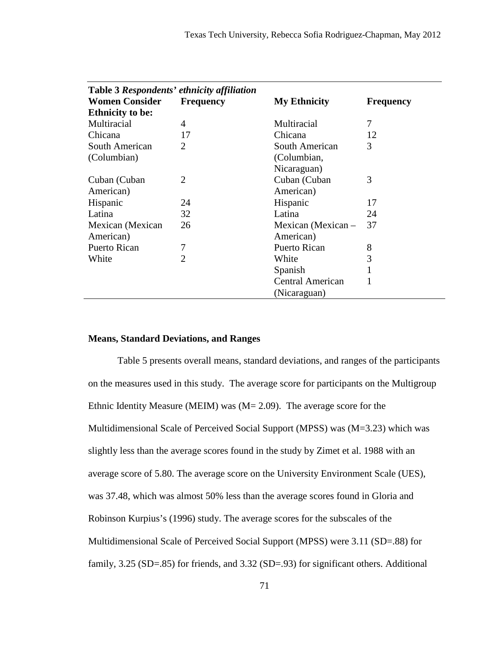| Table 3 Respondents' ethnicity affiliation<br><b>Women Consider</b> | <b>Frequency</b> | <b>My Ethnicity</b>  | <b>Frequency</b> |
|---------------------------------------------------------------------|------------------|----------------------|------------------|
| <b>Ethnicity to be:</b>                                             |                  |                      |                  |
| Multiracial                                                         | 4                | Multiracial          | 7                |
| Chicana                                                             | 17               | Chicana              | 12               |
| South American                                                      | $\overline{2}$   | South American       | 3                |
| (Columbian)                                                         |                  | (Columbian,          |                  |
|                                                                     |                  | Nicaraguan)          |                  |
| Cuban (Cuban                                                        | $\overline{2}$   | Cuban (Cuban         | 3                |
| American)                                                           |                  | American)            |                  |
| Hispanic                                                            | 24               | Hispanic             | 17               |
| Latina                                                              | 32               | Latina               | 24               |
| Mexican (Mexican                                                    | 26               | Mexican (Mexican $-$ | 37               |
| American)                                                           |                  | American)            |                  |
| Puerto Rican                                                        | 7                | Puerto Rican         | 8                |
| White                                                               | $\overline{2}$   | White                | 3                |
|                                                                     |                  | Spanish              |                  |
|                                                                     |                  | Central American     |                  |
|                                                                     |                  | (Nicaraguan)         |                  |

### **Means, Standard Deviations, and Ranges**

 Table 5 presents overall means, standard deviations, and ranges of the participants on the measures used in this study. The average score for participants on the Multigroup Ethnic Identity Measure (MEIM) was (M= 2.09). The average score for the Multidimensional Scale of Perceived Social Support (MPSS) was (M=3.23) which was slightly less than the average scores found in the study by Zimet et al. 1988 with an average score of 5.80. The average score on the University Environment Scale (UES), was 37.48, which was almost 50% less than the average scores found in Gloria and Robinson Kurpius's (1996) study. The average scores for the subscales of the Multidimensional Scale of Perceived Social Support (MPSS) were 3.11 (SD=.88) for family, 3.25 (SD=.85) for friends, and 3.32 (SD=.93) for significant others. Additional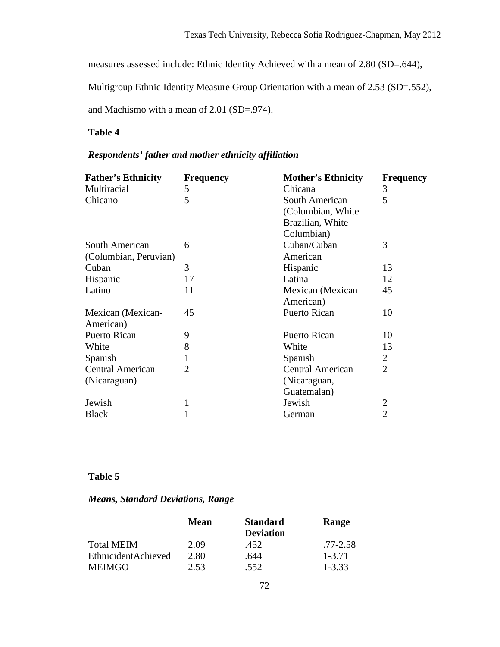measures assessed include: Ethnic Identity Achieved with a mean of 2.80 (SD=.644),

Multigroup Ethnic Identity Measure Group Orientation with a mean of 2.53 (SD=.552),

and Machismo with a mean of 2.01 (SD=.974).

# **Table 4**

# *Respondents' father and mother ethnicity affiliation*

| <b>Father's Ethnicity</b> | <b>Frequency</b> | <b>Mother's Ethnicity</b> | <b>Frequency</b> |
|---------------------------|------------------|---------------------------|------------------|
| Multiracial               | 5                | Chicana                   | 3                |
| Chicano                   | 5                | South American            | 5                |
|                           |                  | (Columbian, White)        |                  |
|                           |                  | Brazilian, White          |                  |
|                           |                  | Columbian)                |                  |
| South American            | 6                | Cuban/Cuban               | 3                |
| (Columbian, Peruvian)     |                  | American                  |                  |
| Cuban                     | 3                | Hispanic                  | 13               |
| Hispanic                  | 17               | Latina                    | 12               |
| Latino                    | 11               | Mexican (Mexican          | 45               |
|                           |                  | American)                 |                  |
| Mexican (Mexican-         | 45               | Puerto Rican              | 10               |
| American)                 |                  |                           |                  |
| Puerto Rican              | 9                | Puerto Rican              | 10               |
| White                     | 8                | White                     | 13               |
| Spanish                   |                  | Spanish                   | 2                |
| Central American          | 2                | Central American          | $\overline{2}$   |
| (Nicaraguan)              |                  | (Nicaraguan,              |                  |
|                           |                  | Guatemalan)               |                  |
| Jewish                    |                  | Jewish                    | 2                |
| <b>Black</b>              |                  | German                    | 2                |

# **Table 5**

# *Means, Standard Deviations, Range*

|                     | Mean | <b>Standard</b><br><b>Deviation</b> | Range     |
|---------------------|------|-------------------------------------|-----------|
| <b>Total MEIM</b>   | 2.09 | .452                                | .77-2.58  |
| EthnicidentAchieved | 2.80 | 644                                 | $1-3, 71$ |
| <b>MEIMGO</b>       | 2.53 | 552                                 | $1 - 333$ |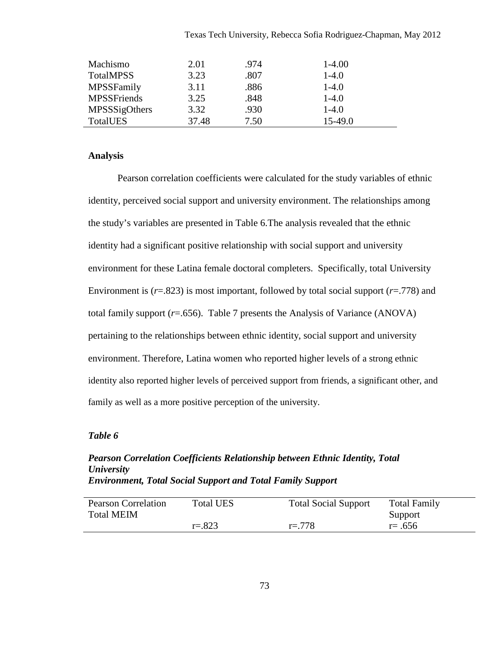|  |  | Texas Tech University, Rebecca Sofia Rodriguez-Chapman, May 2012 |  |  |
|--|--|------------------------------------------------------------------|--|--|
|  |  |                                                                  |  |  |

| Machismo           | 2.01  | .974 | $1-4.00$ |
|--------------------|-------|------|----------|
| <b>TotalMPSS</b>   | 3.23  | .807 | $1-4.0$  |
| MPSSFamily         | 3.11  | .886 | $1-4.0$  |
| <b>MPSSFriends</b> | 3.25  | .848 | $1-4.0$  |
| MPSSSigOthers      | 3.32  | .930 | $1-4.0$  |
| TotalUES           | 37.48 | 7.50 | 15-49.0  |

### **Analysis**

Pearson correlation coefficients were calculated for the study variables of ethnic identity, perceived social support and university environment. The relationships among the study's variables are presented in Table 6.The analysis revealed that the ethnic identity had a significant positive relationship with social support and university environment for these Latina female doctoral completers. Specifically, total University Environment is (*r*=.823) is most important, followed by total social support (*r*=.778) and total family support (*r*=.656). Table 7 presents the Analysis of Variance (ANOVA) pertaining to the relationships between ethnic identity, social support and university environment. Therefore, Latina women who reported higher levels of a strong ethnic identity also reported higher levels of perceived support from friends, a significant other, and family as well as a more positive perception of the university.

#### *Table 6*

# *Pearson Correlation Coefficients Relationship between Ethnic Identity, Total University Environment, Total Social Support and Total Family Support*

| Pearson Correlation<br><b>Total MEIM</b> | Total UES | <b>Total Social Support</b> | Total Family<br>Support |
|------------------------------------------|-----------|-----------------------------|-------------------------|
|                                          | $r = 823$ | $r = 778$                   | $r = .656$              |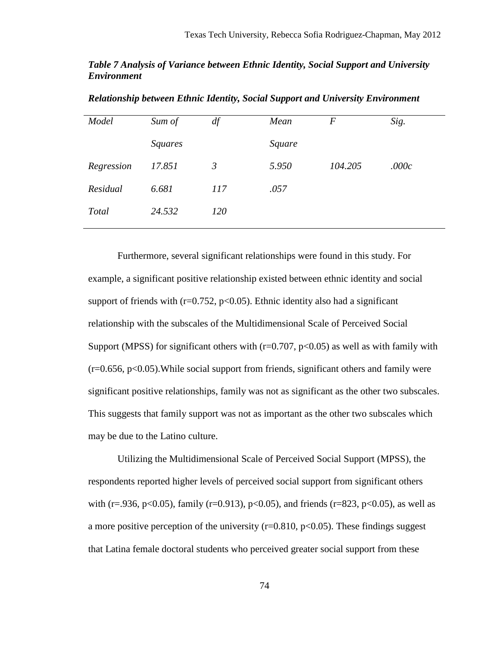# *Table 7 Analysis of Variance between Ethnic Identity, Social Support and University Environment*

| Model        | Sum of         | df             | Mean   | F       | Sig.  |
|--------------|----------------|----------------|--------|---------|-------|
|              | <i>Squares</i> |                | Square |         |       |
| Regression   | 17.851         | $\mathfrak{Z}$ | 5.950  | 104.205 | .000c |
| Residual     | 6.681          | 117            | .057   |         |       |
| <b>Total</b> | 24.532         | 120            |        |         |       |
|              |                |                |        |         |       |

*Relationship between Ethnic Identity, Social Support and University Environment* 

Furthermore, several significant relationships were found in this study. For example, a significant positive relationship existed between ethnic identity and social support of friends with ( $r=0.752$ ,  $p<0.05$ ). Ethnic identity also had a significant relationship with the subscales of the Multidimensional Scale of Perceived Social Support (MPSS) for significant others with  $(r=0.707, p<0.05)$  as well as with family with  $(r=0.656, p<0.05)$ . While social support from friends, significant others and family were significant positive relationships, family was not as significant as the other two subscales. This suggests that family support was not as important as the other two subscales which may be due to the Latino culture.

Utilizing the Multidimensional Scale of Perceived Social Support (MPSS), the respondents reported higher levels of perceived social support from significant others with (r=.936, p<0.05), family (r=0.913), p<0.05), and friends (r=823, p<0.05), as well as a more positive perception of the university ( $r=0.810$ ,  $p<0.05$ ). These findings suggest that Latina female doctoral students who perceived greater social support from these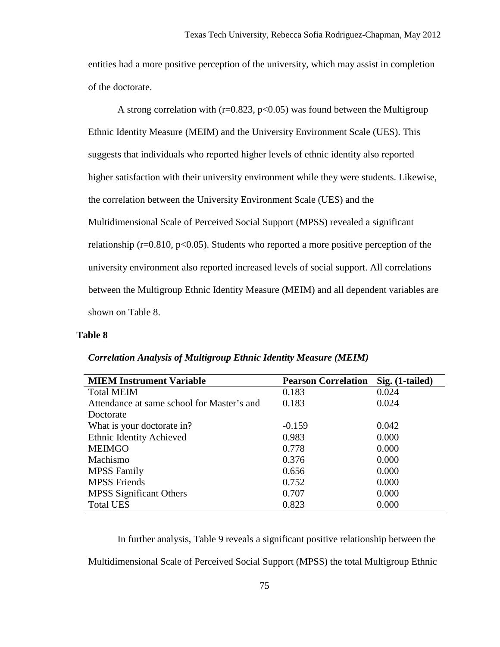entities had a more positive perception of the university, which may assist in completion of the doctorate.

A strong correlation with ( $r=0.823$ ,  $p<0.05$ ) was found between the Multigroup Ethnic Identity Measure (MEIM) and the University Environment Scale (UES). This suggests that individuals who reported higher levels of ethnic identity also reported higher satisfaction with their university environment while they were students. Likewise, the correlation between the University Environment Scale (UES) and the Multidimensional Scale of Perceived Social Support (MPSS) revealed a significant relationship ( $r=0.810$ ,  $p<0.05$ ). Students who reported a more positive perception of the university environment also reported increased levels of social support. All correlations between the Multigroup Ethnic Identity Measure (MEIM) and all dependent variables are shown on Table 8.

#### **Table 8**

| <b>MIEM Instrument Variable</b>            | <b>Pearson Correlation</b> | Sig. (1-tailed) |
|--------------------------------------------|----------------------------|-----------------|
| <b>Total MEIM</b>                          | 0.183                      | 0.024           |
| Attendance at same school for Master's and | 0.183                      | 0.024           |
| Doctorate                                  |                            |                 |
| What is your doctorate in?                 | $-0.159$                   | 0.042           |
| Ethnic Identity Achieved                   | 0.983                      | 0.000           |
| <b>MEIMGO</b>                              | 0.778                      | 0.000           |
| Machismo                                   | 0.376                      | 0.000           |
| <b>MPSS Family</b>                         | 0.656                      | 0.000           |
| <b>MPSS Friends</b>                        | 0.752                      | 0.000           |
| <b>MPSS</b> Significant Others             | 0.707                      | 0.000           |
| <b>Total UES</b>                           | 0.823                      | 0.000           |

# *Correlation Analysis of Multigroup Ethnic Identity Measure (MEIM)*

In further analysis, Table 9 reveals a significant positive relationship between the Multidimensional Scale of Perceived Social Support (MPSS) the total Multigroup Ethnic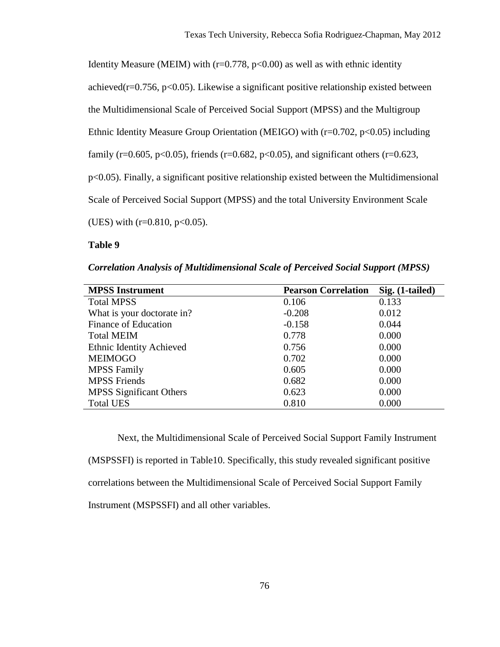Identity Measure (MEIM) with ( $r=0.778$ ,  $p<0.00$ ) as well as with ethnic identity achieved( $r=0.756$ ,  $p<0.05$ ). Likewise a significant positive relationship existed between the Multidimensional Scale of Perceived Social Support (MPSS) and the Multigroup Ethnic Identity Measure Group Orientation (MEIGO) with  $(r=0.702, p<0.05)$  including family ( $r=0.605$ ,  $p<0.05$ ), friends ( $r=0.682$ ,  $p<0.05$ ), and significant others ( $r=0.623$ , p<0.05). Finally, a significant positive relationship existed between the Multidimensional Scale of Perceived Social Support (MPSS) and the total University Environment Scale (UES) with  $(r=0.810, p<0.05)$ .

### **Table 9**

*Correlation Analysis of Multidimensional Scale of Perceived Social Support (MPSS)* 

| <b>MPSS Instrument</b>         | <b>Pearson Correlation</b> | Sig. (1-tailed) |
|--------------------------------|----------------------------|-----------------|
| <b>Total MPSS</b>              | 0.106                      | 0.133           |
| What is your doctorate in?     | $-0.208$                   | 0.012           |
| Finance of Education           | $-0.158$                   | 0.044           |
| <b>Total MEIM</b>              | 0.778                      | 0.000           |
| Ethnic Identity Achieved       | 0.756                      | 0.000           |
| <b>MEIMOGO</b>                 | 0.702                      | 0.000           |
| <b>MPSS Family</b>             | 0.605                      | 0.000           |
| <b>MPSS Friends</b>            | 0.682                      | 0.000           |
| <b>MPSS</b> Significant Others | 0.623                      | 0.000           |
| <b>Total UES</b>               | 0.810                      | 0.000           |

Next, the Multidimensional Scale of Perceived Social Support Family Instrument (MSPSSFI) is reported in Table10. Specifically, this study revealed significant positive correlations between the Multidimensional Scale of Perceived Social Support Family Instrument (MSPSSFI) and all other variables.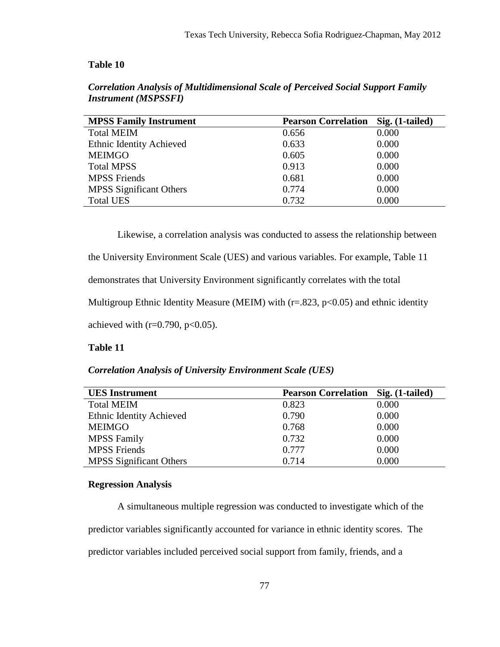### **Table 10**

| <b>MPSS Family Instrument</b> | <b>Pearson Correlation</b> | Sig. (1-tailed) |
|-------------------------------|----------------------------|-----------------|
| <b>Total MEIM</b>             | 0.656                      | 0.000           |
| Ethnic Identity Achieved      | 0.633                      | 0.000           |
| <b>MEIMGO</b>                 | 0.605                      | 0.000           |
| <b>Total MPSS</b>             | 0.913                      | 0.000           |
| <b>MPSS Friends</b>           | 0.681                      | 0.000           |
| MPSS Significant Others       | 0.774                      | 0.000           |
| <b>Total UES</b>              | 0.732                      | 0.000           |

*Correlation Analysis of Multidimensional Scale of Perceived Social Support Family Instrument (MSPSSFI)* 

Likewise, a correlation analysis was conducted to assess the relationship between

the University Environment Scale (UES) and various variables. For example, Table 11

demonstrates that University Environment significantly correlates with the total

Multigroup Ethnic Identity Measure (MEIM) with  $(r=.823, p<0.05)$  and ethnic identity

achieved with ( $r=0.790$ ,  $p<0.05$ ).

### **Table 11**

### *Correlation Analysis of University Environment Scale (UES)*

| <b>UES</b> Instrument          | <b>Pearson Correlation Sig. (1-tailed)</b> |       |
|--------------------------------|--------------------------------------------|-------|
| <b>Total MEIM</b>              | 0.823                                      | 0.000 |
| Ethnic Identity Achieved       | 0.790                                      | 0.000 |
| <b>MEIMGO</b>                  | 0.768                                      | 0.000 |
| <b>MPSS Family</b>             | 0.732                                      | 0.000 |
| <b>MPSS Friends</b>            | 0.777                                      | 0.000 |
| <b>MPSS</b> Significant Others | 0.714                                      | 0.000 |

#### **Regression Analysis**

A simultaneous multiple regression was conducted to investigate which of the predictor variables significantly accounted for variance in ethnic identity scores. The predictor variables included perceived social support from family, friends, and a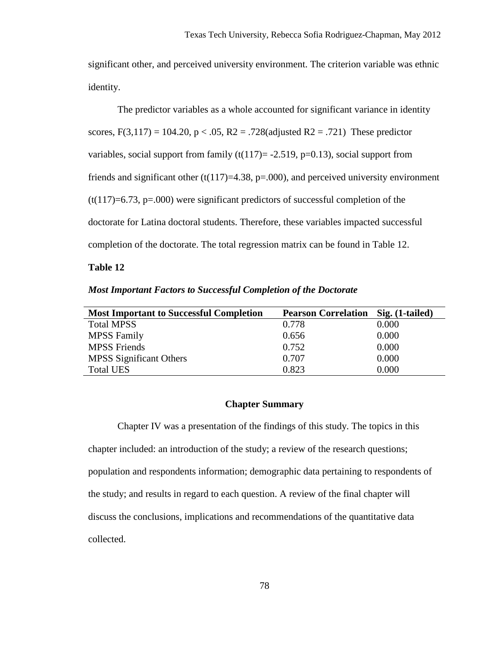significant other, and perceived university environment. The criterion variable was ethnic identity.

 The predictor variables as a whole accounted for significant variance in identity scores,  $F(3,117) = 104.20$ ,  $p < .05$ ,  $R2 = .728$ (adjusted  $R2 = .721$ ) These predictor variables, social support from family  $(t(117)= -2.519, p=0.13)$ , social support from friends and significant other  $(t(117)=4.38, p=.000)$ , and perceived university environment  $(t(117)=6.73, p=.000)$  were significant predictors of successful completion of the doctorate for Latina doctoral students. Therefore, these variables impacted successful completion of the doctorate. The total regression matrix can be found in Table 12.

### **Table 12**

| <b>Most Important Factors to Successful Completion of the Doctorate</b> |  |  |  |
|-------------------------------------------------------------------------|--|--|--|
|-------------------------------------------------------------------------|--|--|--|

| <b>Most Important to Successful Completion</b> | <b>Pearson Correlation</b> Sig. (1-tailed) |       |
|------------------------------------------------|--------------------------------------------|-------|
| <b>Total MPSS</b>                              | 0.778                                      | 0.000 |
| <b>MPSS Family</b>                             | 0.656                                      | 0.000 |
| <b>MPSS Friends</b>                            | 0.752                                      | 0.000 |
| <b>MPSS</b> Significant Others                 | 0.707                                      | 0.000 |
| <b>Total UES</b>                               | 0.823                                      | 0.000 |

# **Chapter Summary**

Chapter IV was a presentation of the findings of this study. The topics in this chapter included: an introduction of the study; a review of the research questions; population and respondents information; demographic data pertaining to respondents of the study; and results in regard to each question. A review of the final chapter will discuss the conclusions, implications and recommendations of the quantitative data collected.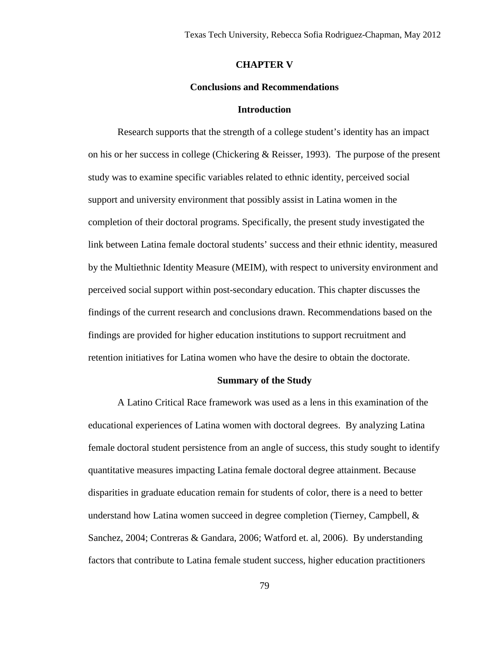#### **CHAPTER V**

#### **Conclusions and Recommendations**

#### **Introduction**

Research supports that the strength of a college student's identity has an impact on his or her success in college (Chickering & Reisser, 1993). The purpose of the present study was to examine specific variables related to ethnic identity, perceived social support and university environment that possibly assist in Latina women in the completion of their doctoral programs. Specifically, the present study investigated the link between Latina female doctoral students' success and their ethnic identity, measured by the Multiethnic Identity Measure (MEIM), with respect to university environment and perceived social support within post-secondary education. This chapter discusses the findings of the current research and conclusions drawn. Recommendations based on the findings are provided for higher education institutions to support recruitment and retention initiatives for Latina women who have the desire to obtain the doctorate.

#### **Summary of the Study**

A Latino Critical Race framework was used as a lens in this examination of the educational experiences of Latina women with doctoral degrees. By analyzing Latina female doctoral student persistence from an angle of success, this study sought to identify quantitative measures impacting Latina female doctoral degree attainment. Because disparities in graduate education remain for students of color, there is a need to better understand how Latina women succeed in degree completion (Tierney, Campbell, & Sanchez, 2004; Contreras & Gandara, 2006; Watford et. al, 2006). By understanding factors that contribute to Latina female student success, higher education practitioners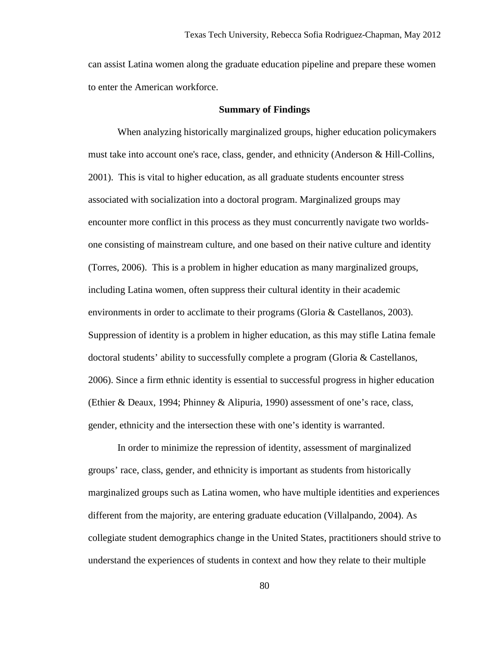can assist Latina women along the graduate education pipeline and prepare these women to enter the American workforce.

#### **Summary of Findings**

When analyzing historically marginalized groups, higher education policymakers must take into account one's race, class, gender, and ethnicity (Anderson & Hill-Collins, 2001). This is vital to higher education, as all graduate students encounter stress associated with socialization into a doctoral program. Marginalized groups may encounter more conflict in this process as they must concurrently navigate two worldsone consisting of mainstream culture, and one based on their native culture and identity (Torres, 2006). This is a problem in higher education as many marginalized groups, including Latina women, often suppress their cultural identity in their academic environments in order to acclimate to their programs (Gloria & Castellanos, 2003). Suppression of identity is a problem in higher education, as this may stifle Latina female doctoral students' ability to successfully complete a program (Gloria & Castellanos, 2006). Since a firm ethnic identity is essential to successful progress in higher education (Ethier & Deaux, 1994; Phinney & Alipuria, 1990) assessment of one's race, class, gender, ethnicity and the intersection these with one's identity is warranted.

In order to minimize the repression of identity, assessment of marginalized groups' race, class, gender, and ethnicity is important as students from historically marginalized groups such as Latina women, who have multiple identities and experiences different from the majority, are entering graduate education (Villalpando, 2004). As collegiate student demographics change in the United States, practitioners should strive to understand the experiences of students in context and how they relate to their multiple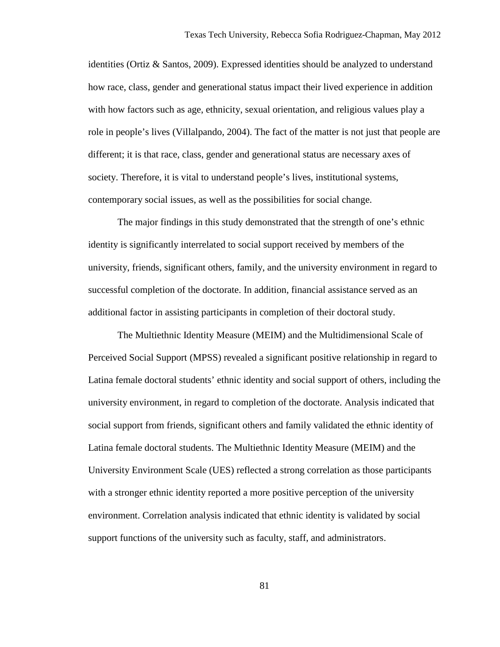identities (Ortiz & Santos, 2009). Expressed identities should be analyzed to understand how race, class, gender and generational status impact their lived experience in addition with how factors such as age, ethnicity, sexual orientation, and religious values play a role in people's lives (Villalpando, 2004). The fact of the matter is not just that people are different; it is that race, class, gender and generational status are necessary axes of society. Therefore, it is vital to understand people's lives, institutional systems, contemporary social issues, as well as the possibilities for social change.

The major findings in this study demonstrated that the strength of one's ethnic identity is significantly interrelated to social support received by members of the university, friends, significant others, family, and the university environment in regard to successful completion of the doctorate. In addition, financial assistance served as an additional factor in assisting participants in completion of their doctoral study.

The Multiethnic Identity Measure (MEIM) and the Multidimensional Scale of Perceived Social Support (MPSS) revealed a significant positive relationship in regard to Latina female doctoral students' ethnic identity and social support of others, including the university environment, in regard to completion of the doctorate. Analysis indicated that social support from friends, significant others and family validated the ethnic identity of Latina female doctoral students. The Multiethnic Identity Measure (MEIM) and the University Environment Scale (UES) reflected a strong correlation as those participants with a stronger ethnic identity reported a more positive perception of the university environment. Correlation analysis indicated that ethnic identity is validated by social support functions of the university such as faculty, staff, and administrators.

81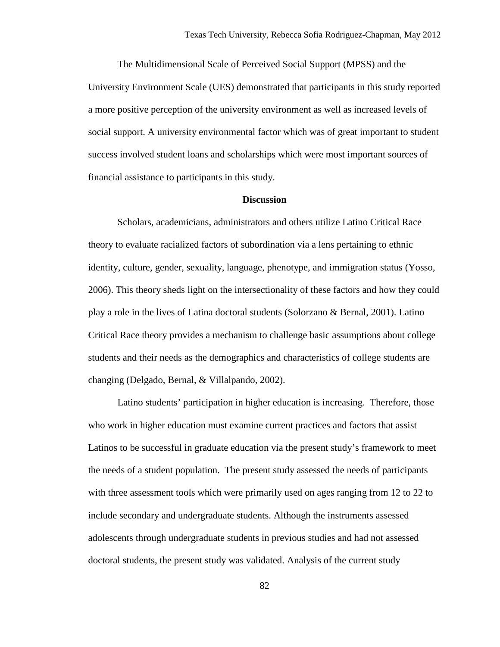The Multidimensional Scale of Perceived Social Support (MPSS) and the University Environment Scale (UES) demonstrated that participants in this study reported a more positive perception of the university environment as well as increased levels of social support. A university environmental factor which was of great important to student success involved student loans and scholarships which were most important sources of financial assistance to participants in this study.

#### **Discussion**

Scholars, academicians, administrators and others utilize Latino Critical Race theory to evaluate racialized factors of subordination via a lens pertaining to ethnic identity, culture, gender, sexuality, language, phenotype, and immigration status (Yosso, 2006). This theory sheds light on the intersectionality of these factors and how they could play a role in the lives of Latina doctoral students (Solorzano & Bernal, 2001). Latino Critical Race theory provides a mechanism to challenge basic assumptions about college students and their needs as the demographics and characteristics of college students are changing (Delgado, Bernal, & Villalpando, 2002).

Latino students' participation in higher education is increasing. Therefore, those who work in higher education must examine current practices and factors that assist Latinos to be successful in graduate education via the present study's framework to meet the needs of a student population. The present study assessed the needs of participants with three assessment tools which were primarily used on ages ranging from 12 to 22 to include secondary and undergraduate students. Although the instruments assessed adolescents through undergraduate students in previous studies and had not assessed doctoral students, the present study was validated. Analysis of the current study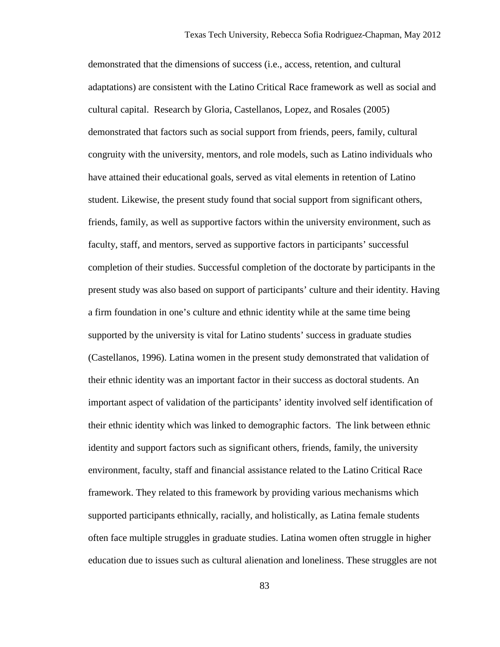demonstrated that the dimensions of success (i.e., access, retention, and cultural adaptations) are consistent with the Latino Critical Race framework as well as social and cultural capital. Research by Gloria, Castellanos, Lopez, and Rosales (2005) demonstrated that factors such as social support from friends, peers, family, cultural congruity with the university, mentors, and role models, such as Latino individuals who have attained their educational goals, served as vital elements in retention of Latino student. Likewise, the present study found that social support from significant others, friends, family, as well as supportive factors within the university environment, such as faculty, staff, and mentors, served as supportive factors in participants' successful completion of their studies. Successful completion of the doctorate by participants in the present study was also based on support of participants' culture and their identity. Having a firm foundation in one's culture and ethnic identity while at the same time being supported by the university is vital for Latino students' success in graduate studies (Castellanos, 1996). Latina women in the present study demonstrated that validation of their ethnic identity was an important factor in their success as doctoral students. An important aspect of validation of the participants' identity involved self identification of their ethnic identity which was linked to demographic factors. The link between ethnic identity and support factors such as significant others, friends, family, the university environment, faculty, staff and financial assistance related to the Latino Critical Race framework. They related to this framework by providing various mechanisms which supported participants ethnically, racially, and holistically, as Latina female students often face multiple struggles in graduate studies. Latina women often struggle in higher education due to issues such as cultural alienation and loneliness. These struggles are not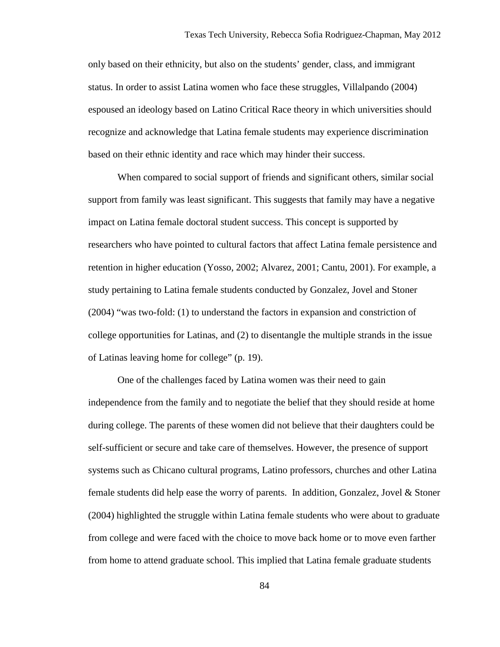only based on their ethnicity, but also on the students' gender, class, and immigrant status. In order to assist Latina women who face these struggles, Villalpando (2004) espoused an ideology based on Latino Critical Race theory in which universities should recognize and acknowledge that Latina female students may experience discrimination based on their ethnic identity and race which may hinder their success.

When compared to social support of friends and significant others, similar social support from family was least significant. This suggests that family may have a negative impact on Latina female doctoral student success. This concept is supported by researchers who have pointed to cultural factors that affect Latina female persistence and retention in higher education (Yosso, 2002; Alvarez, 2001; Cantu, 2001). For example, a study pertaining to Latina female students conducted by Gonzalez, Jovel and Stoner (2004) "was two-fold: (1) to understand the factors in expansion and constriction of college opportunities for Latinas, and (2) to disentangle the multiple strands in the issue of Latinas leaving home for college" (p. 19).

One of the challenges faced by Latina women was their need to gain independence from the family and to negotiate the belief that they should reside at home during college. The parents of these women did not believe that their daughters could be self-sufficient or secure and take care of themselves. However, the presence of support systems such as Chicano cultural programs, Latino professors, churches and other Latina female students did help ease the worry of parents. In addition, Gonzalez, Jovel & Stoner (2004) highlighted the struggle within Latina female students who were about to graduate from college and were faced with the choice to move back home or to move even farther from home to attend graduate school. This implied that Latina female graduate students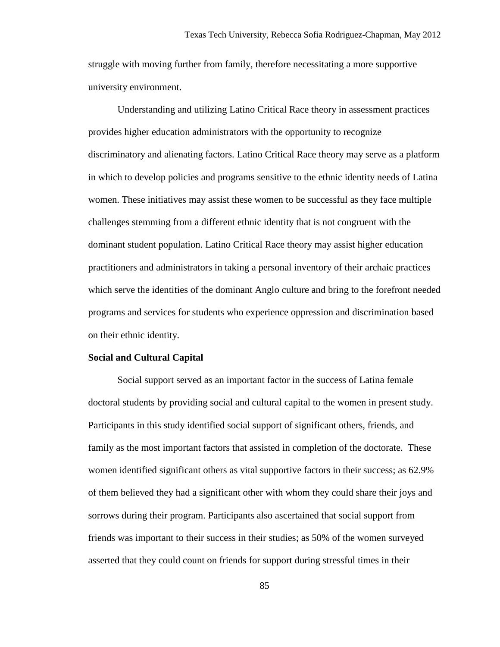struggle with moving further from family, therefore necessitating a more supportive university environment.

Understanding and utilizing Latino Critical Race theory in assessment practices provides higher education administrators with the opportunity to recognize discriminatory and alienating factors. Latino Critical Race theory may serve as a platform in which to develop policies and programs sensitive to the ethnic identity needs of Latina women. These initiatives may assist these women to be successful as they face multiple challenges stemming from a different ethnic identity that is not congruent with the dominant student population. Latino Critical Race theory may assist higher education practitioners and administrators in taking a personal inventory of their archaic practices which serve the identities of the dominant Anglo culture and bring to the forefront needed programs and services for students who experience oppression and discrimination based on their ethnic identity.

#### **Social and Cultural Capital**

Social support served as an important factor in the success of Latina female doctoral students by providing social and cultural capital to the women in present study. Participants in this study identified social support of significant others, friends, and family as the most important factors that assisted in completion of the doctorate. These women identified significant others as vital supportive factors in their success; as 62.9% of them believed they had a significant other with whom they could share their joys and sorrows during their program. Participants also ascertained that social support from friends was important to their success in their studies; as 50% of the women surveyed asserted that they could count on friends for support during stressful times in their

85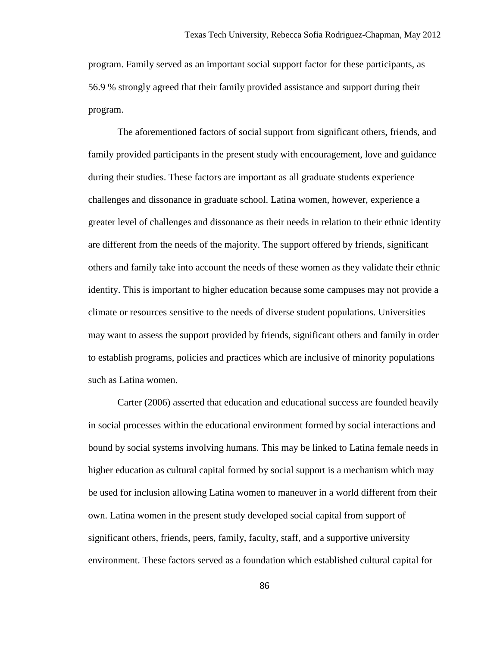program. Family served as an important social support factor for these participants, as 56.9 % strongly agreed that their family provided assistance and support during their program.

The aforementioned factors of social support from significant others, friends, and family provided participants in the present study with encouragement, love and guidance during their studies. These factors are important as all graduate students experience challenges and dissonance in graduate school. Latina women, however, experience a greater level of challenges and dissonance as their needs in relation to their ethnic identity are different from the needs of the majority. The support offered by friends, significant others and family take into account the needs of these women as they validate their ethnic identity. This is important to higher education because some campuses may not provide a climate or resources sensitive to the needs of diverse student populations. Universities may want to assess the support provided by friends, significant others and family in order to establish programs, policies and practices which are inclusive of minority populations such as Latina women.

Carter (2006) asserted that education and educational success are founded heavily in social processes within the educational environment formed by social interactions and bound by social systems involving humans. This may be linked to Latina female needs in higher education as cultural capital formed by social support is a mechanism which may be used for inclusion allowing Latina women to maneuver in a world different from their own. Latina women in the present study developed social capital from support of significant others, friends, peers, family, faculty, staff, and a supportive university environment. These factors served as a foundation which established cultural capital for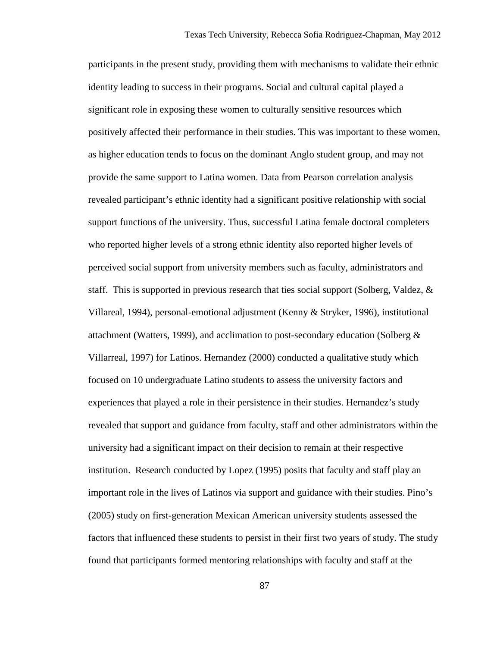participants in the present study, providing them with mechanisms to validate their ethnic identity leading to success in their programs. Social and cultural capital played a significant role in exposing these women to culturally sensitive resources which positively affected their performance in their studies. This was important to these women, as higher education tends to focus on the dominant Anglo student group, and may not provide the same support to Latina women. Data from Pearson correlation analysis revealed participant's ethnic identity had a significant positive relationship with social support functions of the university. Thus, successful Latina female doctoral completers who reported higher levels of a strong ethnic identity also reported higher levels of perceived social support from university members such as faculty, administrators and staff. This is supported in previous research that ties social support (Solberg, Valdez, & Villareal, 1994), personal-emotional adjustment (Kenny & Stryker, 1996), institutional attachment (Watters, 1999), and acclimation to post-secondary education (Solberg  $\&$ Villarreal, 1997) for Latinos. Hernandez (2000) conducted a qualitative study which focused on 10 undergraduate Latino students to assess the university factors and experiences that played a role in their persistence in their studies. Hernandez's study revealed that support and guidance from faculty, staff and other administrators within the university had a significant impact on their decision to remain at their respective institution. Research conducted by Lopez (1995) posits that faculty and staff play an important role in the lives of Latinos via support and guidance with their studies. Pino's (2005) study on first-generation Mexican American university students assessed the factors that influenced these students to persist in their first two years of study. The study found that participants formed mentoring relationships with faculty and staff at the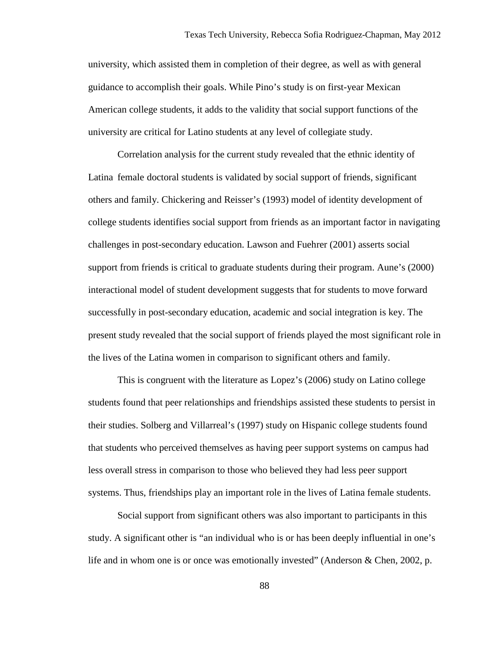university, which assisted them in completion of their degree, as well as with general guidance to accomplish their goals. While Pino's study is on first-year Mexican American college students, it adds to the validity that social support functions of the university are critical for Latino students at any level of collegiate study.

Correlation analysis for the current study revealed that the ethnic identity of Latina female doctoral students is validated by social support of friends, significant others and family. Chickering and Reisser's (1993) model of identity development of college students identifies social support from friends as an important factor in navigating challenges in post-secondary education. Lawson and Fuehrer (2001) asserts social support from friends is critical to graduate students during their program. Aune's (2000) interactional model of student development suggests that for students to move forward successfully in post-secondary education, academic and social integration is key. The present study revealed that the social support of friends played the most significant role in the lives of the Latina women in comparison to significant others and family.

 This is congruent with the literature as Lopez's (2006) study on Latino college students found that peer relationships and friendships assisted these students to persist in their studies. Solberg and Villarreal's (1997) study on Hispanic college students found that students who perceived themselves as having peer support systems on campus had less overall stress in comparison to those who believed they had less peer support systems. Thus, friendships play an important role in the lives of Latina female students.

Social support from significant others was also important to participants in this study. A significant other is "an individual who is or has been deeply influential in one's life and in whom one is or once was emotionally invested" (Anderson & Chen, 2002, p.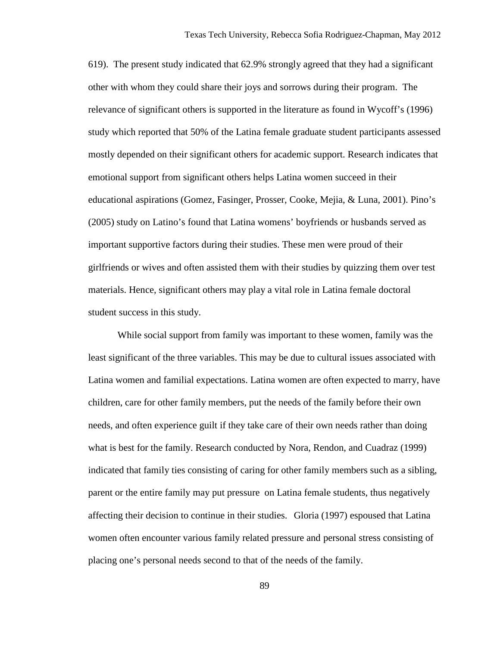619). The present study indicated that 62.9% strongly agreed that they had a significant other with whom they could share their joys and sorrows during their program. The relevance of significant others is supported in the literature as found in Wycoff's (1996) study which reported that 50% of the Latina female graduate student participants assessed mostly depended on their significant others for academic support. Research indicates that emotional support from significant others helps Latina women succeed in their educational aspirations (Gomez, Fasinger, Prosser, Cooke, Mejia, & Luna, 2001). Pino's (2005) study on Latino's found that Latina womens' boyfriends or husbands served as important supportive factors during their studies. These men were proud of their girlfriends or wives and often assisted them with their studies by quizzing them over test materials. Hence, significant others may play a vital role in Latina female doctoral student success in this study.

While social support from family was important to these women, family was the least significant of the three variables. This may be due to cultural issues associated with Latina women and familial expectations. Latina women are often expected to marry, have children, care for other family members, put the needs of the family before their own needs, and often experience guilt if they take care of their own needs rather than doing what is best for the family. Research conducted by Nora, Rendon, and Cuadraz (1999) indicated that family ties consisting of caring for other family members such as a sibling, parent or the entire family may put pressure on Latina female students, thus negatively affecting their decision to continue in their studies. Gloria (1997) espoused that Latina women often encounter various family related pressure and personal stress consisting of placing one's personal needs second to that of the needs of the family.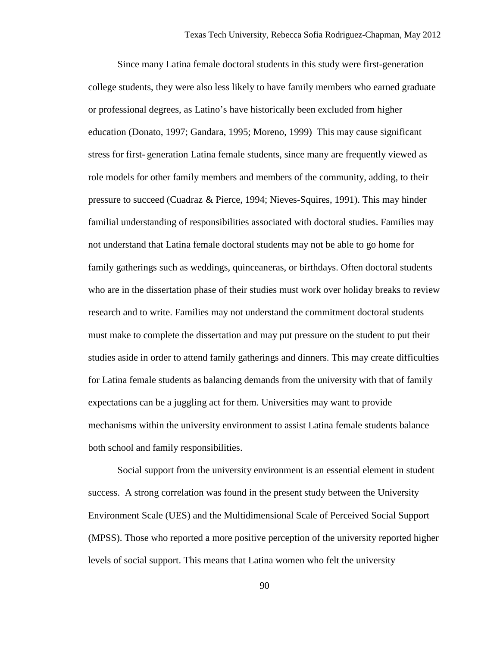Since many Latina female doctoral students in this study were first-generation college students, they were also less likely to have family members who earned graduate or professional degrees, as Latino's have historically been excluded from higher education (Donato, 1997; Gandara, 1995; Moreno, 1999) This may cause significant stress for first- generation Latina female students, since many are frequently viewed as role models for other family members and members of the community, adding, to their pressure to succeed (Cuadraz & Pierce, 1994; Nieves-Squires, 1991). This may hinder familial understanding of responsibilities associated with doctoral studies. Families may not understand that Latina female doctoral students may not be able to go home for family gatherings such as weddings, quinceaneras, or birthdays. Often doctoral students who are in the dissertation phase of their studies must work over holiday breaks to review research and to write. Families may not understand the commitment doctoral students must make to complete the dissertation and may put pressure on the student to put their studies aside in order to attend family gatherings and dinners. This may create difficulties for Latina female students as balancing demands from the university with that of family expectations can be a juggling act for them. Universities may want to provide mechanisms within the university environment to assist Latina female students balance both school and family responsibilities.

 Social support from the university environment is an essential element in student success. A strong correlation was found in the present study between the University Environment Scale (UES) and the Multidimensional Scale of Perceived Social Support (MPSS). Those who reported a more positive perception of the university reported higher levels of social support. This means that Latina women who felt the university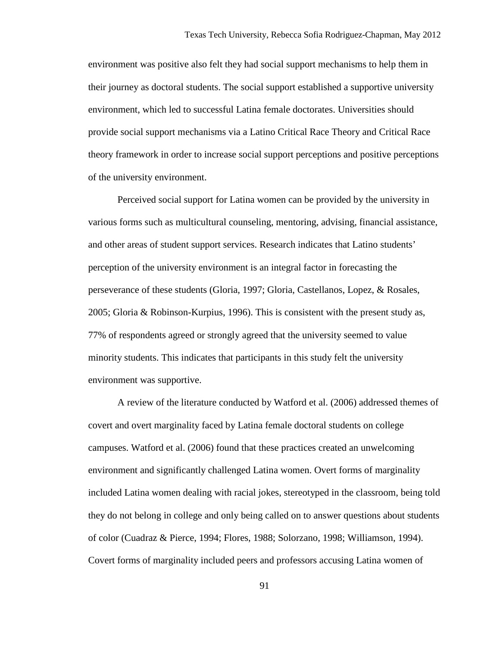environment was positive also felt they had social support mechanisms to help them in their journey as doctoral students. The social support established a supportive university environment, which led to successful Latina female doctorates. Universities should provide social support mechanisms via a Latino Critical Race Theory and Critical Race theory framework in order to increase social support perceptions and positive perceptions of the university environment.

Perceived social support for Latina women can be provided by the university in various forms such as multicultural counseling, mentoring, advising, financial assistance, and other areas of student support services. Research indicates that Latino students' perception of the university environment is an integral factor in forecasting the perseverance of these students (Gloria, 1997; Gloria, Castellanos, Lopez, & Rosales, 2005; Gloria & Robinson-Kurpius, 1996). This is consistent with the present study as, 77% of respondents agreed or strongly agreed that the university seemed to value minority students. This indicates that participants in this study felt the university environment was supportive.

A review of the literature conducted by Watford et al. (2006) addressed themes of covert and overt marginality faced by Latina female doctoral students on college campuses. Watford et al. (2006) found that these practices created an unwelcoming environment and significantly challenged Latina women. Overt forms of marginality included Latina women dealing with racial jokes, stereotyped in the classroom, being told they do not belong in college and only being called on to answer questions about students of color (Cuadraz & Pierce, 1994; Flores, 1988; Solorzano, 1998; Williamson, 1994). Covert forms of marginality included peers and professors accusing Latina women of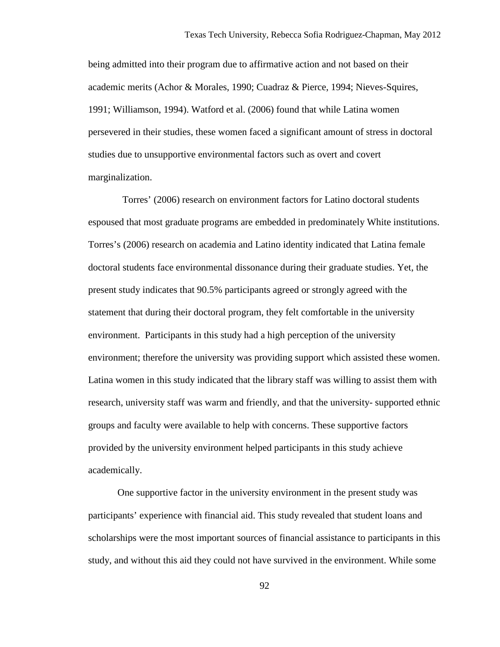being admitted into their program due to affirmative action and not based on their academic merits (Achor & Morales, 1990; Cuadraz & Pierce, 1994; Nieves-Squires, 1991; Williamson, 1994). Watford et al. (2006) found that while Latina women persevered in their studies, these women faced a significant amount of stress in doctoral studies due to unsupportive environmental factors such as overt and covert marginalization.

 Torres' (2006) research on environment factors for Latino doctoral students espoused that most graduate programs are embedded in predominately White institutions. Torres's (2006) research on academia and Latino identity indicated that Latina female doctoral students face environmental dissonance during their graduate studies. Yet, the present study indicates that 90.5% participants agreed or strongly agreed with the statement that during their doctoral program, they felt comfortable in the university environment. Participants in this study had a high perception of the university environment; therefore the university was providing support which assisted these women. Latina women in this study indicated that the library staff was willing to assist them with research, university staff was warm and friendly, and that the university- supported ethnic groups and faculty were available to help with concerns. These supportive factors provided by the university environment helped participants in this study achieve academically.

One supportive factor in the university environment in the present study was participants' experience with financial aid. This study revealed that student loans and scholarships were the most important sources of financial assistance to participants in this study, and without this aid they could not have survived in the environment. While some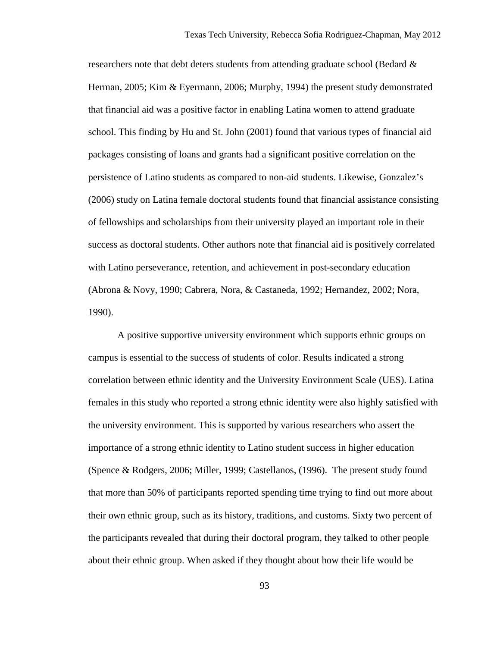researchers note that debt deters students from attending graduate school (Bedard  $\&$ Herman, 2005; Kim & Eyermann, 2006; Murphy, 1994) the present study demonstrated that financial aid was a positive factor in enabling Latina women to attend graduate school. This finding by Hu and St. John (2001) found that various types of financial aid packages consisting of loans and grants had a significant positive correlation on the persistence of Latino students as compared to non-aid students. Likewise, Gonzalez's (2006) study on Latina female doctoral students found that financial assistance consisting of fellowships and scholarships from their university played an important role in their success as doctoral students. Other authors note that financial aid is positively correlated with Latino perseverance, retention, and achievement in post-secondary education (Abrona & Novy, 1990; Cabrera, Nora, & Castaneda, 1992; Hernandez, 2002; Nora, 1990).

A positive supportive university environment which supports ethnic groups on campus is essential to the success of students of color. Results indicated a strong correlation between ethnic identity and the University Environment Scale (UES). Latina females in this study who reported a strong ethnic identity were also highly satisfied with the university environment. This is supported by various researchers who assert the importance of a strong ethnic identity to Latino student success in higher education (Spence & Rodgers, 2006; Miller, 1999; Castellanos, (1996). The present study found that more than 50% of participants reported spending time trying to find out more about their own ethnic group, such as its history, traditions, and customs. Sixty two percent of the participants revealed that during their doctoral program, they talked to other people about their ethnic group. When asked if they thought about how their life would be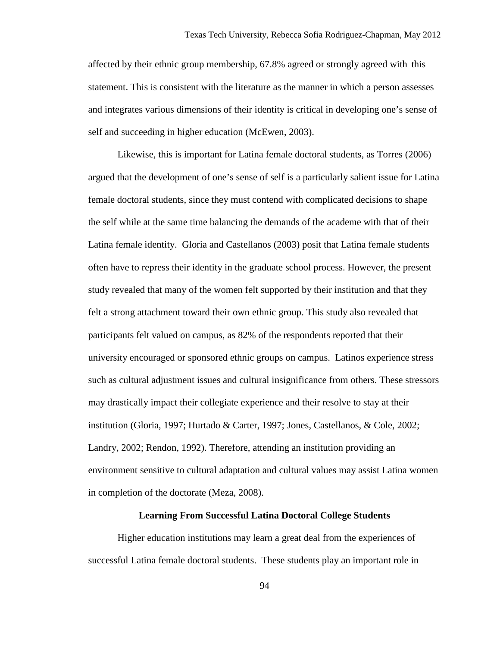affected by their ethnic group membership, 67.8% agreed or strongly agreed with this statement. This is consistent with the literature as the manner in which a person assesses and integrates various dimensions of their identity is critical in developing one's sense of self and succeeding in higher education (McEwen, 2003).

Likewise, this is important for Latina female doctoral students, as Torres (2006) argued that the development of one's sense of self is a particularly salient issue for Latina female doctoral students, since they must contend with complicated decisions to shape the self while at the same time balancing the demands of the academe with that of their Latina female identity. Gloria and Castellanos (2003) posit that Latina female students often have to repress their identity in the graduate school process. However, the present study revealed that many of the women felt supported by their institution and that they felt a strong attachment toward their own ethnic group. This study also revealed that participants felt valued on campus, as 82% of the respondents reported that their university encouraged or sponsored ethnic groups on campus. Latinos experience stress such as cultural adjustment issues and cultural insignificance from others. These stressors may drastically impact their collegiate experience and their resolve to stay at their institution (Gloria, 1997; Hurtado & Carter, 1997; Jones, Castellanos, & Cole, 2002; Landry, 2002; Rendon, 1992). Therefore, attending an institution providing an environment sensitive to cultural adaptation and cultural values may assist Latina women in completion of the doctorate (Meza, 2008).

### **Learning From Successful Latina Doctoral College Students**

 Higher education institutions may learn a great deal from the experiences of successful Latina female doctoral students. These students play an important role in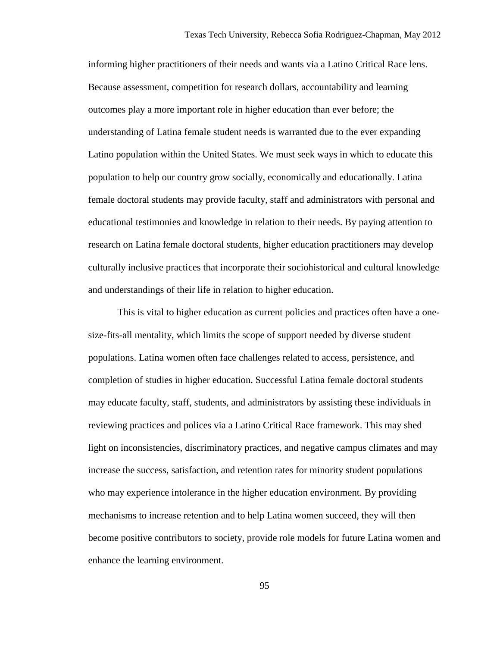informing higher practitioners of their needs and wants via a Latino Critical Race lens. Because assessment, competition for research dollars, accountability and learning outcomes play a more important role in higher education than ever before; the understanding of Latina female student needs is warranted due to the ever expanding Latino population within the United States. We must seek ways in which to educate this population to help our country grow socially, economically and educationally. Latina female doctoral students may provide faculty, staff and administrators with personal and educational testimonies and knowledge in relation to their needs. By paying attention to research on Latina female doctoral students, higher education practitioners may develop culturally inclusive practices that incorporate their sociohistorical and cultural knowledge and understandings of their life in relation to higher education.

 This is vital to higher education as current policies and practices often have a onesize-fits-all mentality, which limits the scope of support needed by diverse student populations. Latina women often face challenges related to access, persistence, and completion of studies in higher education. Successful Latina female doctoral students may educate faculty, staff, students, and administrators by assisting these individuals in reviewing practices and polices via a Latino Critical Race framework. This may shed light on inconsistencies, discriminatory practices, and negative campus climates and may increase the success, satisfaction, and retention rates for minority student populations who may experience intolerance in the higher education environment. By providing mechanisms to increase retention and to help Latina women succeed, they will then become positive contributors to society, provide role models for future Latina women and enhance the learning environment.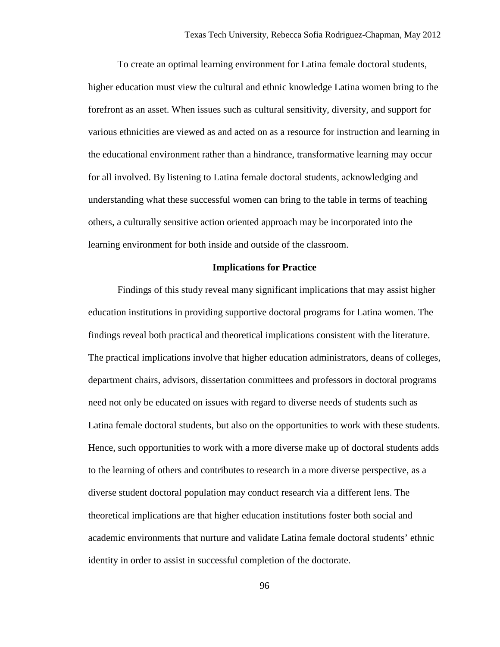To create an optimal learning environment for Latina female doctoral students, higher education must view the cultural and ethnic knowledge Latina women bring to the forefront as an asset. When issues such as cultural sensitivity, diversity, and support for various ethnicities are viewed as and acted on as a resource for instruction and learning in the educational environment rather than a hindrance, transformative learning may occur for all involved. By listening to Latina female doctoral students, acknowledging and understanding what these successful women can bring to the table in terms of teaching others, a culturally sensitive action oriented approach may be incorporated into the learning environment for both inside and outside of the classroom.

#### **Implications for Practice**

Findings of this study reveal many significant implications that may assist higher education institutions in providing supportive doctoral programs for Latina women. The findings reveal both practical and theoretical implications consistent with the literature. The practical implications involve that higher education administrators, deans of colleges, department chairs, advisors, dissertation committees and professors in doctoral programs need not only be educated on issues with regard to diverse needs of students such as Latina female doctoral students, but also on the opportunities to work with these students. Hence, such opportunities to work with a more diverse make up of doctoral students adds to the learning of others and contributes to research in a more diverse perspective, as a diverse student doctoral population may conduct research via a different lens. The theoretical implications are that higher education institutions foster both social and academic environments that nurture and validate Latina female doctoral students' ethnic identity in order to assist in successful completion of the doctorate.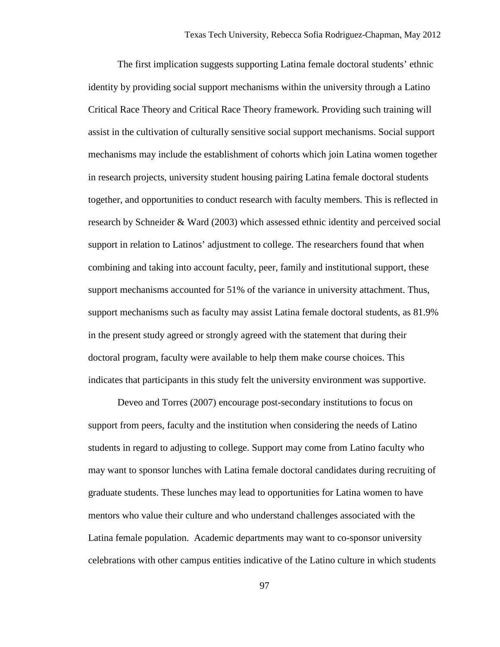The first implication suggests supporting Latina female doctoral students' ethnic identity by providing social support mechanisms within the university through a Latino Critical Race Theory and Critical Race Theory framework. Providing such training will assist in the cultivation of culturally sensitive social support mechanisms. Social support mechanisms may include the establishment of cohorts which join Latina women together in research projects, university student housing pairing Latina female doctoral students together, and opportunities to conduct research with faculty members. This is reflected in research by Schneider & Ward (2003) which assessed ethnic identity and perceived social support in relation to Latinos' adjustment to college. The researchers found that when combining and taking into account faculty, peer, family and institutional support, these support mechanisms accounted for 51% of the variance in university attachment. Thus, support mechanisms such as faculty may assist Latina female doctoral students, as 81.9% in the present study agreed or strongly agreed with the statement that during their doctoral program, faculty were available to help them make course choices. This indicates that participants in this study felt the university environment was supportive.

Deveo and Torres (2007) encourage post-secondary institutions to focus on support from peers, faculty and the institution when considering the needs of Latino students in regard to adjusting to college. Support may come from Latino faculty who may want to sponsor lunches with Latina female doctoral candidates during recruiting of graduate students. These lunches may lead to opportunities for Latina women to have mentors who value their culture and who understand challenges associated with the Latina female population. Academic departments may want to co-sponsor university celebrations with other campus entities indicative of the Latino culture in which students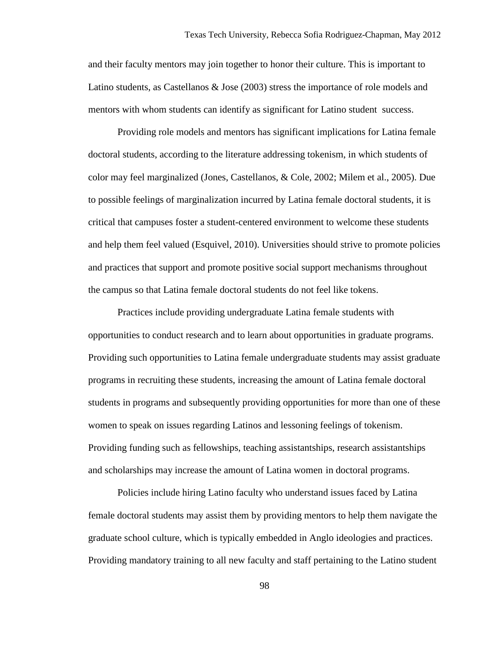and their faculty mentors may join together to honor their culture. This is important to Latino students, as Castellanos & Jose (2003) stress the importance of role models and mentors with whom students can identify as significant for Latino student success.

 Providing role models and mentors has significant implications for Latina female doctoral students, according to the literature addressing tokenism, in which students of color may feel marginalized (Jones, Castellanos, & Cole, 2002; Milem et al., 2005). Due to possible feelings of marginalization incurred by Latina female doctoral students, it is critical that campuses foster a student-centered environment to welcome these students and help them feel valued (Esquivel, 2010). Universities should strive to promote policies and practices that support and promote positive social support mechanisms throughout the campus so that Latina female doctoral students do not feel like tokens.

Practices include providing undergraduate Latina female students with opportunities to conduct research and to learn about opportunities in graduate programs. Providing such opportunities to Latina female undergraduate students may assist graduate programs in recruiting these students, increasing the amount of Latina female doctoral students in programs and subsequently providing opportunities for more than one of these women to speak on issues regarding Latinos and lessoning feelings of tokenism. Providing funding such as fellowships, teaching assistantships, research assistantships and scholarships may increase the amount of Latina women in doctoral programs.

Policies include hiring Latino faculty who understand issues faced by Latina female doctoral students may assist them by providing mentors to help them navigate the graduate school culture, which is typically embedded in Anglo ideologies and practices. Providing mandatory training to all new faculty and staff pertaining to the Latino student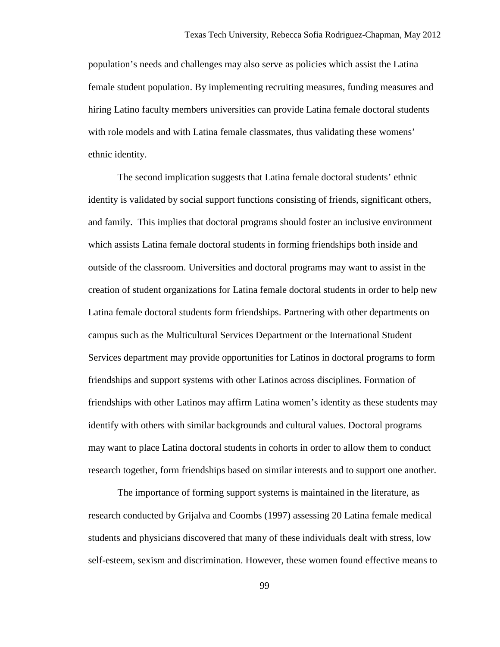population's needs and challenges may also serve as policies which assist the Latina female student population. By implementing recruiting measures, funding measures and hiring Latino faculty members universities can provide Latina female doctoral students with role models and with Latina female classmates, thus validating these womens' ethnic identity.

The second implication suggests that Latina female doctoral students' ethnic identity is validated by social support functions consisting of friends, significant others, and family. This implies that doctoral programs should foster an inclusive environment which assists Latina female doctoral students in forming friendships both inside and outside of the classroom. Universities and doctoral programs may want to assist in the creation of student organizations for Latina female doctoral students in order to help new Latina female doctoral students form friendships. Partnering with other departments on campus such as the Multicultural Services Department or the International Student Services department may provide opportunities for Latinos in doctoral programs to form friendships and support systems with other Latinos across disciplines. Formation of friendships with other Latinos may affirm Latina women's identity as these students may identify with others with similar backgrounds and cultural values. Doctoral programs may want to place Latina doctoral students in cohorts in order to allow them to conduct research together, form friendships based on similar interests and to support one another.

The importance of forming support systems is maintained in the literature, as research conducted by Grijalva and Coombs (1997) assessing 20 Latina female medical students and physicians discovered that many of these individuals dealt with stress, low self-esteem, sexism and discrimination. However, these women found effective means to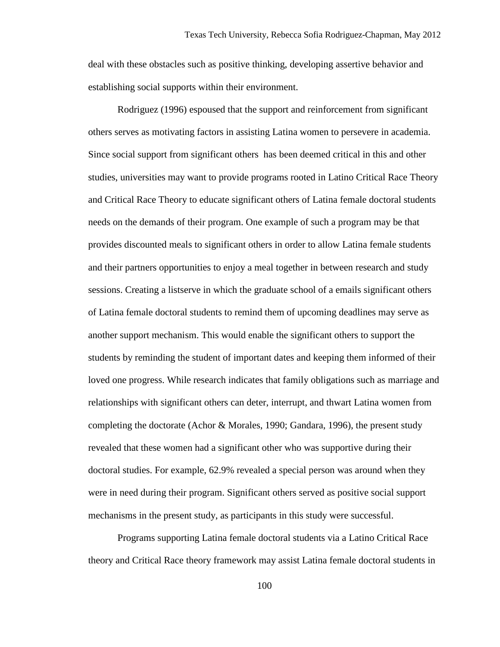deal with these obstacles such as positive thinking, developing assertive behavior and establishing social supports within their environment.

Rodriguez (1996) espoused that the support and reinforcement from significant others serves as motivating factors in assisting Latina women to persevere in academia. Since social support from significant others has been deemed critical in this and other studies, universities may want to provide programs rooted in Latino Critical Race Theory and Critical Race Theory to educate significant others of Latina female doctoral students needs on the demands of their program. One example of such a program may be that provides discounted meals to significant others in order to allow Latina female students and their partners opportunities to enjoy a meal together in between research and study sessions. Creating a listserve in which the graduate school of a emails significant others of Latina female doctoral students to remind them of upcoming deadlines may serve as another support mechanism. This would enable the significant others to support the students by reminding the student of important dates and keeping them informed of their loved one progress. While research indicates that family obligations such as marriage and relationships with significant others can deter, interrupt, and thwart Latina women from completing the doctorate (Achor & Morales, 1990; Gandara, 1996), the present study revealed that these women had a significant other who was supportive during their doctoral studies. For example, 62.9% revealed a special person was around when they were in need during their program. Significant others served as positive social support mechanisms in the present study, as participants in this study were successful.

Programs supporting Latina female doctoral students via a Latino Critical Race theory and Critical Race theory framework may assist Latina female doctoral students in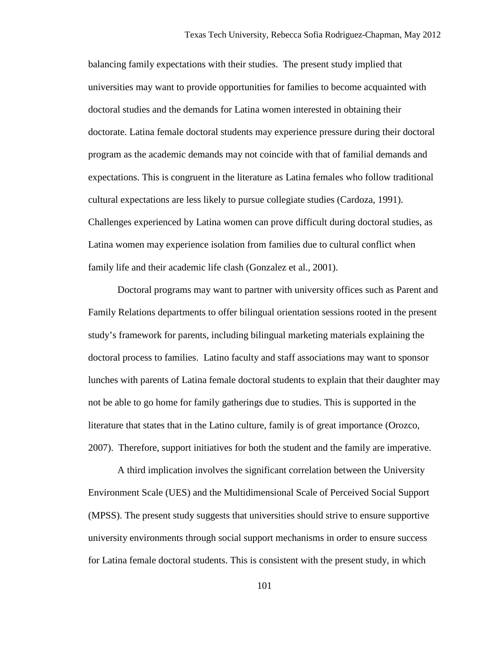balancing family expectations with their studies. The present study implied that universities may want to provide opportunities for families to become acquainted with doctoral studies and the demands for Latina women interested in obtaining their doctorate. Latina female doctoral students may experience pressure during their doctoral program as the academic demands may not coincide with that of familial demands and expectations. This is congruent in the literature as Latina females who follow traditional cultural expectations are less likely to pursue collegiate studies (Cardoza, 1991). Challenges experienced by Latina women can prove difficult during doctoral studies, as Latina women may experience isolation from families due to cultural conflict when family life and their academic life clash (Gonzalez et al., 2001).

Doctoral programs may want to partner with university offices such as Parent and Family Relations departments to offer bilingual orientation sessions rooted in the present study's framework for parents, including bilingual marketing materials explaining the doctoral process to families. Latino faculty and staff associations may want to sponsor lunches with parents of Latina female doctoral students to explain that their daughter may not be able to go home for family gatherings due to studies. This is supported in the literature that states that in the Latino culture, family is of great importance (Orozco, 2007). Therefore, support initiatives for both the student and the family are imperative.

A third implication involves the significant correlation between the University Environment Scale (UES) and the Multidimensional Scale of Perceived Social Support (MPSS). The present study suggests that universities should strive to ensure supportive university environments through social support mechanisms in order to ensure success for Latina female doctoral students. This is consistent with the present study, in which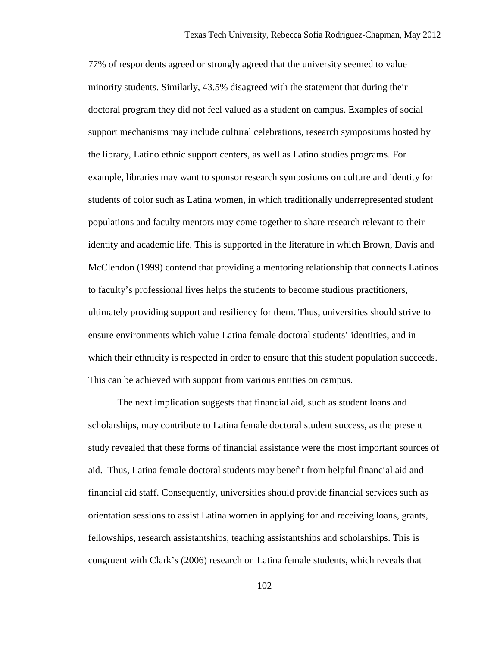77% of respondents agreed or strongly agreed that the university seemed to value minority students. Similarly, 43.5% disagreed with the statement that during their doctoral program they did not feel valued as a student on campus. Examples of social support mechanisms may include cultural celebrations, research symposiums hosted by the library, Latino ethnic support centers, as well as Latino studies programs. For example, libraries may want to sponsor research symposiums on culture and identity for students of color such as Latina women, in which traditionally underrepresented student populations and faculty mentors may come together to share research relevant to their identity and academic life. This is supported in the literature in which Brown, Davis and McClendon (1999) contend that providing a mentoring relationship that connects Latinos to faculty's professional lives helps the students to become studious practitioners, ultimately providing support and resiliency for them. Thus, universities should strive to ensure environments which value Latina female doctoral students' identities, and in which their ethnicity is respected in order to ensure that this student population succeeds. This can be achieved with support from various entities on campus.

The next implication suggests that financial aid, such as student loans and scholarships, may contribute to Latina female doctoral student success, as the present study revealed that these forms of financial assistance were the most important sources of aid. Thus, Latina female doctoral students may benefit from helpful financial aid and financial aid staff. Consequently, universities should provide financial services such as orientation sessions to assist Latina women in applying for and receiving loans, grants, fellowships, research assistantships, teaching assistantships and scholarships. This is congruent with Clark's (2006) research on Latina female students, which reveals that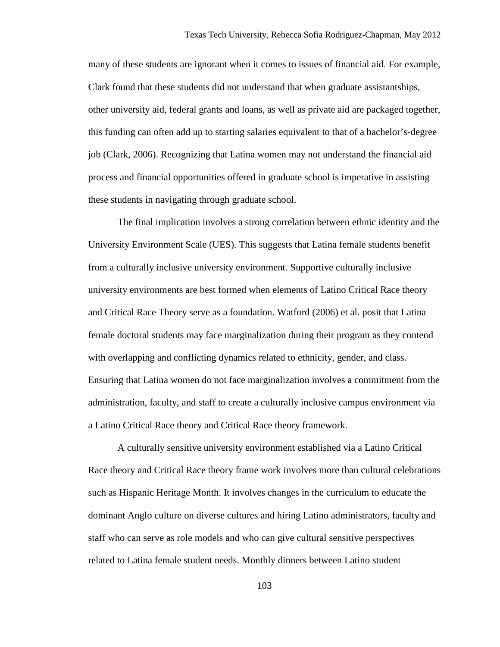many of these students are ignorant when it comes to issues of financial aid. For example, Clark found that these students did not understand that when graduate assistantships, other university aid, federal grants and loans, as well as private aid are packaged together, this funding can often add up to starting salaries equivalent to that of a bachelor's-degree job (Clark, 2006). Recognizing that Latina women may not understand the financial aid process and financial opportunities offered in graduate school is imperative in assisting these students in navigating through graduate school.

The final implication involves a strong correlation between ethnic identity and the University Environment Scale (UES). This suggests that Latina female students benefit from a culturally inclusive university environment. Supportive culturally inclusive university environments are best formed when elements of Latino Critical Race theory and Critical Race Theory serve as a foundation. Watford (2006) et al. posit that Latina female doctoral students may face marginalization during their program as they contend with overlapping and conflicting dynamics related to ethnicity, gender, and class. Ensuring that Latina women do not face marginalization involves a commitment from the administration, faculty, and staff to create a culturally inclusive campus environment via a Latino Critical Race theory and Critical Race theory framework.

A culturally sensitive university environment established via a Latino Critical Race theory and Critical Race theory frame work involves more than cultural celebrations such as Hispanic Heritage Month. It involves changes in the curriculum to educate the dominant Anglo culture on diverse cultures and hiring Latino administrators, faculty and staff who can serve as role models and who can give cultural sensitive perspectives related to Latina female student needs. Monthly dinners between Latino student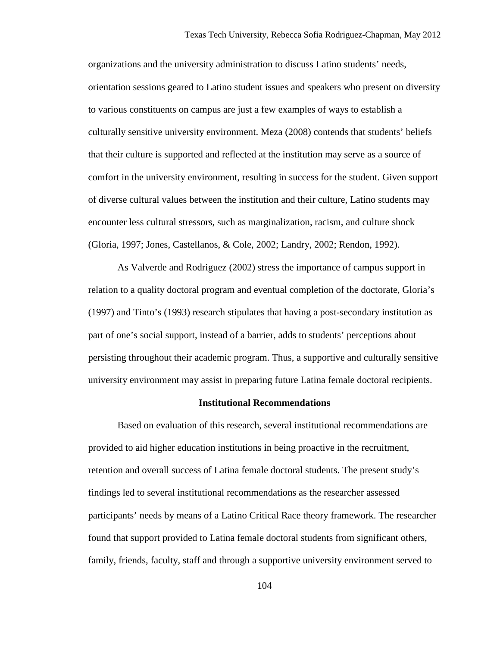organizations and the university administration to discuss Latino students' needs, orientation sessions geared to Latino student issues and speakers who present on diversity to various constituents on campus are just a few examples of ways to establish a culturally sensitive university environment. Meza (2008) contends that students' beliefs that their culture is supported and reflected at the institution may serve as a source of comfort in the university environment, resulting in success for the student. Given support of diverse cultural values between the institution and their culture, Latino students may encounter less cultural stressors, such as marginalization, racism, and culture shock (Gloria, 1997; Jones, Castellanos, & Cole, 2002; Landry, 2002; Rendon, 1992).

As Valverde and Rodriguez (2002) stress the importance of campus support in relation to a quality doctoral program and eventual completion of the doctorate, Gloria's (1997) and Tinto's (1993) research stipulates that having a post-secondary institution as part of one's social support, instead of a barrier, adds to students' perceptions about persisting throughout their academic program. Thus, a supportive and culturally sensitive university environment may assist in preparing future Latina female doctoral recipients.

## **Institutional Recommendations**

 Based on evaluation of this research, several institutional recommendations are provided to aid higher education institutions in being proactive in the recruitment, retention and overall success of Latina female doctoral students. The present study's findings led to several institutional recommendations as the researcher assessed participants' needs by means of a Latino Critical Race theory framework. The researcher found that support provided to Latina female doctoral students from significant others, family, friends, faculty, staff and through a supportive university environment served to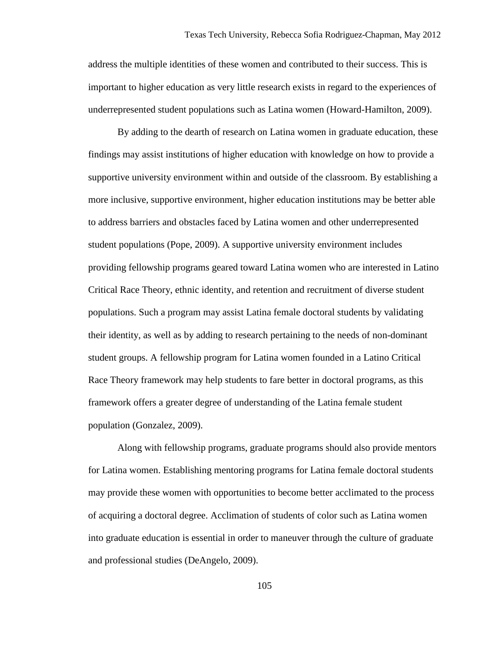address the multiple identities of these women and contributed to their success. This is important to higher education as very little research exists in regard to the experiences of underrepresented student populations such as Latina women (Howard-Hamilton, 2009).

 By adding to the dearth of research on Latina women in graduate education, these findings may assist institutions of higher education with knowledge on how to provide a supportive university environment within and outside of the classroom. By establishing a more inclusive, supportive environment, higher education institutions may be better able to address barriers and obstacles faced by Latina women and other underrepresented student populations (Pope, 2009). A supportive university environment includes providing fellowship programs geared toward Latina women who are interested in Latino Critical Race Theory, ethnic identity, and retention and recruitment of diverse student populations. Such a program may assist Latina female doctoral students by validating their identity, as well as by adding to research pertaining to the needs of non-dominant student groups. A fellowship program for Latina women founded in a Latino Critical Race Theory framework may help students to fare better in doctoral programs, as this framework offers a greater degree of understanding of the Latina female student population (Gonzalez, 2009).

 Along with fellowship programs, graduate programs should also provide mentors for Latina women. Establishing mentoring programs for Latina female doctoral students may provide these women with opportunities to become better acclimated to the process of acquiring a doctoral degree. Acclimation of students of color such as Latina women into graduate education is essential in order to maneuver through the culture of graduate and professional studies (DeAngelo, 2009).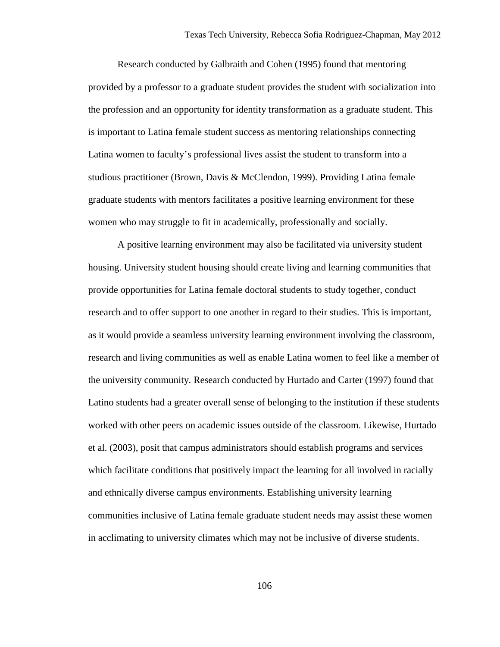Research conducted by Galbraith and Cohen (1995) found that mentoring provided by a professor to a graduate student provides the student with socialization into the profession and an opportunity for identity transformation as a graduate student. This is important to Latina female student success as mentoring relationships connecting Latina women to faculty's professional lives assist the student to transform into a studious practitioner (Brown, Davis & McClendon, 1999). Providing Latina female graduate students with mentors facilitates a positive learning environment for these women who may struggle to fit in academically, professionally and socially.

A positive learning environment may also be facilitated via university student housing. University student housing should create living and learning communities that provide opportunities for Latina female doctoral students to study together, conduct research and to offer support to one another in regard to their studies. This is important, as it would provide a seamless university learning environment involving the classroom, research and living communities as well as enable Latina women to feel like a member of the university community. Research conducted by Hurtado and Carter (1997) found that Latino students had a greater overall sense of belonging to the institution if these students worked with other peers on academic issues outside of the classroom. Likewise, Hurtado et al. (2003), posit that campus administrators should establish programs and services which facilitate conditions that positively impact the learning for all involved in racially and ethnically diverse campus environments. Establishing university learning communities inclusive of Latina female graduate student needs may assist these women in acclimating to university climates which may not be inclusive of diverse students.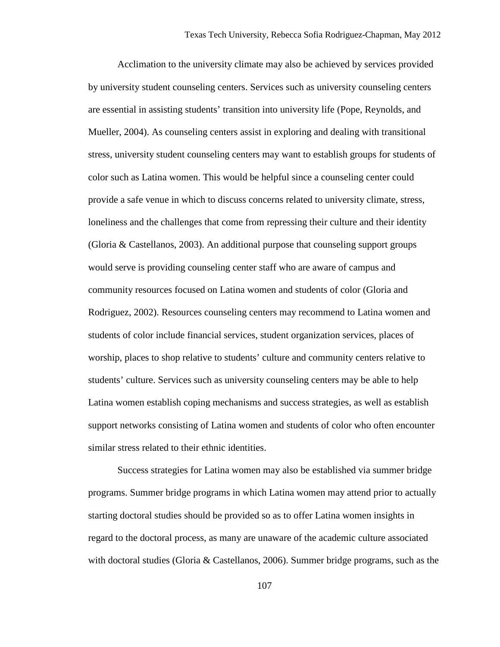Acclimation to the university climate may also be achieved by services provided by university student counseling centers. Services such as university counseling centers are essential in assisting students' transition into university life (Pope, Reynolds, and Mueller, 2004). As counseling centers assist in exploring and dealing with transitional stress, university student counseling centers may want to establish groups for students of color such as Latina women. This would be helpful since a counseling center could provide a safe venue in which to discuss concerns related to university climate, stress, loneliness and the challenges that come from repressing their culture and their identity (Gloria & Castellanos, 2003). An additional purpose that counseling support groups would serve is providing counseling center staff who are aware of campus and community resources focused on Latina women and students of color (Gloria and Rodriguez, 2002). Resources counseling centers may recommend to Latina women and students of color include financial services, student organization services, places of worship, places to shop relative to students' culture and community centers relative to students' culture. Services such as university counseling centers may be able to help Latina women establish coping mechanisms and success strategies, as well as establish support networks consisting of Latina women and students of color who often encounter similar stress related to their ethnic identities.

Success strategies for Latina women may also be established via summer bridge programs. Summer bridge programs in which Latina women may attend prior to actually starting doctoral studies should be provided so as to offer Latina women insights in regard to the doctoral process, as many are unaware of the academic culture associated with doctoral studies (Gloria  $& Castellanos, 2006$ ). Summer bridge programs, such as the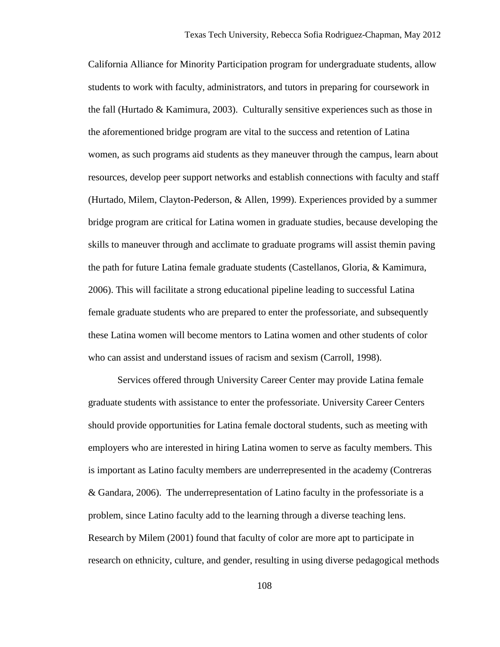California Alliance for Minority Participation program for undergraduate students, allow students to work with faculty, administrators, and tutors in preparing for coursework in the fall (Hurtado & Kamimura, 2003). Culturally sensitive experiences such as those in the aforementioned bridge program are vital to the success and retention of Latina women, as such programs aid students as they maneuver through the campus, learn about resources, develop peer support networks and establish connections with faculty and staff (Hurtado, Milem, Clayton-Pederson, & Allen, 1999). Experiences provided by a summer bridge program are critical for Latina women in graduate studies, because developing the skills to maneuver through and acclimate to graduate programs will assist themin paving the path for future Latina female graduate students (Castellanos, Gloria, & Kamimura, 2006). This will facilitate a strong educational pipeline leading to successful Latina female graduate students who are prepared to enter the professoriate, and subsequently these Latina women will become mentors to Latina women and other students of color who can assist and understand issues of racism and sexism (Carroll, 1998).

Services offered through University Career Center may provide Latina female graduate students with assistance to enter the professoriate. University Career Centers should provide opportunities for Latina female doctoral students, such as meeting with employers who are interested in hiring Latina women to serve as faculty members. This is important as Latino faculty members are underrepresented in the academy (Contreras & Gandara, 2006). The underrepresentation of Latino faculty in the professoriate is a problem, since Latino faculty add to the learning through a diverse teaching lens. Research by Milem (2001) found that faculty of color are more apt to participate in research on ethnicity, culture, and gender, resulting in using diverse pedagogical methods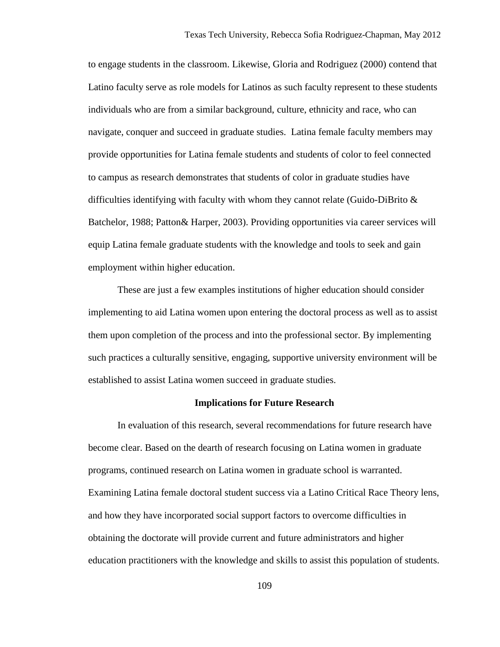to engage students in the classroom. Likewise, Gloria and Rodriguez (2000) contend that Latino faculty serve as role models for Latinos as such faculty represent to these students individuals who are from a similar background, culture, ethnicity and race, who can navigate, conquer and succeed in graduate studies. Latina female faculty members may provide opportunities for Latina female students and students of color to feel connected to campus as research demonstrates that students of color in graduate studies have difficulties identifying with faculty with whom they cannot relate (Guido-DiBrito & Batchelor, 1988; Patton& Harper, 2003). Providing opportunities via career services will equip Latina female graduate students with the knowledge and tools to seek and gain employment within higher education.

 These are just a few examples institutions of higher education should consider implementing to aid Latina women upon entering the doctoral process as well as to assist them upon completion of the process and into the professional sector. By implementing such practices a culturally sensitive, engaging, supportive university environment will be established to assist Latina women succeed in graduate studies.

## **Implications for Future Research**

In evaluation of this research, several recommendations for future research have become clear. Based on the dearth of research focusing on Latina women in graduate programs, continued research on Latina women in graduate school is warranted. Examining Latina female doctoral student success via a Latino Critical Race Theory lens, and how they have incorporated social support factors to overcome difficulties in obtaining the doctorate will provide current and future administrators and higher education practitioners with the knowledge and skills to assist this population of students.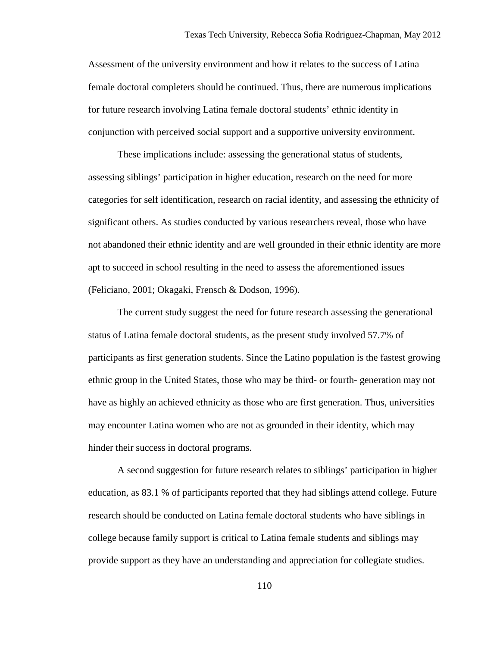Assessment of the university environment and how it relates to the success of Latina female doctoral completers should be continued. Thus, there are numerous implications for future research involving Latina female doctoral students' ethnic identity in conjunction with perceived social support and a supportive university environment.

These implications include: assessing the generational status of students, assessing siblings' participation in higher education, research on the need for more categories for self identification, research on racial identity, and assessing the ethnicity of significant others. As studies conducted by various researchers reveal, those who have not abandoned their ethnic identity and are well grounded in their ethnic identity are more apt to succeed in school resulting in the need to assess the aforementioned issues (Feliciano, 2001; Okagaki, Frensch & Dodson, 1996).

 The current study suggest the need for future research assessing the generational status of Latina female doctoral students, as the present study involved 57.7% of participants as first generation students. Since the Latino population is the fastest growing ethnic group in the United States, those who may be third- or fourth- generation may not have as highly an achieved ethnicity as those who are first generation. Thus, universities may encounter Latina women who are not as grounded in their identity, which may hinder their success in doctoral programs.

A second suggestion for future research relates to siblings' participation in higher education, as 83.1 % of participants reported that they had siblings attend college. Future research should be conducted on Latina female doctoral students who have siblings in college because family support is critical to Latina female students and siblings may provide support as they have an understanding and appreciation for collegiate studies.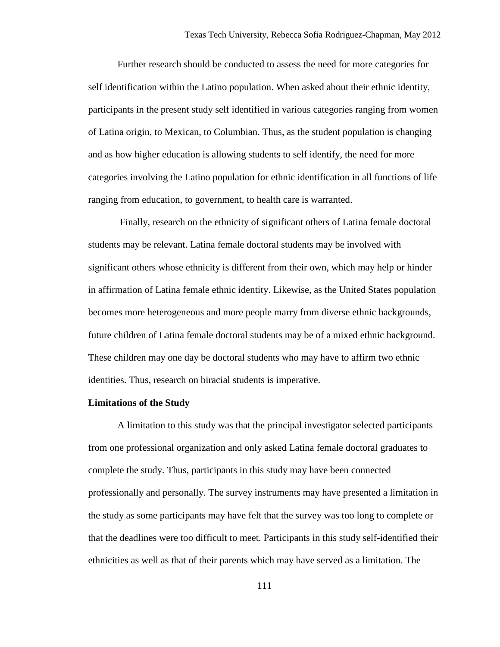Further research should be conducted to assess the need for more categories for self identification within the Latino population. When asked about their ethnic identity, participants in the present study self identified in various categories ranging from women of Latina origin, to Mexican, to Columbian. Thus, as the student population is changing and as how higher education is allowing students to self identify, the need for more categories involving the Latino population for ethnic identification in all functions of life ranging from education, to government, to health care is warranted.

 Finally, research on the ethnicity of significant others of Latina female doctoral students may be relevant. Latina female doctoral students may be involved with significant others whose ethnicity is different from their own, which may help or hinder in affirmation of Latina female ethnic identity. Likewise, as the United States population becomes more heterogeneous and more people marry from diverse ethnic backgrounds, future children of Latina female doctoral students may be of a mixed ethnic background. These children may one day be doctoral students who may have to affirm two ethnic identities. Thus, research on biracial students is imperative.

## **Limitations of the Study**

A limitation to this study was that the principal investigator selected participants from one professional organization and only asked Latina female doctoral graduates to complete the study. Thus, participants in this study may have been connected professionally and personally. The survey instruments may have presented a limitation in the study as some participants may have felt that the survey was too long to complete or that the deadlines were too difficult to meet. Participants in this study self-identified their ethnicities as well as that of their parents which may have served as a limitation. The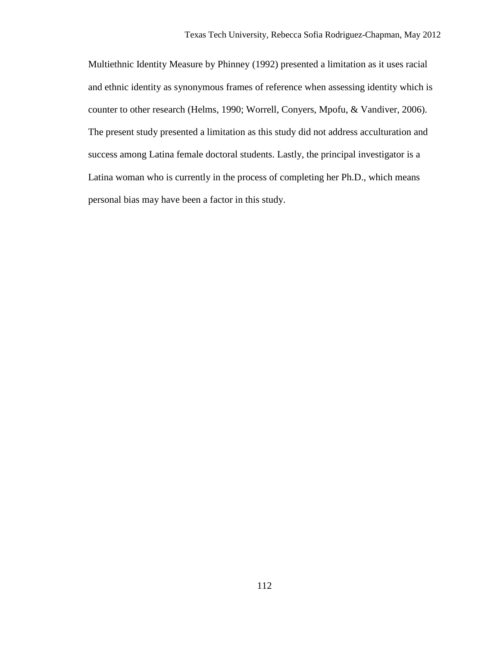Multiethnic Identity Measure by Phinney (1992) presented a limitation as it uses racial and ethnic identity as synonymous frames of reference when assessing identity which is counter to other research (Helms, 1990; Worrell, Conyers, Mpofu, & Vandiver, 2006). The present study presented a limitation as this study did not address acculturation and success among Latina female doctoral students. Lastly, the principal investigator is a Latina woman who is currently in the process of completing her Ph.D., which means personal bias may have been a factor in this study.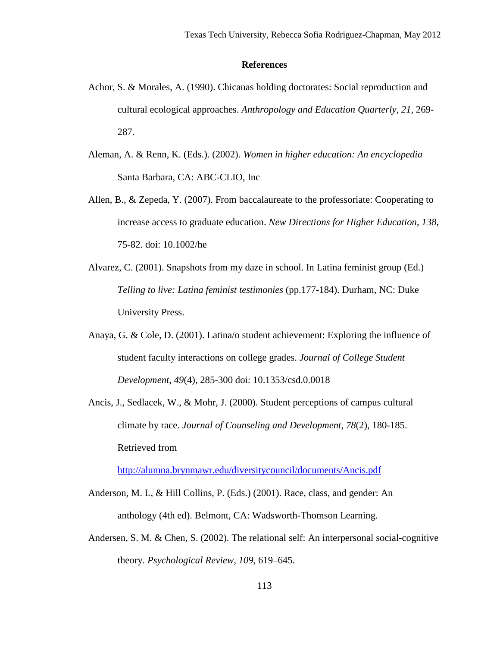## **References**

- Achor, S. & Morales, A. (1990). Chicanas holding doctorates: Social reproduction and cultural ecological approaches. *Anthropology and Education Quarterly*, *21*, 269- 287.
- Aleman, A. & Renn, K. (Eds.). (2002). *Women in higher education: An encyclopedia* Santa Barbara, CA: ABC-CLIO, Inc
- Allen, B., & Zepeda, Y. (2007). From baccalaureate to the professoriate: Cooperating to increase access to graduate education. *New Directions for Higher Education*, *138*, 75-82. doi: 10.1002/he
- Alvarez, C. (2001). Snapshots from my daze in school. In Latina feminist group (Ed.) *Telling to live: Latina feminist testimonies* (pp.177-184). Durham, NC: Duke University Press.
- Anaya, G. & Cole, D. (2001). Latina/o student achievement: Exploring the influence of student faculty interactions on college grades. *Journal of College Student Development*, *49*(4), 285-300 doi: 10.1353/csd.0.0018
- Ancis, J., Sedlacek, W., & Mohr, J. (2000). Student perceptions of campus cultural climate by race. *Journal of Counseling and Development*, *78*(2), 180-185. Retrieved from

<http://alumna.brynmawr.edu/diversitycouncil/documents/Ancis.pdf>

- Anderson, M. L, & Hill Collins, P. (Eds.) (2001). Race, class, and gender: An anthology (4th ed). Belmont, CA: Wadsworth-Thomson Learning.
- Andersen, S. M. & Chen, S. (2002). The relational self: An interpersonal social-cognitive theory. *Psychological Review*, *109*, 619–645.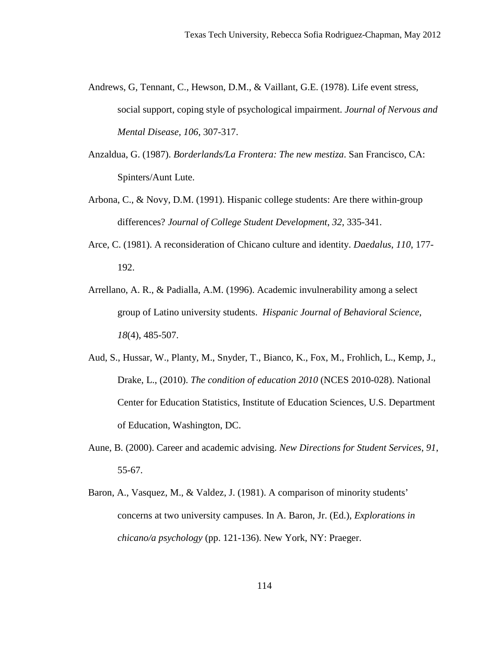- Andrews, G, Tennant, C., Hewson, D.M., & Vaillant, G.E. (1978). Life event stress, social support, coping style of psychological impairment. *Journal of Nervous and Mental Disease, 106*, 307-317.
- Anzaldua, G. (1987). *Borderlands/La Frontera: The new mestiza*. San Francisco, CA: Spinters/Aunt Lute.
- Arbona, C., & Novy, D.M. (1991). Hispanic college students: Are there within-group differences? *Journal of College Student Development*, *32*, 335-341.
- Arce, C. (1981). A reconsideration of Chicano culture and identity. *Daedalus*, *110*, 177- 192.
- Arrellano, A. R., & Padialla, A.M. (1996). Academic invulnerability among a select group of Latino university students. *Hispanic Journal of Behavioral Science*, *18*(4), 485-507.
- Aud, S., Hussar, W., Planty, M., Snyder, T., Bianco, K., Fox, M., Frohlich, L., Kemp, J., Drake, L., (2010). *The condition of education 2010* (NCES 2010-028). National Center for Education Statistics, Institute of Education Sciences, U.S. Department of Education, Washington, DC.
- Aune, B. (2000). Career and academic advising. *New Directions for Student Services*, *91*, 55-67.
- Baron, A., Vasquez, M., & Valdez, J. (1981). A comparison of minority students' concerns at two university campuses. In A. Baron, Jr. (Ed.), *Explorations in chicano/a psychology* (pp. 121-136). New York, NY: Praeger.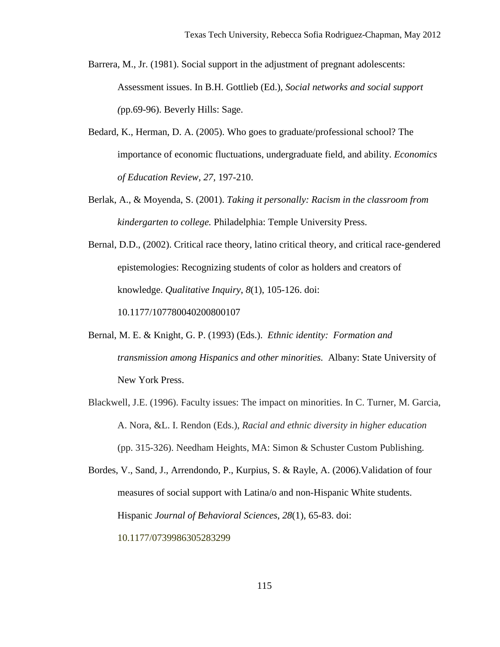Barrera, M., Jr. (1981). Social support in the adjustment of pregnant adolescents: Assessment issues. In B.H. Gottlieb (Ed.), *Social networks and social support (*pp.69-96). Beverly Hills: Sage.

- Bedard, K., Herman, D. A. (2005). Who goes to graduate/professional school? The importance of economic fluctuations, undergraduate field, and ability. *Economics of Education Review, 27,* 197-210.
- Berlak, A., & Moyenda, S. (2001). *Taking it personally: Racism in the classroom from kindergarten to college.* Philadelphia: Temple University Press.
- Bernal, D.D., (2002). Critical race theory, latino critical theory, and critical race-gendered epistemologies: Recognizing students of color as holders and creators of knowledge. *Qualitative Inquiry*, *8*(1), 105-126. doi:

10.1177/107780040200800107

- Bernal, M. E. & Knight, G. P. (1993) (Eds.). *Ethnic identity: Formation and transmission among Hispanics and other minorities.* Albany: State University of New York Press.
- Blackwell, J.E. (1996). Faculty issues: The impact on minorities. In C. Turner, M. Garcia, A. Nora, &L. I. Rendon (Eds.), *Racial and ethnic diversity in higher education* (pp. 315-326). Needham Heights, MA: Simon & Schuster Custom Publishing.

Bordes, V., Sand, J., Arrendondo, P., Kurpius, S. & Rayle, A. (2006).Validation of four measures of social support with Latina/o and non-Hispanic White students. Hispanic *Journal of Behavioral Sciences*, *28*(1), 65-83. doi:

10.1177/0739986305283299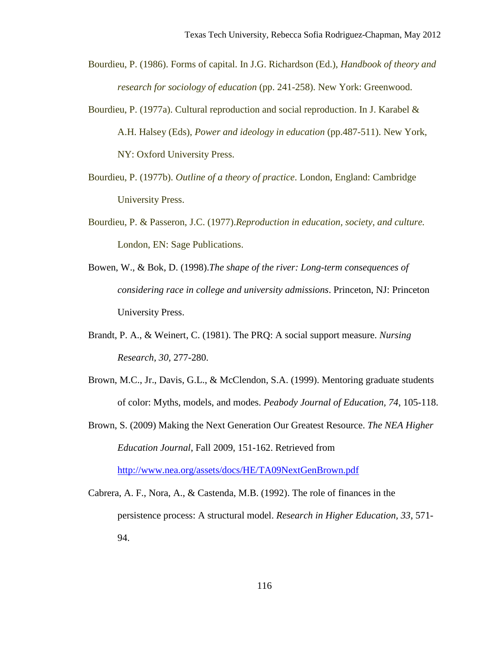Bourdieu, P. (1986). Forms of capital. In J.G. Richardson (Ed.), *Handbook of theory and research for sociology of education* (pp. 241-258). New York: Greenwood.

- Bourdieu, P. (1977a). Cultural reproduction and social reproduction. In J. Karabel & A.H. Halsey (Eds), *Power and ideology in education* (pp.487-511). New York, NY: Oxford University Press.
- Bourdieu, P. (1977b). *Outline of a theory of practice*. London, England: Cambridge University Press.
- Bourdieu, P. & Passeron, J.C. (1977).*Reproduction in education, society, and culture.*  London, EN: Sage Publications.
- Bowen, W., & Bok, D. (1998).*The shape of the river: Long-term consequences of considering race in college and university admissions*. Princeton, NJ: Princeton University Press.
- Brandt, P. A., & Weinert, C. (1981). The PRQ: A social support measure. *Nursing Research, 30,* 277-280.
- Brown, M.C., Jr., Davis, G.L., & McClendon, S.A. (1999). Mentoring graduate students of color: Myths, models, and modes. *Peabody Journal of Education, 74*, 105-118.
- Brown, S. (2009) Making the Next Generation Our Greatest Resource. *The NEA Higher Education Journal*, Fall 2009, 151-162. Retrieved from <http://www.nea.org/assets/docs/HE/TA09NextGenBrown.pdf>
- Cabrera, A. F., Nora, A., & Castenda, M.B. (1992). The role of finances in the persistence process: A structural model. *Research in Higher Education, 33*, 571- 94.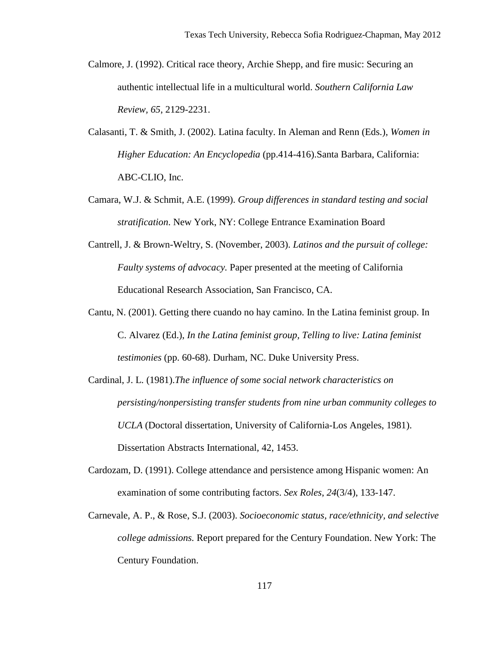- Calmore, J. (1992). Critical race theory, Archie Shepp, and fire music: Securing an authentic intellectual life in a multicultural world. *Southern California Law Review, 65*, 2129-2231.
- Calasanti, T. & Smith, J. (2002). Latina faculty. In Aleman and Renn (Eds.), *Women in Higher Education: An Encyclopedia* (pp.414-416).Santa Barbara, California: ABC-CLIO, Inc.
- Camara, W.J. & Schmit, A.E. (1999). *Group differences in standard testing and social stratification*. New York, NY: College Entrance Examination Board
- Cantrell, J. & Brown-Weltry, S. (November, 2003). *Latinos and the pursuit of college: Faulty systems of advocacy.* Paper presented at the meeting of California Educational Research Association, San Francisco, CA.
- Cantu, N. (2001). Getting there cuando no hay camino. In the Latina feminist group. In C. Alvarez (Ed.), *In the Latina feminist group, Telling to live: Latina feminist testimonies* (pp. 60-68). Durham, NC. Duke University Press.
- Cardinal, J. L. (1981).*The influence of some social network characteristics on persisting/nonpersisting transfer students from nine urban community colleges to UCLA* (Doctoral dissertation, University of California-Los Angeles, 1981). Dissertation Abstracts International*,* 42, 1453.
- Cardozam, D. (1991). College attendance and persistence among Hispanic women: An examination of some contributing factors. *Sex Roles*, *24*(3/4), 133-147.
- Carnevale, A. P., & Rose, S.J. (2003). *Socioeconomic status, race/ethnicity, and selective college admissions.* Report prepared for the Century Foundation. New York: The Century Foundation.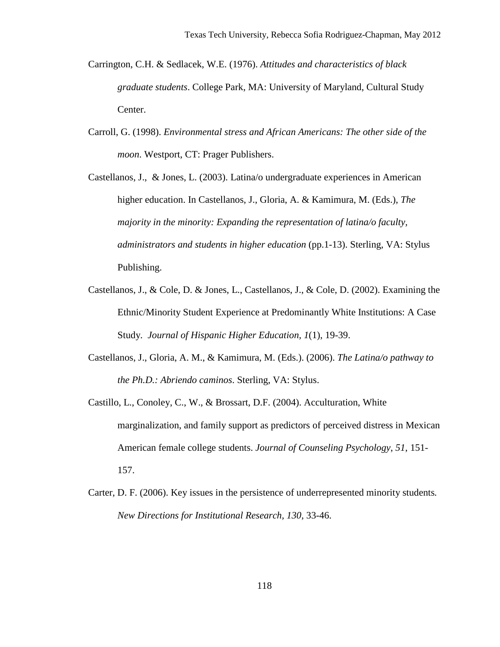- Carrington, C.H. & Sedlacek, W.E. (1976). *Attitudes and characteristics of black graduate students*. College Park, MA: University of Maryland, Cultural Study Center.
- Carroll, G. (1998). *Environmental stress and African Americans: The other side of the moon*. Westport, CT: Prager Publishers.
- Castellanos, J., & Jones, L. (2003). Latina/o undergraduate experiences in American higher education. In Castellanos, J., Gloria, A. & Kamimura, M. (Eds.), *The majority in the minority: Expanding the representation of latina/o faculty, administrators and students in higher education* (pp.1-13). Sterling, VA: Stylus Publishing.
- Castellanos, J., & Cole, D. & Jones, L., Castellanos, J., & Cole, D. (2002). Examining the Ethnic/Minority Student Experience at Predominantly White Institutions: A Case Study. *Journal of Hispanic Higher Education, 1*(1), 19-39.
- Castellanos, J., Gloria, A. M., & Kamimura, M. (Eds.). (2006). *The Latina/o pathway to the Ph.D.: Abriendo caminos*. Sterling, VA: Stylus.
- Castillo, L., Conoley, C., W., & Brossart, D.F. (2004). Acculturation, White marginalization, and family support as predictors of perceived distress in Mexican American female college students. *Journal of Counseling Psychology*, *51*, 151- 157.
- Carter, D. F. (2006). Key issues in the persistence of underrepresented minority students*. New Directions for Institutional Research, 130*, 33-46.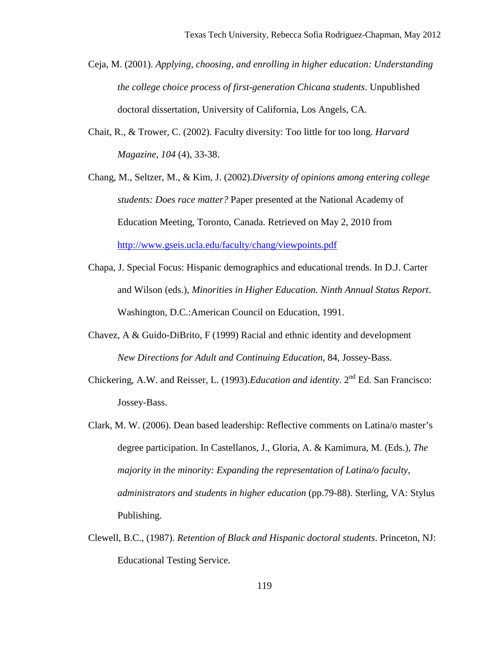- Ceja, M. (2001). *Applying, choosing, and enrolling in higher education: Understanding the college choice process of first-generation Chicana students*. Unpublished doctoral dissertation, University of California, Los Angels, CA.
- Chait, R., & Trower, C. (2002). Faculty diversity: Too little for too long. *Harvard Magazine*, *104* (4), 33-38.
- Chang, M., Seltzer, M., & Kim, J. (2002).*Diversity of opinions among entering college students: Does race matter?* Paper presented at the National Academy of Education Meeting, Toronto, Canada. Retrieved on May 2, 2010 from <http://www.gseis.ucla.edu/faculty/chang/viewpoints.pdf>
- Chapa, J. Special Focus: Hispanic demographics and educational trends. In D.J. Carter and Wilson (eds.), *Minorities in Higher Education. Ninth Annual Status Report*. Washington, D.C.:American Council on Education, 1991.
- Chavez, A & Guido-DiBrito, F (1999) Racial and ethnic identity and development *New Directions for Adult and Continuing Education*, 84, Jossey-Bass.
- Chickering, A.W. and Reisser, L. (1993).*Education and identity*. 2<sup>nd</sup> Ed. San Francisco: Jossey-Bass.
- Clark, M. W. (2006). Dean based leadership: Reflective comments on Latina/o master's degree participation. In Castellanos, J., Gloria, A. & Kamimura, M. (Eds.), *The majority in the minority: Expanding the representation of Latina/o faculty, administrators and students in higher education* (pp.79-88). Sterling, VA: Stylus Publishing.
- Clewell, B.C., (1987). *Retention of Black and Hispanic doctoral students*. Princeton, NJ: Educational Testing Service.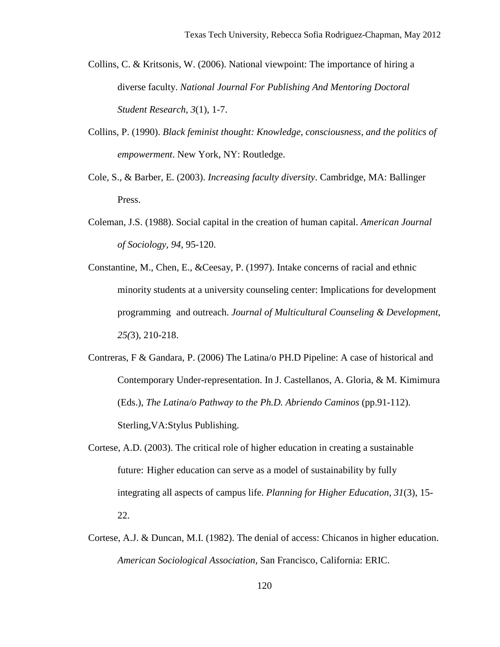- Collins, C. & Kritsonis, W. (2006). National viewpoint: The importance of hiring a diverse faculty. *National Journal For Publishing And Mentoring Doctoral Student Research*, *3*(1), 1-7.
- Collins, P. (1990). *Black feminist thought: Knowledge, consciousness, and the politics of empowerment*. New York, NY: Routledge.
- Cole, S., & Barber, E. (2003). *Increasing faculty diversity*. Cambridge, MA: Ballinger Press.
- Coleman, J.S. (1988). Social capital in the creation of human capital. *American Journal of Sociology*, *94*, 95-120.
- Constantine, M., Chen, E., &Ceesay, P. (1997). Intake concerns of racial and ethnic minority students at a university counseling center: Implications for development programming and outreach. *Journal of Multicultural Counseling & Development*, *25(*3), 210-218.
- Contreras, F & Gandara, P. (2006) The Latina/o PH.D Pipeline: A case of historical and Contemporary Under-representation. In J. Castellanos, A. Gloria, & M. Kimimura (Eds.), *The Latina/o Pathway to the Ph.D. Abriendo Caminos* (pp.91-112). Sterling,VA:Stylus Publishing.
- Cortese, A.D. (2003). The critical role of higher education in creating a sustainable future: Higher education can serve as a model of sustainability by fully integrating all aspects of campus life. *Planning for Higher Education, 31*(3), 15- 22.
- Cortese, A.J. & Duncan, M.I. (1982). The denial of access: Chicanos in higher education. *American Sociological Association,* San Francisco, California: ERIC.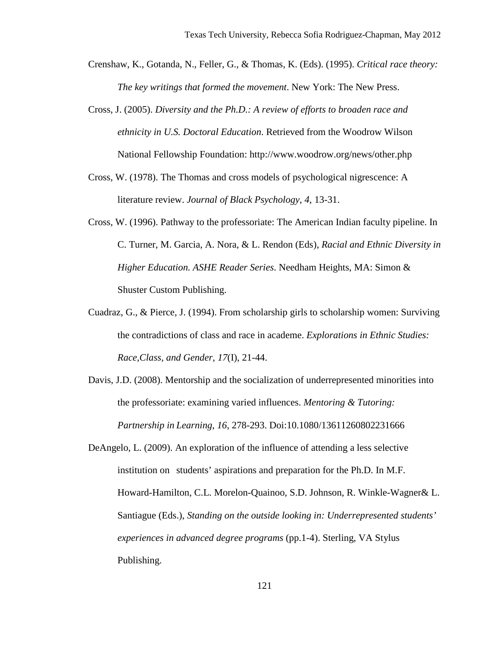- Crenshaw, K., Gotanda, N., Feller, G., & Thomas, K. (Eds). (1995). *Critical race theory: The key writings that formed the movement*. New York: The New Press.
- Cross, J. (2005). *Diversity and the Ph.D.: A review of efforts to broaden race and ethnicity in U.S. Doctoral Education*. Retrieved from the Woodrow Wilson National Fellowship Foundation: http://www.woodrow.org/news/other.php
- Cross, W. (1978). The Thomas and cross models of psychological nigrescence: A literature review. *Journal of Black Psychology*, *4*, 13-31.
- Cross, W. (1996). Pathway to the professoriate: The American Indian faculty pipeline. In C. Turner, M. Garcia, A. Nora, & L. Rendon (Eds), *Racial and Ethnic Diversity in Higher Education. ASHE Reader Series*. Needham Heights, MA: Simon & Shuster Custom Publishing.
- Cuadraz, G., & Pierce, J. (1994). From scholarship girls to scholarship women: Surviving the contradictions of class and race in academe. *Explorations in Ethnic Studies: Race,Class, and Gender, 17*(I), 21-44.
- Davis, J.D. (2008). Mentorship and the socialization of underrepresented minorities into the professoriate: examining varied influences. *Mentoring & Tutoring: Partnership in Learning*, *16*, 278-293. Doi:10.1080/13611260802231666
- DeAngelo, L. (2009). An exploration of the influence of attending a less selective institution on students' aspirations and preparation for the Ph.D. In M.F. Howard-Hamilton, C.L. Morelon-Quainoo, S.D. Johnson, R. Winkle-Wagner& L. Santiague (Eds.), *Standing on the outside looking in: Underrepresented students' experiences in advanced degree programs* (pp.1-4). Sterling, VA Stylus Publishing.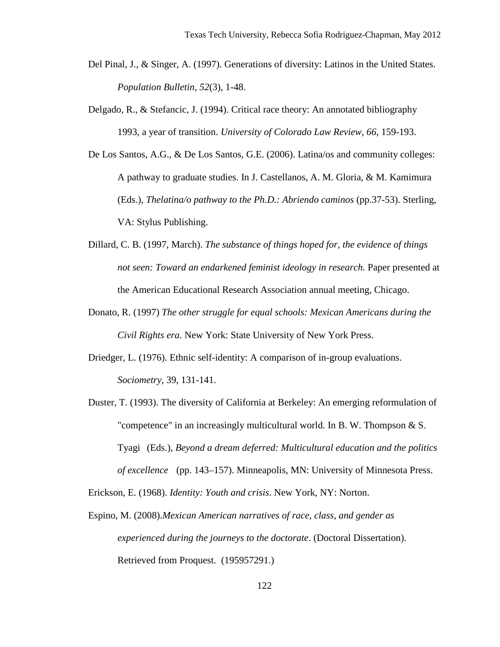- Del Pinal, J., & Singer, A. (1997). Generations of diversity: Latinos in the United States. *Population Bulletin, 52*(3), 1-48.
- Delgado, R., & Stefancic, J. (1994). Critical race theory: An annotated bibliography 1993, a year of transition. *University of Colorado Law Review*, *66*, 159-193.
- De Los Santos, A.G., & De Los Santos, G.E. (2006). Latina/os and community colleges: A pathway to graduate studies. In J. Castellanos, A. M. Gloria, & M. Kamimura (Eds.), *Thelatina/o pathway to the Ph.D.: Abriendo caminos* (pp.37-53). Sterling, VA: Stylus Publishing.
- Dillard, C. B. (1997, March). *The substance of things hoped for, the evidence of things not seen: Toward an endarkened feminist ideology in research.* Paper presented at the American Educational Research Association annual meeting, Chicago.
- Donato, R. (1997) *The other struggle for equal schools: Mexican Americans during the Civil Rights era.* New York: State University of New York Press.
- Driedger, L. (1976). Ethnic self-identity: A comparison of in-group evaluations. *Sociometry*, 39, 131-141.
- Duster, T. (1993). The diversity of California at Berkeley: An emerging reformulation of "competence" in an increasingly multicultural world. In B. W. Thompson & S. Tyagi (Eds.), *Beyond a dream deferred: Multicultural education and the politics of excellence* (pp. 143–157). Minneapolis, MN: University of Minnesota Press.

Erickson, E. (1968). *Identity: Youth and crisis*. New York, NY: Norton.

Espino, M. (2008).*Mexican American narratives of race, class, and gender as experienced during the journeys to the doctorate*. (Doctoral Dissertation). Retrieved from Proquest. (195957291.)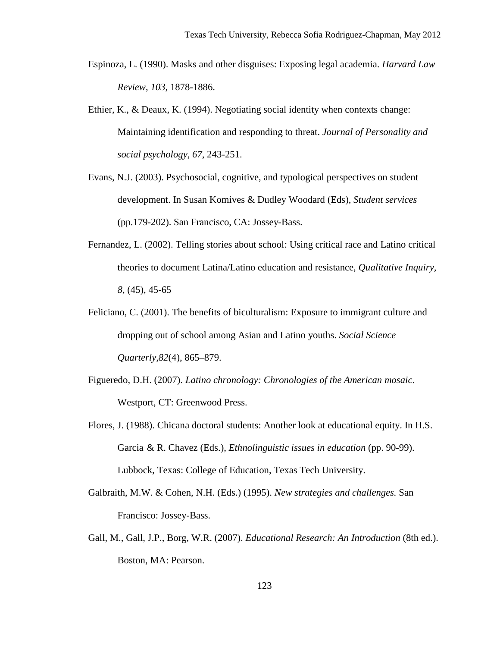- Espinoza, L. (1990). Masks and other disguises: Exposing legal academia. *Harvard Law Review*, *103*, 1878-1886.
- Ethier, K., & Deaux, K. (1994). Negotiating social identity when contexts change: Maintaining identification and responding to threat. *Journal of Personality and social psychology*, *67*, 243-251.
- Evans, N.J. (2003). Psychosocial, cognitive, and typological perspectives on student development. In Susan Komives & Dudley Woodard (Eds), *Student services* (pp.179-202). San Francisco, CA: Jossey-Bass.
- Fernandez, L. (2002). Telling stories about school: Using critical race and Latino critical theories to document Latina/Latino education and resistance, *Qualitative Inquiry, 8*, (45), 45-65
- Feliciano, C. (2001). The benefits of biculturalism: Exposure to immigrant culture and dropping out of school among Asian and Latino youths. *Social Science Quarterly,82*(4), 865–879.
- Figueredo, D.H. (2007). *Latino chronology: Chronologies of the American mosaic*. Westport, CT: Greenwood Press.
- Flores, J. (1988). Chicana doctoral students: Another look at educational equity. In H.S. Garcia & R. Chavez (Eds.), *Ethnolinguistic issues in education* (pp. 90-99). Lubbock, Texas: College of Education, Texas Tech University.
- Galbraith, M.W. & Cohen, N.H. (Eds.) (1995). *New strategies and challenges.* San Francisco: Jossey-Bass.
- Gall, M., Gall, J.P., Borg, W.R. (2007). *Educational Research: An Introduction* (8th ed.). Boston, MA: Pearson.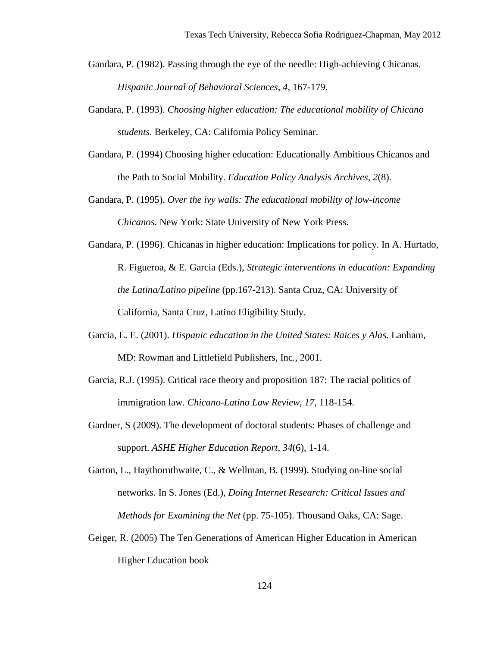- Gandara, P. (1982). Passing through the eye of the needle: High-achieving Chicanas. *Hispanic Journal of Behavioral Sciences*, *4*, 167-179.
- Gandara, P. (1993). *Choosing higher education: The educational mobility of Chicano students.* Berkeley, CA: California Policy Seminar.
- Gandara, P. (1994) Choosing higher education: Educationally Ambitious Chicanos and the Path to Social Mobility. *Education Policy Analysis Archives*, *2*(8).
- Gandara, P. (1995). *Over the ivy walls: The educational mobility of low-income Chicanos*. New York: State University of New York Press.
- Gandara, P. (1996). Chicanas in higher education: Implications for policy. In A. Hurtado, R. Figueroa, & E. Garcia (Eds.), *Strategic interventions in education: Expanding the Latina/Latino pipeline* (pp.167-213). Santa Cruz, CA: University of California, Santa Cruz, Latino Eligibility Study.
- Garcia, E. E. (2001). *Hispanic education in the United States: Raices y Alas.* Lanham, MD: Rowman and Littlefield Publishers, Inc., 2001.
- Garcia, R.J. (1995). Critical race theory and proposition 187: The racial politics of immigration law. *Chicano-Latino Law Review*, *17*, 118-154.
- Gardner, S (2009). The development of doctoral students: Phases of challenge and support. *ASHE Higher Education Report*, *34*(6), 1-14.
- Garton, L., Haythornthwaite, C., & Wellman, B. (1999). Studying on-line social networks. In S. Jones (Ed.), *Doing Internet Research: Critical Issues and Methods for Examining the Net* (pp. 75-105). Thousand Oaks, CA: Sage.
- Geiger, R. (2005) The Ten Generations of American Higher Education in American Higher Education book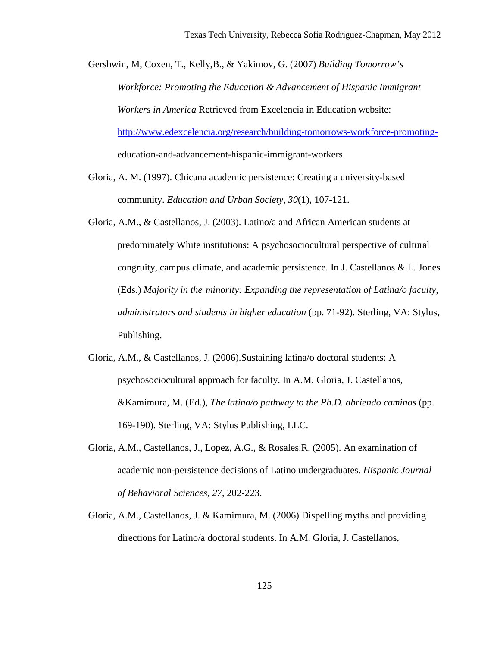Gershwin, M, Coxen, T., Kelly,B., & Yakimov, G. (2007) *Building Tomorrow's Workforce: Promoting the Education & Advancement of Hispanic Immigrant Workers in America* Retrieved from Excelencia in Education website: [http://www.edexcelencia.org/research/building-tomorrows-workforce-promoting](http://www.edexcelencia.org/research/building-tomorrows-workforce-promoting-)education-and-advancement-hispanic-immigrant-workers.

- Gloria, A. M. (1997). Chicana academic persistence: Creating a university-based community. *Education and Urban Society*, *30*(1), 107-121.
- Gloria, A.M., & Castellanos, J. (2003). Latino/a and African American students at predominately White institutions: A psychosociocultural perspective of cultural congruity, campus climate, and academic persistence. In J. Castellanos & L. Jones (Eds.) *Majority in the minority: Expanding the representation of Latina/o faculty, administrators and students in higher education* (pp. 71-92). Sterling, VA: Stylus, Publishing.
- Gloria, A.M., & Castellanos, J. (2006).Sustaining latina/o doctoral students: A psychosociocultural approach for faculty. In A.M. Gloria, J. Castellanos, &Kamimura, M. (Ed.), *The latina/o pathway to the Ph.D. abriendo caminos* (pp. 169-190). Sterling, VA: Stylus Publishing, LLC.
- Gloria, A.M., Castellanos, J., Lopez, A.G., & Rosales.R. (2005). An examination of academic non-persistence decisions of Latino undergraduates. *Hispanic Journal of Behavioral Sciences*, *27*, 202-223.
- Gloria, A.M., Castellanos, J. & Kamimura, M. (2006) Dispelling myths and providing directions for Latino/a doctoral students. In A.M. Gloria, J. Castellanos,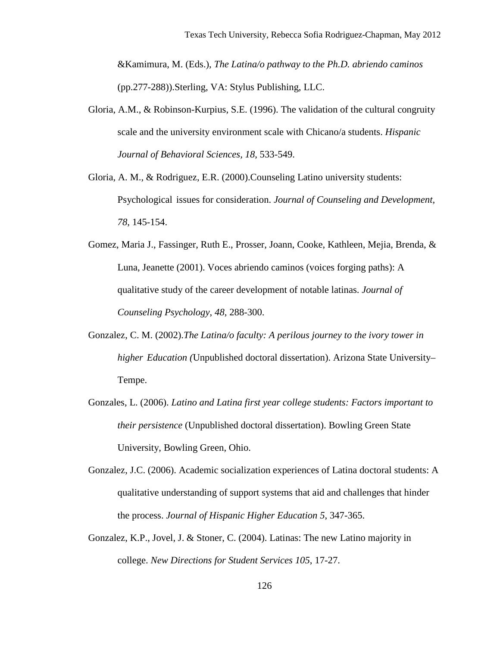&Kamimura, M. (Eds.), *The Latina/o pathway to the Ph.D. abriendo caminos* (pp.277-288)).Sterling, VA: Stylus Publishing, LLC.

- Gloria, A.M., & Robinson-Kurpius, S.E. (1996). The validation of the cultural congruity scale and the university environment scale with Chicano/a students. *Hispanic Journal of Behavioral Sciences, 18*, 533-549.
- Gloria, A. M., & Rodriguez, E.R. (2000).Counseling Latino university students: Psychological issues for consideration. *Journal of Counseling and Development, 78*, 145-154.
- Gomez, Maria J., Fassinger, Ruth E., Prosser, Joann, Cooke, Kathleen, Mejia, Brenda, & Luna, Jeanette (2001). Voces abriendo caminos (voices forging paths): A qualitative study of the career development of notable latinas. *Journal of Counseling Psychology*, *48*, 288-300.
- Gonzalez, C. M. (2002).*The Latina/o faculty: A perilous journey to the ivory tower in higher Education (*Unpublished doctoral dissertation). Arizona State University– Tempe.
- Gonzales, L. (2006). *Latino and Latina first year college students: Factors important to their persistence* (Unpublished doctoral dissertation). Bowling Green State University, Bowling Green, Ohio.
- Gonzalez, J.C. (2006). Academic socialization experiences of Latina doctoral students: A qualitative understanding of support systems that aid and challenges that hinder the process. *Journal of Hispanic Higher Education 5*, 347-365.
- Gonzalez, K.P., Jovel, J. & Stoner, C. (2004). Latinas: The new Latino majority in college. *New Directions for Student Services 105*, 17-27.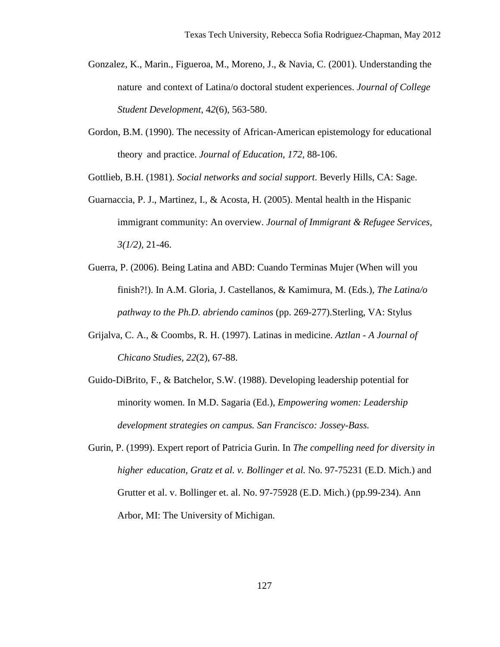- Gonzalez, K., Marin., Figueroa, M., Moreno, J., & Navia, C. (2001). Understanding the nature and context of Latina/o doctoral student experiences. *Journal of College Student Development*, 4*2*(6), 563-580.
- Gordon, B.M. (1990). The necessity of African-American epistemology for educational theory and practice. *Journal of Education*, *172,* 88-106.

Gottlieb, B.H. (1981). *Social networks and social support*. Beverly Hills, CA: Sage.

- Guarnaccia, P. J., Martinez, I., & Acosta, H. (2005). Mental health in the Hispanic immigrant community: An overview. *Journal of Immigrant & Refugee Services, 3(1/2),* 21-46.
- Guerra, P. (2006). Being Latina and ABD: Cuando Terminas Mujer (When will you finish?!). In A.M. Gloria, J. Castellanos, & Kamimura, M. (Eds.), *The Latina/o pathway to the Ph.D. abriendo caminos* (pp. 269-277).Sterling, VA: Stylus
- Grijalva, C. A., & Coombs, R. H. (1997). Latinas in medicine. *Aztlan A Journal of Chicano Studies, 22*(2), 67-88.
- Guido-DiBrito, F., & Batchelor, S.W. (1988). Developing leadership potential for minority women. In M.D. Sagaria (Ed.), *Empowering women: Leadership development strategies on campus. San Francisco: Jossey-Bass.*
- Gurin, P. (1999). Expert report of Patricia Gurin. In *The compelling need for diversity in higher education, Gratz et al. v. Bollinger et al.* No. 97-75231 (E.D. Mich.) and Grutter et al. v. Bollinger et. al. No. 97-75928 (E.D. Mich.) (pp.99-234). Ann Arbor, MI: The University of Michigan.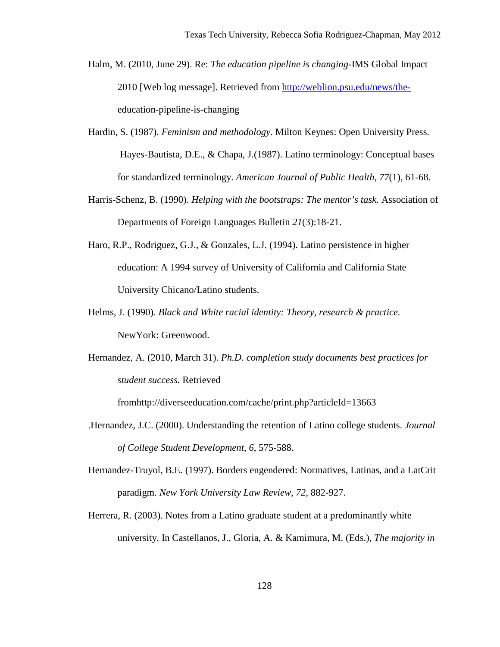- Halm, M. (2010, June 29). Re: *The education pipeline is changing*-IMS Global Impact 2010 [Web log message]. Retrieved from [http://weblion.psu.edu/news/the](http://weblion.psu.edu/news/the-)education-pipeline-is-changing
- Hardin, S. (1987). *Feminism and methodology*. Milton Keynes: Open University Press. Hayes-Bautista, D.E., & Chapa, J.(1987). Latino terminology: Conceptual bases for standardized terminology. *American Journal of Public Health*, *77*(1), 61-68.
- Harris-Schenz, B. (1990). *Helping with the bootstraps: The mentor's task.* Association of Departments of Foreign Languages Bulletin *21*(3):18-21.
- Haro, R.P., Rodriguez, G.J., & Gonzales, L.J. (1994). Latino persistence in higher education: A 1994 survey of University of California and California State University Chicano/Latino students.
- Helms, J. (1990). *Black and White racial identity: Theory, research & practice.*  NewYork: Greenwood.
- Hernandez, A. (2010, March 31). *Ph.D. completion study documents best practices for student success.* Retrieved

fro[mhttp://diverseeducation.com/cache/print.php?articleId=13663](http://diverseeducation.com/cache/print.php?articleId=13663)

- .Hernandez, J.C. (2000). Understanding the retention of Latino college students. *Journal of College Student Development, 6*, 575-588.
- Hernandez-Truyol, B.E. (1997). Borders engendered: Normatives, Latinas, and a LatCrit paradigm. *New York University Law Review*, *72*, 882-927.
- Herrera, R. (2003). Notes from a Latino graduate student at a predominantly white university. In Castellanos, J., Gloria, A. & Kamimura, M. (Eds.), *The majority in*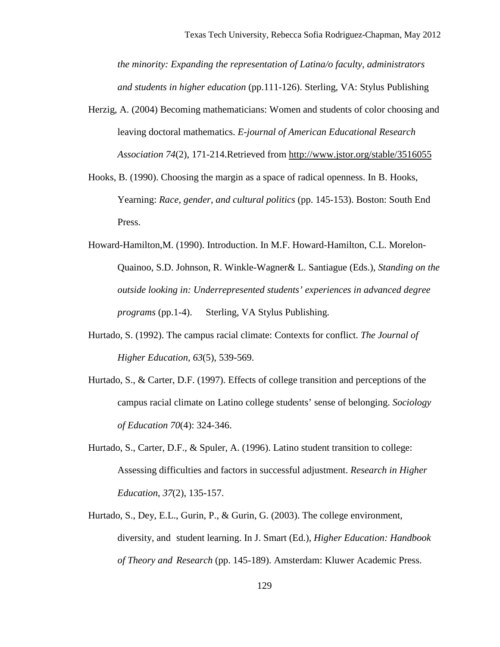*the minority: Expanding the representation of Latina/o faculty, administrators and students in higher education* (pp.111-126). Sterling, VA: Stylus Publishing

- Herzig, A. (2004) Becoming mathematicians: Women and students of color choosing and leaving doctoral mathematics. *E-journal of American Educational Research Association 74*(2), 171-214.Retrieved from<http://www.jstor.org/stable/3516055>
- Hooks, B. (1990). Choosing the margin as a space of radical openness. In B. Hooks, Yearning: *Race, gender, and cultural politics* (pp. 145-153). Boston: South End Press.
- Howard-Hamilton,M. (1990). Introduction. In M.F. Howard-Hamilton, C.L. Morelon-Quainoo, S.D. Johnson, R. Winkle-Wagner& L. Santiague (Eds.), *Standing on the outside looking in: Underrepresented students' experiences in advanced degree programs* (pp.1-4). Sterling, VA Stylus Publishing.
- Hurtado, S. (1992). The campus racial climate: Contexts for conflict. *The Journal of Higher Education, 63*(5), 539-569.
- Hurtado, S., & Carter, D.F. (1997). Effects of college transition and perceptions of the campus racial climate on Latino college students' sense of belonging. *Sociology of Education 70*(4): 324-346.
- Hurtado, S., Carter, D.F., & Spuler, A. (1996). Latino student transition to college: Assessing difficulties and factors in successful adjustment. *Research in Higher Education*, *37*(2), 135-157.
- Hurtado, S., Dey, E.L., Gurin, P., & Gurin, G. (2003). The college environment, diversity, and student learning. In J. Smart (Ed.), *Higher Education: Handbook of Theory and Research* (pp. 145-189). Amsterdam: Kluwer Academic Press.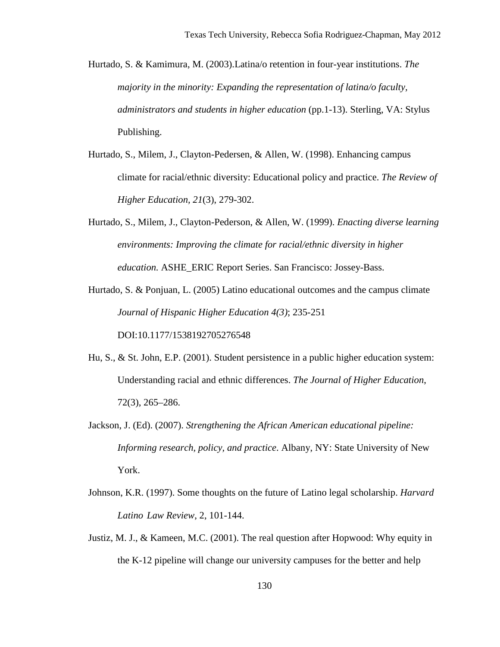- Hurtado, S. & Kamimura, M. (2003).Latina/o retention in four-year institutions. *The majority in the minority: Expanding the representation of latina/o faculty, administrators and students in higher education* (pp.1-13). Sterling, VA: Stylus Publishing.
- Hurtado, S., Milem, J., Clayton-Pedersen, & Allen, W. (1998). Enhancing campus climate for racial/ethnic diversity: Educational policy and practice. *The Review of Higher Education, 21*(3), 279-302.
- Hurtado, S., Milem, J., Clayton-Pederson, & Allen, W. (1999). *Enacting diverse learning environments: Improving the climate for racial/ethnic diversity in higher education.* ASHE\_ERIC Report Series. San Francisco: Jossey-Bass.
- Hurtado, S. & Ponjuan, L. (2005) Latino educational outcomes and the campus climate *Journal of Hispanic Higher Education 4(3)*; 235-251

DOI:10.1177/1538192705276548

- Hu, S., & St. John, E.P. (2001). Student persistence in a public higher education system: Understanding racial and ethnic differences. *The Journal of Higher Education*, 72(3), 265–286.
- Jackson, J. (Ed). (2007). *Strengthening the African American educational pipeline: Informing research, policy, and practice*. Albany, NY: State University of New York.
- Johnson, K.R. (1997). Some thoughts on the future of Latino legal scholarship. *Harvard Latino Law Review*, 2, 101-144.
- Justiz, M. J., & Kameen, M.C. (2001). The real question after Hopwood: Why equity in the K-12 pipeline will change our university campuses for the better and help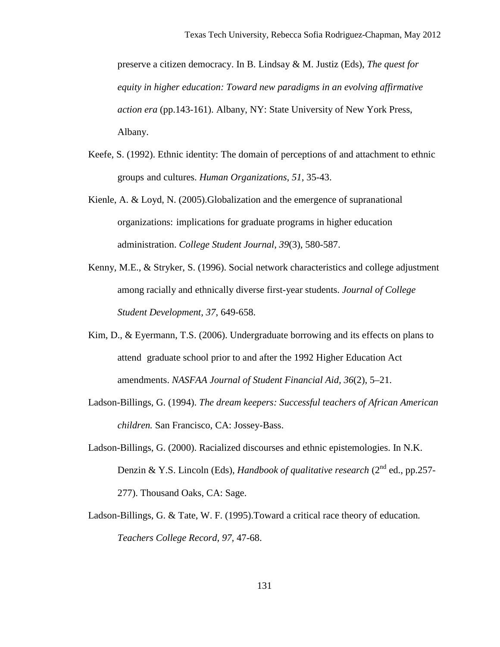preserve a citizen democracy. In B. Lindsay & M. Justiz (Eds), *The quest for equity in higher education: Toward new paradigms in an evolving affirmative action era* (pp.143-161). Albany, NY: State University of New York Press, Albany.

- Keefe, S. (1992). Ethnic identity: The domain of perceptions of and attachment to ethnic groups and cultures. *Human Organizations*, *51*, 35-43.
- Kienle, A. & Loyd, N. (2005).Globalization and the emergence of supranational organizations: implications for graduate programs in higher education administration. *College Student Journal*, *39*(3), 580-587.
- Kenny, M.E., & Stryker, S. (1996). Social network characteristics and college adjustment among racially and ethnically diverse first-year students. *Journal of College Student Development, 37*, 649-658.
- Kim, D., & Eyermann, T.S. (2006). Undergraduate borrowing and its effects on plans to attend graduate school prior to and after the 1992 Higher Education Act amendments. *NASFAA Journal of Student Financial Aid, 36*(2), 5–21.
- Ladson-Billings, G. (1994). *The dream keepers: Successful teachers of African American children.* San Francisco, CA: Jossey-Bass.
- Ladson-Billings, G. (2000). Racialized discourses and ethnic epistemologies. In N.K. Denzin & Y.S. Lincoln (Eds), *Handbook of qualitative research* (2<sup>nd</sup> ed., pp.257-277). Thousand Oaks, CA: Sage.
- Ladson-Billings, G. & Tate, W. F. (1995).Toward a critical race theory of education*. Teachers College Record, 97,* 47-68.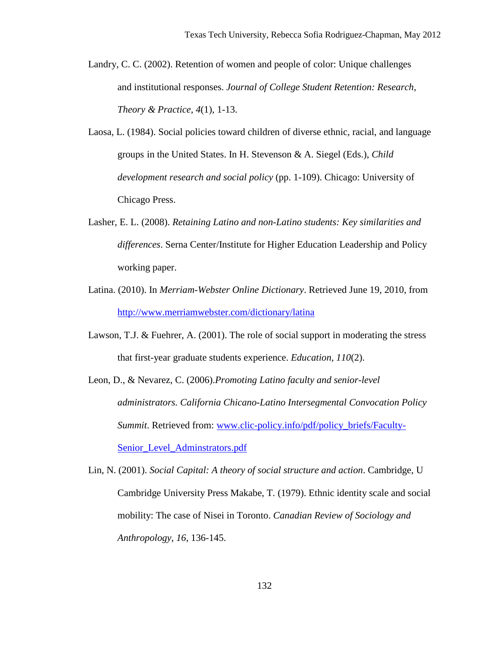- Landry, C. C. (2002). Retention of women and people of color: Unique challenges and institutional responses. *Journal of College Student Retention: Research, Theory & Practice, 4*(1), 1-13.
- Laosa, L. (1984). Social policies toward children of diverse ethnic, racial, and language groups in the United States. In H. Stevenson & A. Siegel (Eds.), *Child development research and social policy* (pp. 1-109). Chicago: University of Chicago Press.
- Lasher, E. L. (2008). *Retaining Latino and non-Latino students: Key similarities and differences*. Serna Center/Institute for Higher Education Leadership and Policy working paper.
- Latina. (2010). In *Merriam-Webster Online Dictionary*. Retrieved June 19, 2010, from <http://www.merriamwebster.com/dictionary/latina>
- Lawson, T.J. & Fuehrer, A. (2001). The role of social support in moderating the stress that first-year graduate students experience. *Education, 110*(2).
- Leon, D., & Nevarez, C. (2006).*Promoting Latino faculty and senior-level administrators. California Chicano-Latino Intersegmental Convocation Policy Summit*. Retrieved from: [www.clic-policy.info/pdf/policy\\_briefs/Faculty-](http://www.clic-policy.info/pdf/policy_briefs/Faculty-%20%20%20Senior_Level_Adminstrators.pdf)[Senior\\_Level\\_Adminstrators.pdf](http://www.clic-policy.info/pdf/policy_briefs/Faculty-%20%20%20Senior_Level_Adminstrators.pdf)
- Lin, N. (2001). *Social Capital: A theory of social structure and action*. Cambridge, U Cambridge University Press Makabe, T. (1979). Ethnic identity scale and social mobility: The case of Nisei in Toronto. *Canadian Review of Sociology and Anthropology*, *16*, 136-145.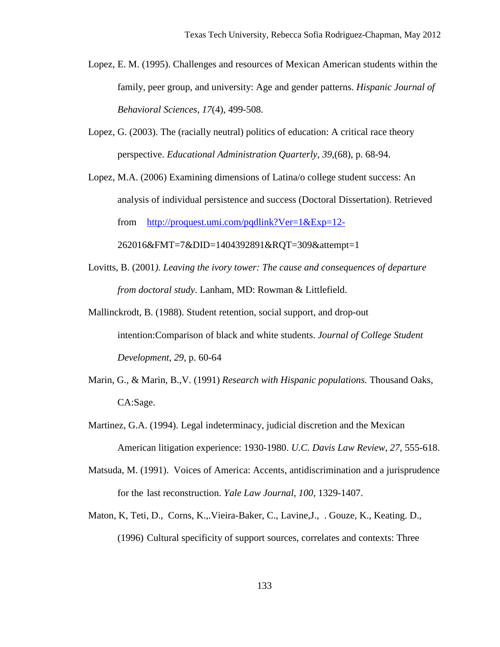- Lopez, E. M. (1995). Challenges and resources of Mexican American students within the family, peer group, and university: Age and gender patterns. *Hispanic Journal of Behavioral Sciences, 17*(4), 499-508.
- Lopez, G. (2003). The (racially neutral) politics of education: A critical race theory perspective. *Educational Administration Quarterly, 39*,(68), p. 68-94.
- Lopez, M.A. (2006) Examining dimensions of Latina/o college student success: An analysis of individual persistence and success (Doctoral Dissertation). Retrieved from <http://proquest.umi.com/pqdlink?Ver=1&Exp=12->
	- 262016&FMT=7&DID=1404392891&RQT=309&attempt=1
- Lovitts, B. (2001*). Leaving the ivory tower: The cause and consequences of departure from doctoral study*. Lanham, MD: Rowman & Littlefield.
- Mallinckrodt, B. (1988). Student retention, social support, and drop-out intention:Comparison of black and white students. *Journal of College Student Development*, *29*, p. 60-64
- Marin, G., & Marin, B.,V. (1991) *Research with Hispanic populations.* Thousand Oaks, CA:Sage.
- Martinez, G.A. (1994). Legal indeterminacy, judicial discretion and the Mexican American litigation experience: 1930-1980. *U.C. Davis Law Review*, *27*, 555-618.
- Matsuda, M. (1991). Voices of America: Accents, antidiscrimination and a jurisprudence for the last reconstruction. *Yale Law Journal*, *100*, 1329-1407.
- Maton, K, Teti, D., Corns, K.,.Vieira-Baker, C., Lavine,J., . Gouze, K., Keating. D., (1996) Cultural specificity of support sources, correlates and contexts: Three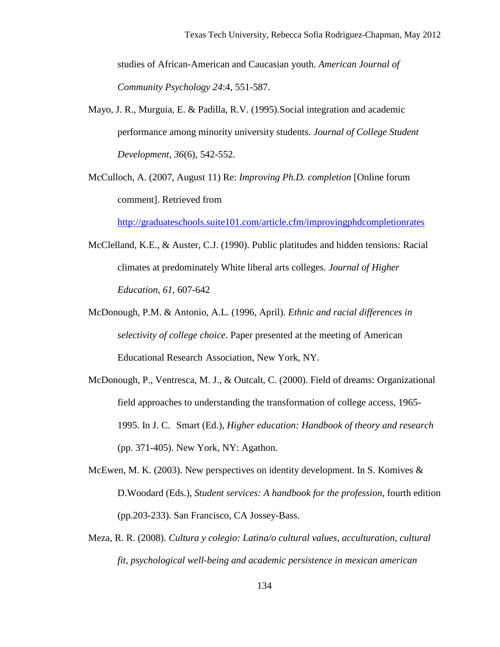studies of African-American and Caucasian youth. *American Journal of Community Psychology 24*:4, 551-587.

- Mayo, J. R., Murguia, E. & Padilla, R.V. (1995).Social integration and academic performance among minority university students. *Journal of College Student Development, 36*(6), 542-552.
- McCulloch, A. (2007, August 11) Re: *Improving Ph.D. completion* [Online forum comment]. Retrieved from

<http://graduateschools.suite101.com/article.cfm/improvingphdcompletionrates>

- McClelland, K.E., & Auster, C.J. (1990). Public platitudes and hidden tensions: Racial climates at predominately White liberal arts colleges. *Journal of Higher Education*, *61*, 607-642
- McDonough, P.M. & Antonio, A.L. (1996, April). *Ethnic and racial differences in selectivity of college choice*. Paper presented at the meeting of American Educational Research Association, New York, NY.
- McDonough, P., Ventresca, M. J., & Outcalt, C. (2000). Field of dreams: Organizational field approaches to understanding the transformation of college access, 1965- 1995. In J. C. Smart (Ed.), *Higher education: Handbook of theory and research* (pp. 371-405). New York, NY: Agathon.
- McEwen, M. K. (2003). New perspectives on identity development. In S. Komives  $\&$ D.Woodard (Eds.), *Student services: A handbook for the profession*, fourth edition (pp.203-233). San Francisco, CA Jossey-Bass.
- Meza, R. R. (2008). *Cultura y colegio: Latina/o cultural values, acculturation, cultural fit, psychological well-being and academic persistence in mexican american*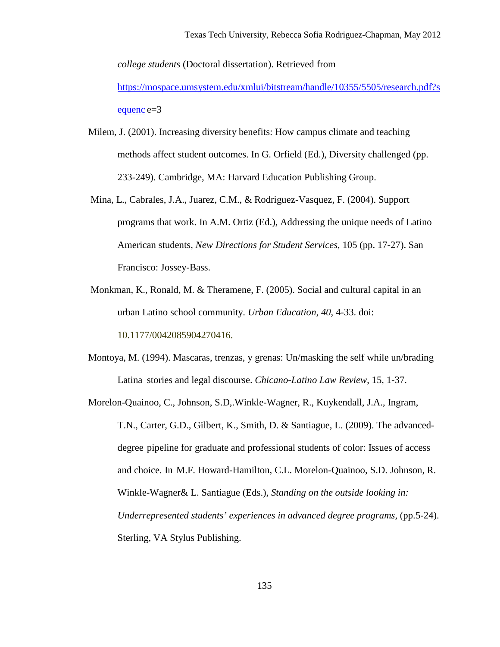*college students* (Doctoral dissertation). Retrieved from [https://mospace.umsystem.edu/xmlui/bitstream/handle/10355/5505/research.pdf?s](https://mospace.umsystem.edu/xmlui/bitstream/handle/10355/5505/research.pdf?sequenc) [equenc](https://mospace.umsystem.edu/xmlui/bitstream/handle/10355/5505/research.pdf?sequenc) e=3

- Milem, J. (2001). Increasing diversity benefits: How campus climate and teaching methods affect student outcomes. In G. Orfield (Ed.), Diversity challenged (pp. 233-249). Cambridge, MA: Harvard Education Publishing Group.
- Mina, L., Cabrales, J.A., Juarez, C.M., & Rodriguez-Vasquez, F. (2004). Support programs that work. In A.M. Ortiz (Ed.), Addressing the unique needs of Latino American students, *New Directions for Student Services*, 105 (pp. 17-27). San Francisco: Jossey-Bass.
- Monkman, K., Ronald, M. & Theramene, F. (2005). Social and cultural capital in an urban Latino school community. *Urban Education*, *40*, 4-33. doi: 10.1177/0042085904270416.
- Montoya, M. (1994). Mascaras, trenzas, y grenas: Un/masking the self while un/brading Latina stories and legal discourse. *Chicano-Latino Law Review*, 15, 1-37.
- Morelon-Quainoo, C., Johnson, S.D,.Winkle-Wagner, R., Kuykendall, J.A., Ingram, T.N., Carter, G.D., Gilbert, K., Smith, D. & Santiague, L. (2009). The advanceddegree pipeline for graduate and professional students of color: Issues of access and choice. In M.F. Howard-Hamilton, C.L. Morelon-Quainoo, S.D. Johnson, R. Winkle-Wagner& L. Santiague (Eds.), *Standing on the outside looking in: Underrepresented students' experiences in advanced degree programs,* (pp.5-24). Sterling, VA Stylus Publishing.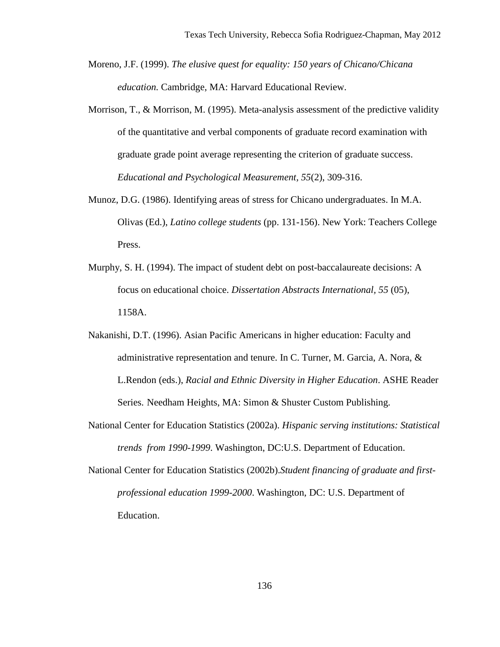- Moreno, J.F. (1999). *The elusive quest for equality: 150 years of Chicano/Chicana education.* Cambridge, MA: Harvard Educational Review.
- Morrison,  $T_{\text{A}}$ , & Morrison, M. (1995). Meta-analysis assessment of the predictive validity of the quantitative and verbal components of graduate record examination with graduate grade point average representing the criterion of graduate success. *Educational and Psychological Measurement, 55*(2), 309-316.
- Munoz, D.G. (1986). Identifying areas of stress for Chicano undergraduates. In M.A. Olivas (Ed.), *Latino college students* (pp. 131-156). New York: Teachers College Press.
- Murphy, S. H. (1994). The impact of student debt on post-baccalaureate decisions: A focus on educational choice. *Dissertation Abstracts International, 55* (05), 1158A.
- Nakanishi, D.T. (1996). Asian Pacific Americans in higher education: Faculty and administrative representation and tenure. In C. Turner, M. Garcia, A. Nora, & L.Rendon (eds.), *Racial and Ethnic Diversity in Higher Education*. ASHE Reader Series. Needham Heights, MA: Simon & Shuster Custom Publishing.
- National Center for Education Statistics (2002a). *Hispanic serving institutions: Statistical trends from 1990-1999*. Washington, DC:U.S. Department of Education.
- National Center for Education Statistics (2002b).*Student financing of graduate and firstprofessional education 1999-2000*. Washington, DC: U.S. Department of Education.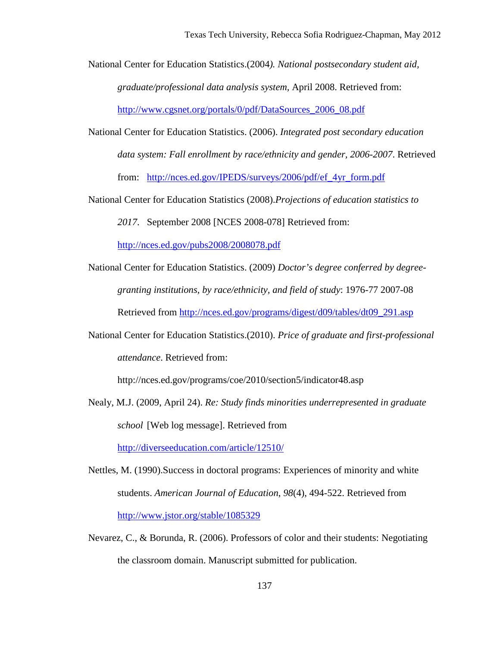National Center for Education Statistics.(2004*). National postsecondary student aid, graduate/professional data analysis system,* April 2008. Retrieved from: [http://www.cgsnet.org/portals/0/pdf/DataSources\\_2006\\_08.pdf](http://www.cgsnet.org/portals/0/pdf/DataSources_2006_08.pdf)

- National Center for Education Statistics. (2006). *Integrated post secondary education data system: Fall enrollment by race/ethnicity and gender, 2006-2007*. Retrieved from: [http://nces.ed.gov/IPEDS/surveys/2006/pdf/ef\\_4yr\\_form.pdf](http://nces.ed.gov/IPEDS/surveys/2006/pdf/ef_4yr_form.pdf)
- National Center for Education Statistics (2008).*Projections of education statistics to*

*2017*. September 2008 [NCES 2008-078] Retrieved from:

<http://nces.ed.gov/pubs2008/2008078.pdf>

- National Center for Education Statistics. (2009) *Doctor's degree conferred by degreegranting institutions, by race/ethnicity, and field of study*: 1976-77 2007-08 Retrieved from [http://nces.ed.gov/programs/digest/d09/tables/dt09\\_291.asp](http://nces.ed.gov/programs/digest/d09/tables/dt09_291.asp)
- National Center for Education Statistics.(2010). *Price of graduate and first-professional attendance*. Retrieved from:

http://nces.ed.gov/programs/coe/2010/section5/indicator48.asp

Nealy, M.J. (2009, April 24). *Re: Study finds minorities underrepresented in graduate school* [Web log message]. Retrieved from

<http://diverseeducation.com/article/12510/>

- Nettles, M. (1990).Success in doctoral programs: Experiences of minority and white students. *American Journal of Education*, *98*(4), 494-522. Retrieved from <http://www.jstor.org/stable/1085329>
- Nevarez, C., & Borunda, R. (2006). Professors of color and their students: Negotiating the classroom domain. Manuscript submitted for publication.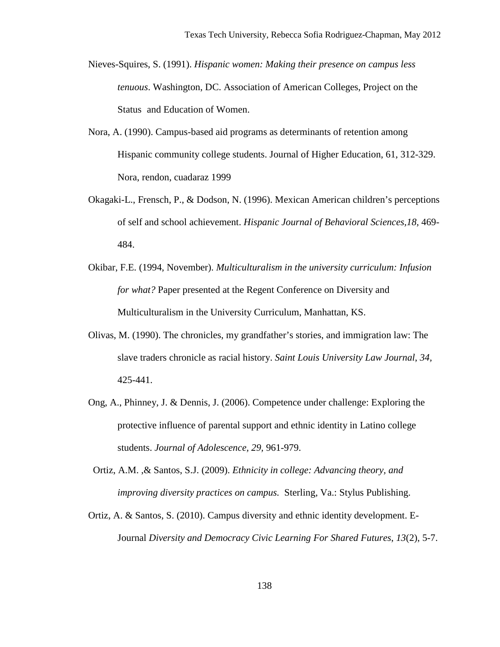- Nieves-Squires, S. (1991). *Hispanic women: Making their presence on campus less tenuous*. Washington, DC. Association of American Colleges, Project on the Status and Education of Women.
- Nora, A. (1990). Campus-based aid programs as determinants of retention among Hispanic community college students. Journal of Higher Education, 61, 312-329. Nora, rendon, cuadaraz 1999
- Okagaki-L., Frensch, P., & Dodson, N. (1996). Mexican American children's perceptions of self and school achievement. *Hispanic Journal of Behavioral Sciences,18,* 469- 484.
- Okibar, F.E. (1994, November). *Multiculturalism in the university curriculum: Infusion for what?* Paper presented at the Regent Conference on Diversity and Multiculturalism in the University Curriculum, Manhattan, KS.
- Olivas, M. (1990). The chronicles, my grandfather's stories, and immigration law: The slave traders chronicle as racial history. *Saint Louis University Law Journal*, *34,* 425-441.
- Ong, A., Phinney, J. & Dennis, J. (2006). Competence under challenge: Exploring the protective influence of parental support and ethnic identity in Latino college students. *Journal of Adolescence, 29,* 961-979.
- Ortiz, A.M. ,& Santos, S.J. (2009). *Ethnicity in college: Advancing theory, and improving diversity practices on campus.* Sterling, Va.: Stylus Publishing.
- Ortiz, A. & Santos, S. (2010). Campus diversity and ethnic identity development. E-Journal *Diversity and Democracy Civic Learning For Shared Futures*, *13*(2), 5-7.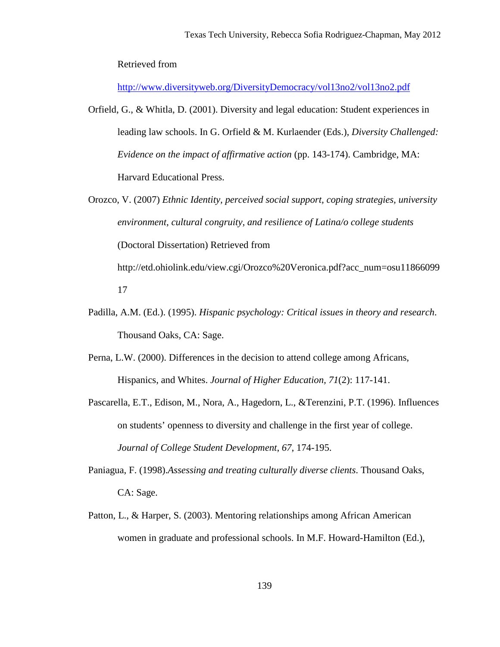Retrieved from

<http://www.diversityweb.org/DiversityDemocracy/vol13no2/vol13no2.pdf>

- Orfield, G., & Whitla, D. (2001). Diversity and legal education: Student experiences in leading law schools. In G. Orfield & M. Kurlaender (Eds.), *Diversity Challenged: Evidence on the impact of affirmative action* (pp. 143-174). Cambridge, MA: Harvard Educational Press.
- Orozco, V. (2007) *Ethnic Identity, perceived social support, coping strategies, university environment, cultural congruity, and resilience of Latina/o college students* (Doctoral Dissertation) Retrieved from http://etd.ohiolink.edu/view.cgi/Orozco%20Veronica.pdf?acc\_num=osu11866099 17
- Padilla, A.M. (Ed.). (1995). *Hispanic psychology: Critical issues in theory and research*. Thousand Oaks, CA: Sage.
- Perna, L.W. (2000). Differences in the decision to attend college among Africans, Hispanics, and Whites. *Journal of Higher Education, 71*(2): 117-141.
- Pascarella, E.T., Edison, M., Nora, A., Hagedorn, L., &Terenzini, P.T. (1996). Influences on students' openness to diversity and challenge in the first year of college. *Journal of College Student Development*, *67*, 174-195.
- Paniagua, F. (1998).*Assessing and treating culturally diverse clients*. Thousand Oaks, CA: Sage.
- Patton, L., & Harper, S. (2003). Mentoring relationships among African American women in graduate and professional schools. In M.F. Howard-Hamilton (Ed.),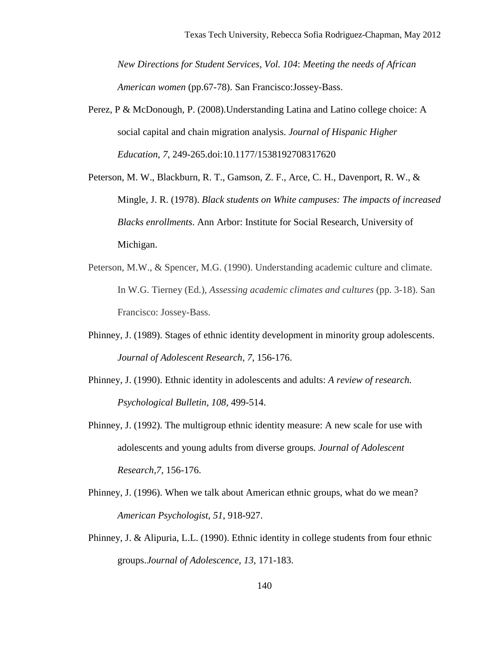*New Directions for Student Services, Vol. 104*: *Meeting the needs of African American women* (pp.67-78). San Francisco:Jossey-Bass.

- Perez, P & McDonough, P. (2008).Understanding Latina and Latino college choice: A social capital and chain migration analysis. *Journal of Hispanic Higher Education*, *7*, 249-265.doi:10.1177/1538192708317620
- Peterson, M. W., Blackburn, R. T., Gamson, Z. F., Arce, C. H., Davenport, R. W., & Mingle, J. R. (1978). *Black students on White campuses: The impacts of increased Blacks enrollments*. Ann Arbor: Institute for Social Research, University of Michigan.
- Peterson, M.W., & Spencer, M.G. (1990). Understanding academic culture and climate. In W.G. Tierney (Ed.), *Assessing academic climates and cultures* (pp. 3-18). San Francisco: Jossey-Bass.
- Phinney, J. (1989). Stages of ethnic identity development in minority group adolescents. *Journal of Adolescent Research*, *7*, 156-176.
- Phinney, J. (1990). Ethnic identity in adolescents and adults: *A review of research. Psychological Bulletin, 108*, 499-514.
- Phinney, J. (1992). The multigroup ethnic identity measure: A new scale for use with adolescents and young adults from diverse groups*. Journal of Adolescent Research,7,* 156-176.
- Phinney, J. (1996). When we talk about American ethnic groups, what do we mean? *American Psychologist, 51*, 918-927.
- Phinney, J. & Alipuria, L.L. (1990). Ethnic identity in college students from four ethnic groups. *Journal of Adolescence, 13*, 171-183.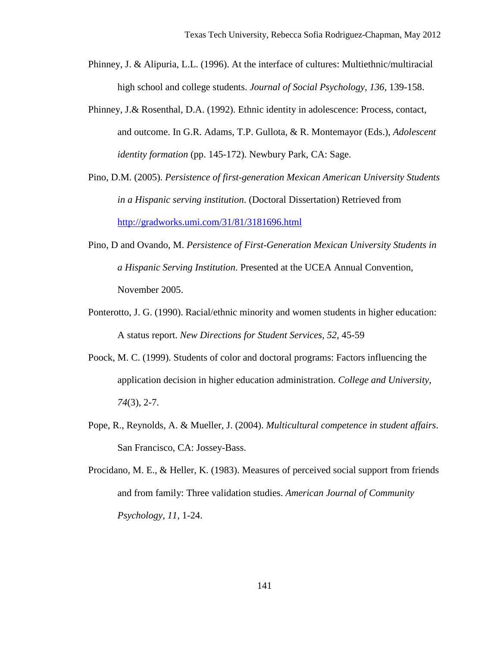- Phinney, J. & Alipuria, L.L. (1996). At the interface of cultures: Multiethnic/multiracial high school and college students. *Journal of Social Psychology*, *136,* 139-158.
- Phinney, J.& Rosenthal, D.A. (1992). Ethnic identity in adolescence: Process, contact, and outcome. In G.R. Adams, T.P. Gullota, & R. Montemayor (Eds.), *Adolescent identity formation* (pp. 145-172). Newbury Park, CA: Sage.
- Pino, D.M. (2005). *Persistence of first-generation Mexican American University Students in a Hispanic serving institution*. (Doctoral Dissertation) Retrieved from <http://gradworks.umi.com/31/81/3181696.html>
- Pino, D and Ovando, M. *Persistence of First-Generation Mexican University Students in a Hispanic Serving Institution*. Presented at the UCEA Annual Convention, November 2005.
- Ponterotto, J. G. (1990). Racial/ethnic minority and women students in higher education: A status report. *New Directions for Student Services*, *52*, 45-59
- Poock, M. C. (1999). Students of color and doctoral programs: Factors influencing the application decision in higher education administration. *College and University*, *74*(3), 2-7.
- Pope, R., Reynolds, A. & Mueller, J. (2004). *Multicultural competence in student affairs*. San Francisco, CA: Jossey-Bass.
- Procidano, M. E., & Heller, K. (1983). Measures of perceived social support from friends and from family: Three validation studies. *American Journal of Community Psychology, 11*, 1-24.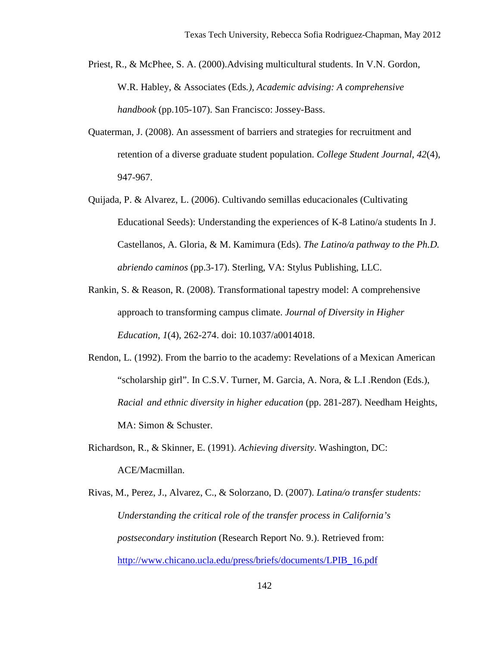- Priest, R., & McPhee, S. A. (2000).Advising multicultural students. In V.N. Gordon, W.R. Habley, & Associates (Eds*.), Academic advising: A comprehensive handbook* (pp.105-107). San Francisco: Jossey-Bass.
- Quaterman, J. (2008). An assessment of barriers and strategies for recruitment and retention of a diverse graduate student population. *College Student Journal*, *42*(4), 947-967.
- Quijada, P. & Alvarez, L. (2006). Cultivando semillas educacionales (Cultivating Educational Seeds): Understanding the experiences of K-8 Latino/a students In J. Castellanos, A. Gloria, & M. Kamimura (Eds). *The Latino/a pathway to the Ph.D. abriendo caminos* (pp.3-17). Sterling, VA: Stylus Publishing, LLC.
- Rankin, S. & Reason, R. (2008). Transformational tapestry model: A comprehensive approach to transforming campus climate. *Journal of Diversity in Higher Education*, *1*(4), 262-274. doi: 10.1037/a0014018.
- Rendon, L. (1992). From the barrio to the academy: Revelations of a Mexican American "scholarship girl". In C.S.V. Turner, M. Garcia, A. Nora, & L.I .Rendon (Eds.), *Racial and ethnic diversity in higher education* (pp. 281-287). Needham Heights, MA: Simon & Schuster.
- Richardson, R., & Skinner, E. (1991). *Achieving diversity*. Washington, DC: ACE/Macmillan.
- Rivas, M., Perez, J., Alvarez, C., & Solorzano, D. (2007). *Latina/o transfer students: Understanding the critical role of the transfer process in California's postsecondary institution* (Research Report No. 9.). Retrieved from: [http://www.chicano.ucla.edu/press/briefs/documents/LPIB\\_16.pdf](http://www.chicano.ucla.edu/press/briefs/documents/LPIB_16.pdf)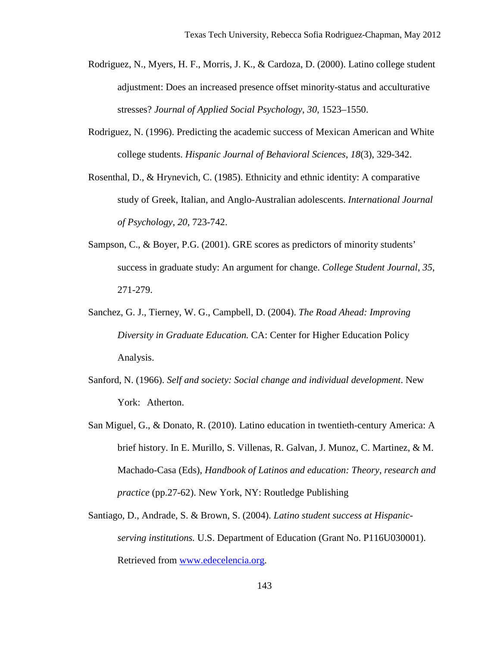- Rodriguez, N., Myers, H. F., Morris, J. K., & Cardoza, D. (2000). Latino college student adjustment: Does an increased presence offset minority-status and acculturative stresses? *Journal of Applied Social Psychology*, *30*, 1523–1550.
- Rodriguez, N. (1996). Predicting the academic success of Mexican American and White college students. *Hispanic Journal of Behavioral Sciences*, *18*(3), 329-342.
- Rosenthal, D., & Hrynevich, C. (1985). Ethnicity and ethnic identity: A comparative study of Greek, Italian, and Anglo-Australian adolescents. *International Journal of Psychology*, *20*, 723-742.
- Sampson, C., & Boyer, P.G. (2001). GRE scores as predictors of minority students' success in graduate study: An argument for change. *College Student Journal*, *35*, 271-279.
- Sanchez, G. J., Tierney, W. G., Campbell, D. (2004). *The Road Ahead: Improving Diversity in Graduate Education.* CA: Center for Higher Education Policy Analysis.
- Sanford, N. (1966). *Self and society: Social change and individual development*. New York: Atherton.
- San Miguel, G., & Donato, R. (2010). Latino education in twentieth-century America: A brief history. In E. Murillo, S. Villenas, R. Galvan, J. Munoz, C. Martinez, & M. Machado-Casa (Eds), *Handbook of Latinos and education: Theory, research and practice* (pp.27-62). New York, NY: Routledge Publishing
- Santiago, D., Andrade, S. & Brown, S. (2004). *Latino student success at Hispanicserving institutions.* U.S. Department of Education (Grant No. P116U030001). Retrieved from [www.edecelencia.org.](http://www.edecelencia.org/)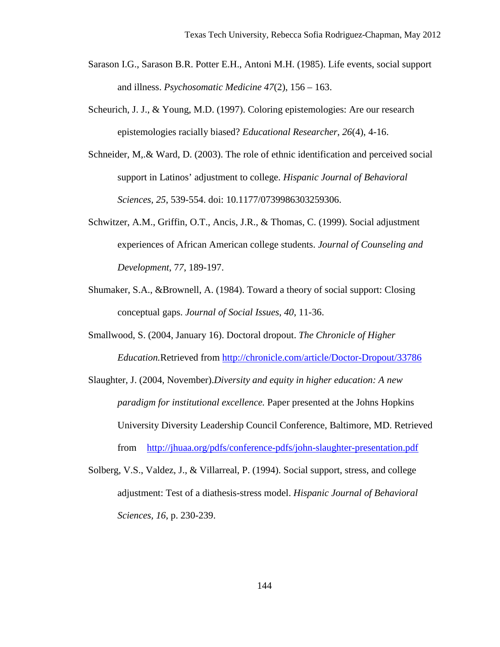- Sarason I.G., Sarason B.R. Potter E.H., Antoni M.H. (1985). Life events, social support and illness. *Psychosomatic Medicine 47*(2), 156 – 163.
- Scheurich, J. J., & Young, M.D. (1997). Coloring epistemologies: Are our research epistemologies racially biased? *Educational Researcher*, *26*(4), 4-16.
- Schneider, M<sub>y</sub>. & Ward, D. (2003). The role of ethnic identification and perceived social support in Latinos' adjustment to college. *Hispanic Journal of Behavioral Sciences, 25*, 539-554. doi: 10.1177/0739986303259306.
- Schwitzer, A.M., Griffin, O.T., Ancis, J.R., & Thomas, C. (1999). Social adjustment experiences of African American college students. *Journal of Counseling and Development*, 7*7*, 189-197.
- Shumaker, S.A., &Brownell, A. (1984). Toward a theory of social support: Closing conceptual gaps. *Journal of Social Issues*, *40*, 11-36.
- Smallwood, S. (2004, January 16). Doctoral dropout. *The Chronicle of Higher Education.*Retrieved from<http://chronicle.com/article/Doctor-Dropout/33786>
- Slaughter, J. (2004, November).*Diversity and equity in higher education: A new paradigm for institutional excellence.* Paper presented at the Johns Hopkins University Diversity Leadership Council Conference, Baltimore, MD. Retrieved from <http://jhuaa.org/pdfs/conference-pdfs/john-slaughter-presentation.pdf>
- Solberg, V.S., Valdez, J., & Villarreal, P. (1994). Social support, stress, and college adjustment: Test of a diathesis-stress model. *Hispanic Journal of Behavioral Sciences, 16*, p. 230-239.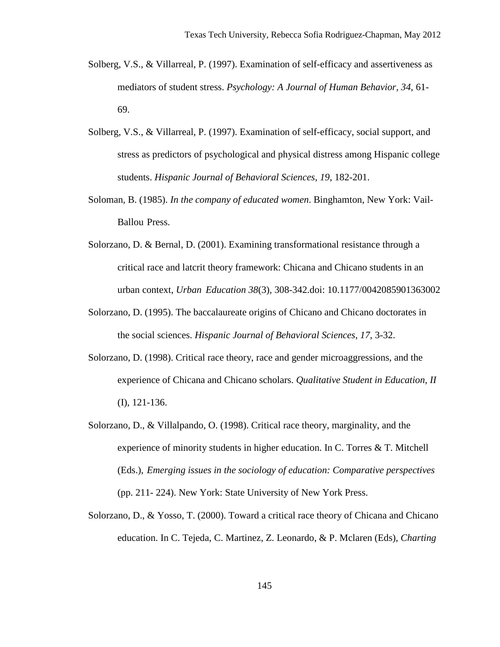- Solberg, V.S., & Villarreal, P. (1997). Examination of self-efficacy and assertiveness as mediators of student stress. *Psychology: A Journal of Human Behavior, 34*, 61- 69.
- Solberg, V.S., & Villarreal, P. (1997). Examination of self-efficacy, social support, and stress as predictors of psychological and physical distress among Hispanic college students. *Hispanic Journal of Behavioral Sciences*, *19*, 182-201.
- Soloman, B. (1985). *In the company of educated women*. Binghamton, New York: Vail-Ballou Press.
- Solorzano, D. & Bernal, D. (2001). Examining transformational resistance through a critical race and latcrit theory framework: Chicana and Chicano students in an urban context, *Urban Education 38*(3), 308-342.doi: 10.1177/0042085901363002
- Solorzano, D. (1995). The baccalaureate origins of Chicano and Chicano doctorates in the social sciences. *Hispanic Journal of Behavioral Sciences, 17*, 3-32.
- Solorzano, D. (1998). Critical race theory, race and gender microaggressions, and the experience of Chicana and Chicano scholars. *Qualitative Student in Education, II* (I), 121-136.
- Solorzano, D., & Villalpando, O. (1998). Critical race theory, marginality, and the experience of minority students in higher education. In C. Torres & T. Mitchell (Eds.), *Emerging issues in the sociology of education: Comparative perspectives* (pp. 211- 224). New York: State University of New York Press.
- Solorzano, D., & Yosso, T. (2000). Toward a critical race theory of Chicana and Chicano education. In C. Tejeda, C. Martinez, Z. Leonardo, & P. Mclaren (Eds), *Charting*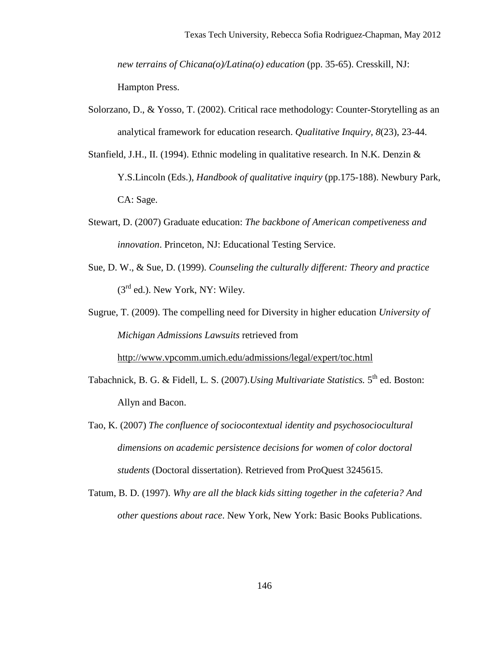*new terrains of Chicana(o)/Latina(o) education (pp. 35-65). Cresskill, NJ:* Hampton Press.

- Solorzano, D., & Yosso, T. (2002). Critical race methodology: Counter-Storytelling as an analytical framework for education research. *Qualitative Inquiry, 8*(23), 23-44.
- Stanfield, J.H., II. (1994). Ethnic modeling in qualitative research. In N.K. Denzin & Y.S.Lincoln (Eds.), *Handbook of qualitative inquiry* (pp.175-188). Newbury Park, CA: Sage.
- Stewart, D. (2007) Graduate education: *The backbone of American competiveness and innovation*. Princeton, NJ: Educational Testing Service.
- Sue, D. W., & Sue, D. (1999). *Counseling the culturally different: Theory and practice*  $(3<sup>rd</sup>$  ed.). New York, NY: Wiley.
- Sugrue, T. (2009). The compelling need for Diversity in higher education *University of Michigan Admissions Lawsuits* retrieved from

<http://www.vpcomm.umich.edu/admissions/legal/expert/toc.html>

- Tabachnick, B. G. & Fidell, L. S. (2007).*Using Multivariate Statistics*. 5<sup>th</sup> ed. Boston: Allyn and Bacon.
- Tao, K. (2007) *The confluence of sociocontextual identity and psychosociocultural dimensions on academic persistence decisions for women of color doctoral students* (Doctoral dissertation). Retrieved from ProQuest 3245615.
- Tatum, B. D. (1997). *Why are all the black kids sitting together in the cafeteria? And other questions about race*. New York, New York: Basic Books Publications.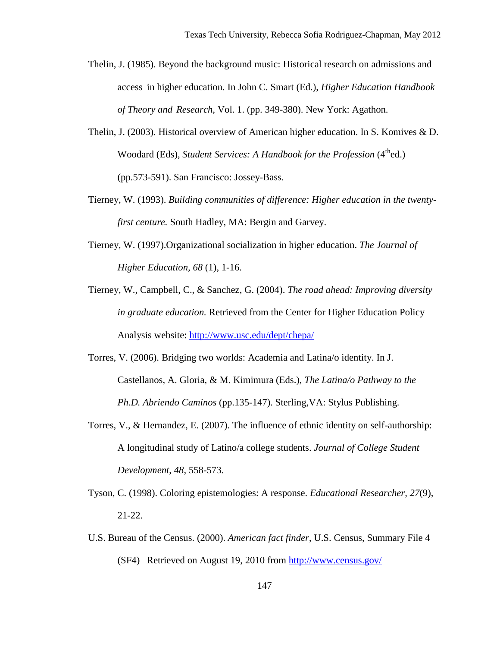- Thelin, J. (1985). Beyond the background music: Historical research on admissions and access in higher education. In John C. Smart (Ed.), *Higher Education Handbook of Theory and Research,* Vol. 1. (pp. 349-380). New York: Agathon.
- Thelin, J. (2003). Historical overview of American higher education. In S. Komives & D. Woodard (Eds), *Student Services: A Handbook for the Profession* (4<sup>th</sup>ed.) (pp.573-591). San Francisco: Jossey-Bass.
- Tierney, W. (1993). *Building communities of difference: Higher education in the twentyfirst centure.* South Hadley, MA: Bergin and Garvey.
- Tierney, W. (1997).Organizational socialization in higher education. *The Journal of Higher Education, 68* (1), 1-16.
- Tierney, W., Campbell, C., & Sanchez, G. (2004). *The road ahead: Improving diversity in graduate education.* Retrieved from the Center for Higher Education Policy Analysis website:<http://www.usc.edu/dept/chepa/>
- Torres, V. (2006). Bridging two worlds: Academia and Latina/o identity. In J. Castellanos, A. Gloria, & M. Kimimura (Eds.), *The Latina/o Pathway to the Ph.D. Abriendo Caminos* (pp.135-147). Sterling,VA: Stylus Publishing.
- Torres, V., & Hernandez, E. (2007). The influence of ethnic identity on self-authorship: A longitudinal study of Latino/a college students. *Journal of College Student Development*, *48*, 558-573.
- Tyson, C. (1998). Coloring epistemologies: A response. *Educational Researcher, 27*(9), 21-22.
- U.S. Bureau of the Census. (2000). *American fact finder*, U.S. Census, Summary File 4 (SF4) Retrieved on August 19, 2010 from<http://www.census.gov/>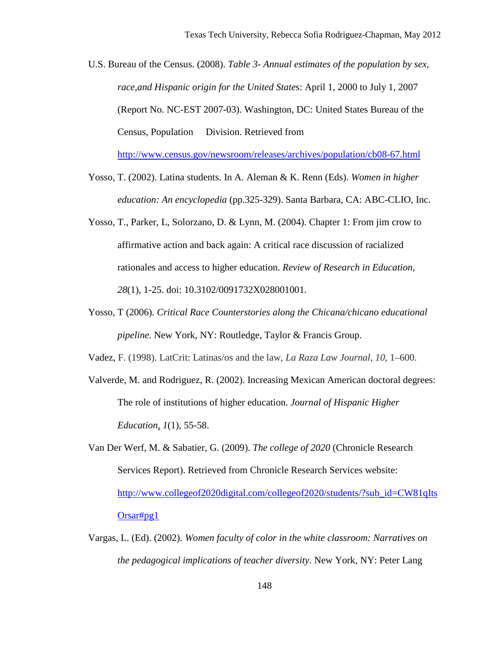U.S. Bureau of the Census. (2008). *Table 3- Annual estimates of the population by sex, race,and Hispanic origin for the United State*s: April 1, 2000 to July 1, 2007 (Report No. NC-EST 2007-03). Washington, DC: United States Bureau of the Census, Population Division. Retrieved from

<http://www.census.gov/newsroom/releases/archives/population/cb08-67.html>

- Yosso, T. (2002). Latina students. In A. Aleman & K. Renn (Eds). *Women in higher education: An encyclopedia* (pp.325-329). Santa Barbara, CA: ABC-CLIO, Inc.
- Yosso, T., Parker, L, Solorzano, D. & Lynn, M. (2004). Chapter 1: From jim crow to affirmative action and back again: A critical race discussion of racialized rationales and access to higher education. *Review of Research in Education, 28*(1), 1-25. doi: 10.3102/0091732X028001001.
- Yosso, T (2006). *Critical Race Counterstories along the Chicana/chicano educational pipeline.* New York, NY: Routledge, Taylor & Francis Group.

Vadez, F. (1998). LatCrit: Latinas/os and the law, *La Raza Law Journal, 10,* 1–600.

- Valverde, M. and Rodriguez, R. (2002). Increasing Mexican American doctoral degrees: The role of institutions of higher education. *Journal of Hispanic Higher Education, 1*(1), 55-58.
- Van Der Werf, M. & Sabatier, G. (2009). *The college of 2020* (Chronicle Research Services Report). Retrieved from Chronicle Research Services website: [http://www.collegeof2020digital.com/collegeof2020/students/?sub\\_id=CW81qIts](http://www.collegeof2020digital.com/collegeof2020/students/?sub_id=CW81qItsOrsar#pg1) [Orsar#pg1](http://www.collegeof2020digital.com/collegeof2020/students/?sub_id=CW81qItsOrsar#pg1)
- Vargas, L. (Ed). (2002). *Women faculty of color in the white classroom: Narratives on the pedagogical implications of teacher diversity*. New York, NY: Peter Lang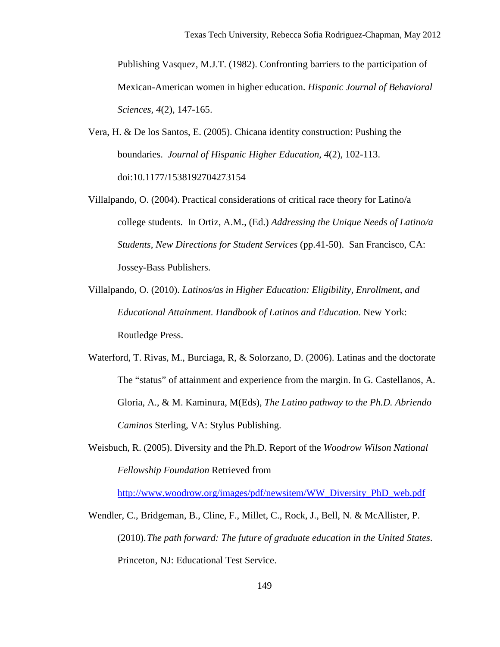Publishing Vasquez, M.J.T. (1982). Confronting barriers to the participation of Mexican-American women in higher education. *Hispanic Journal of Behavioral Sciences, 4*(2), 147-165.

- Vera, H. & De los Santos, E. (2005). Chicana identity construction: Pushing the boundaries. *Journal of Hispanic Higher Education*, *4*(2), 102-113. doi:10.1177/1538192704273154
- Villalpando, O. (2004). Practical considerations of critical race theory for Latino/a college students. In Ortiz, A.M., (Ed.) *Addressing the Unique Needs of Latino/a Students, New Directions for Student Services* (pp.41-50). San Francisco, CA: Jossey-Bass Publishers.
- Villalpando, O. (2010). *Latinos/as in Higher Education: Eligibility, Enrollment, and Educational Attainment. Handbook of Latinos and Education.* New York: Routledge Press.
- Waterford, T. Rivas, M., Burciaga, R, & Solorzano, D. (2006). Latinas and the doctorate The "status" of attainment and experience from the margin. In G. Castellanos, A. Gloria, A., & M. Kaminura, M(Eds), *The Latino pathway to the Ph.D. Abriendo Caminos* Sterling, VA: Stylus Publishing.
- Weisbuch, R. (2005). Diversity and the Ph.D. Report of the *Woodrow Wilson National Fellowship Foundation* Retrieved from

[http://www.woodrow.org/images/pdf/newsitem/WW\\_Diversity\\_PhD\\_web.pdf](http://www.woodrow.org/images/pdf/newsitem/WW_Diversity_PhD_web.pdf) 

Wendler, C., Bridgeman, B., Cline, F., Millet, C., Rock, J., Bell, N. & McAllister, P. (2010). *The path forward: The future of graduate education in the United States*. Princeton, NJ: Educational Test Service.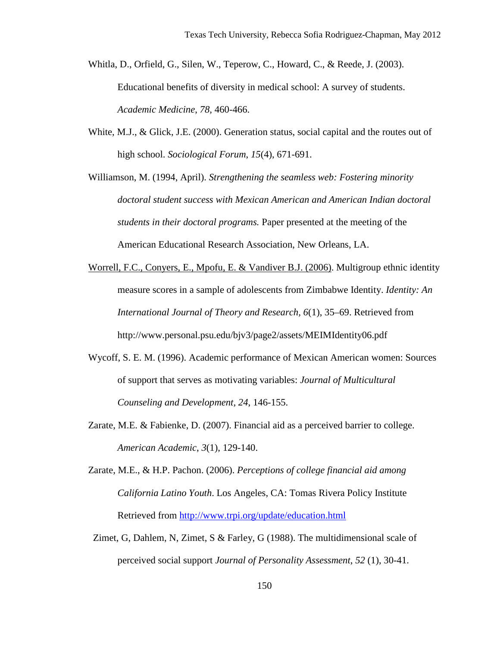- Whitla, D., Orfield, G., Silen, W., Teperow, C., Howard, C., & Reede, J. (2003). Educational benefits of diversity in medical school: A survey of students. *Academic Medicine*, *78,* 460-466.
- White, M.J., & Glick, J.E. (2000). Generation status, social capital and the routes out of high school. *Sociological Forum*, *15*(4), 671-691.

Williamson, M. (1994, April). *Strengthening the seamless web: Fostering minority doctoral student success with Mexican American and American Indian doctoral students in their doctoral programs.* Paper presented at the meeting of the American Educational Research Association, New Orleans, LA.

- [Worrell, F.C., Conyers, E., Mpofu, E. & Vandiver B.J. \(2006\).](http://www.sciencedirect.com/science/article/pii/S0147176707000235#bbib42) Multigroup ethnic identity measure scores in a sample of adolescents from Zimbabwe Identity. *Identity: An International Journal of Theory and Research, 6*(1), 35–69. Retrieved from http://www.personal.psu.edu/bjv3/page2/assets/MEIMIdentity06.pdf
- Wycoff, S. E. M. (1996). Academic performance of Mexican American women: Sources of support that serves as motivating variables: *Journal of Multicultural Counseling and Development, 24*, 146-155.
- Zarate, M.E. & Fabienke, D. (2007). Financial aid as a perceived barrier to college. *American Academic*, *3*(1), 129-140.
- Zarate, M.E., & H.P. Pachon. (2006). *Perceptions of college financial aid among California Latino Youth*. Los Angeles, CA: Tomas Rivera Policy Institute Retrieved from<http://www.trpi.org/update/education.html>
- Zimet, G, Dahlem, N, Zimet, S & Farley, G (1988). The multidimensional scale of perceived social support *Journal of Personality Assessment*, *52* (1), 30-41.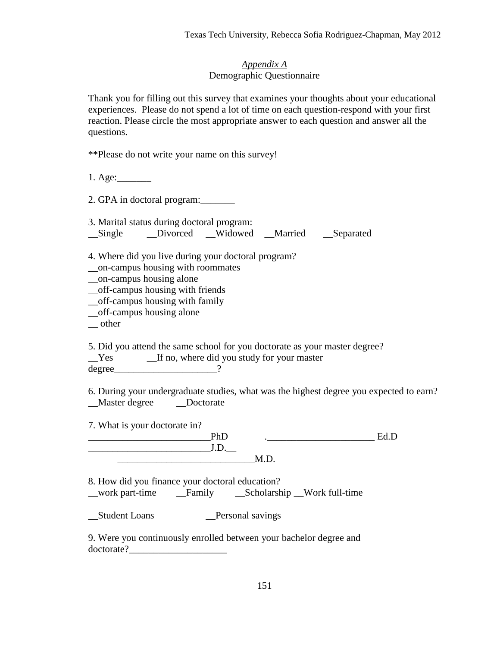#### *Appendix A* Demographic Questionnaire

Thank you for filling out this survey that examines your thoughts about your educational experiences. Please do not spend a lot of time on each question-respond with your first reaction. Please circle the most appropriate answer to each question and answer all the questions.

| **Please do not write your name on this survey! |  |  |  |
|-------------------------------------------------|--|--|--|
|                                                 |  |  |  |

1. Age:\_\_\_\_\_\_\_

2. GPA in doctoral program:

3. Marital status during doctoral program: Single Divorced Widowed Married Separated

4. Where did you live during your doctoral program? \_\_on-campus housing with roommates

\_\_on-campus housing alone

\_\_off-campus housing with friends

\_\_off-campus housing with family

\_\_off-campus housing alone

\_\_ other

5. Did you attend the same school for you doctorate as your master degree? \_\_Yes \_\_If no, where did you study for your master

degree 2

6. During your undergraduate studies, what was the highest degree you expected to earn?  $\Box$  Doctorate

7. What is your doctorate in?

 $\underline{\text{PhD}}$  .  $\underline{\text{Ed.D}}$  $J.D.$  $M.D.$ 

8. How did you finance your doctoral education? \_\_work part-time \_\_Family \_\_Scholarship \_\_Work full-time

Student Loans Personal savings

9. Were you continuously enrolled between your bachelor degree and doctorate?\_\_\_\_\_\_\_\_\_\_\_\_\_\_\_\_\_\_\_\_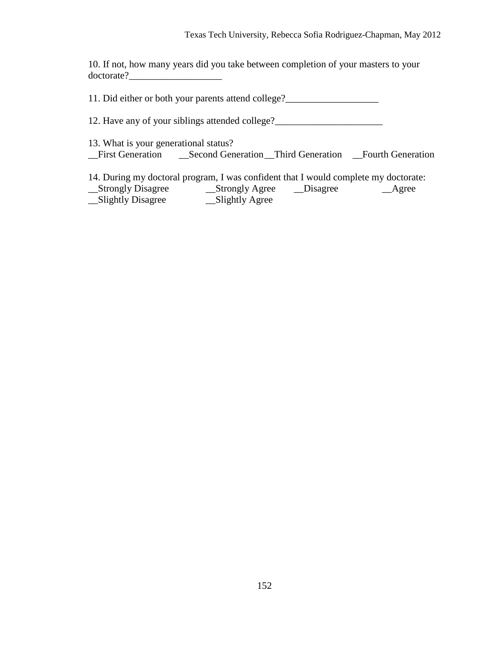10. If not, how many years did you take between completion of your masters to your doctorate?

11. Did either or both your parents attend college?

12. Have any of your siblings attended college?

13. What is your generational status? \_\_First Generation \_\_Second Generation \_\_Third Generation \_\_Fourth Generation

14. During my doctoral program, I was confident that I would complete my doctorate:<br>Strongly Disagree Bisagree Agree

\_\_Strongly Disagree \_\_Strongly Agree \_\_Disagree \_\_Agree \_\_Slightly Disagree \_\_Slightly Agree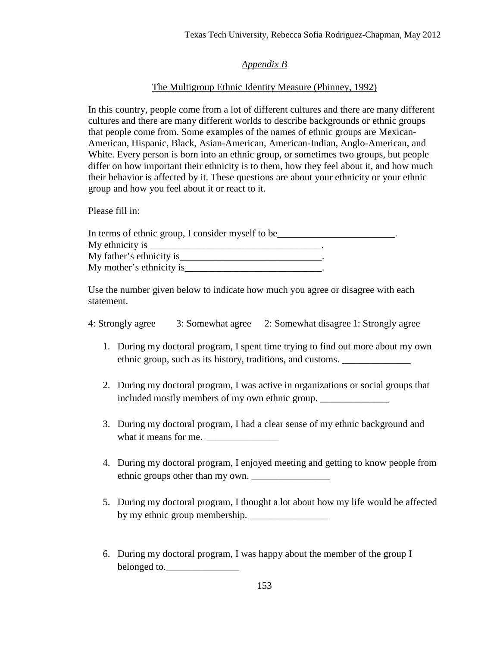### *Appendix B*

### The Multigroup Ethnic Identity Measure (Phinney, 1992)

In this country, people come from a lot of different cultures and there are many different cultures and there are many different worlds to describe backgrounds or ethnic groups that people come from. Some examples of the names of ethnic groups are Mexican-American, Hispanic, Black, Asian-American, American-Indian, Anglo-American, and White. Every person is born into an ethnic group, or sometimes two groups, but people differ on how important their ethnicity is to them, how they feel about it, and how much their behavior is affected by it. These questions are about your ethnicity or your ethnic group and how you feel about it or react to it.

Please fill in:

| In terms of ethnic group, I consider myself to be |  |
|---------------------------------------------------|--|
| My ethnicity is                                   |  |
| My father's ethnicity is                          |  |
| My mother's ethnicity is                          |  |

Use the number given below to indicate how much you agree or disagree with each statement.

| 4: Strongly agree | 3: Somewhat agree 2: Somewhat disagree 1: Strongly agree |
|-------------------|----------------------------------------------------------|
|-------------------|----------------------------------------------------------|

- 1. During my doctoral program, I spent time trying to find out more about my own ethnic group, such as its history, traditions, and customs.
- 2. During my doctoral program, I was active in organizations or social groups that included mostly members of my own ethnic group.
- 3. During my doctoral program, I had a clear sense of my ethnic background and what it means for me.
- 4. During my doctoral program, I enjoyed meeting and getting to know people from ethnic groups other than my own.
- 5. During my doctoral program, I thought a lot about how my life would be affected by my ethnic group membership. \_\_\_\_\_\_\_\_\_\_\_\_\_\_\_\_
- 6. During my doctoral program, I was happy about the member of the group I belonged to.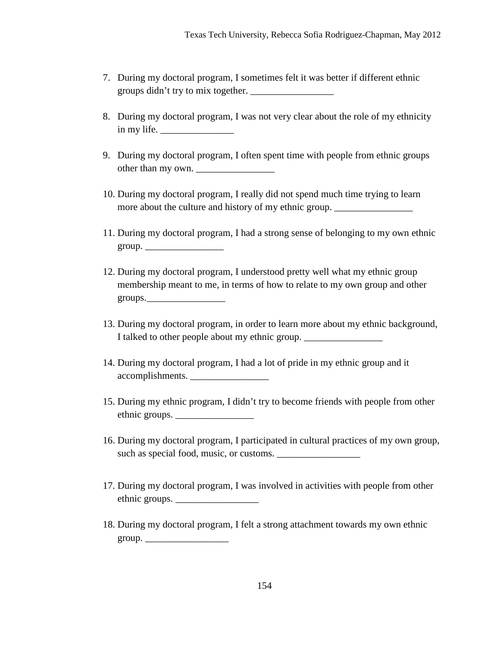- 7. During my doctoral program, I sometimes felt it was better if different ethnic groups didn't try to mix together. \_\_\_\_\_\_\_\_\_\_\_\_\_\_\_\_\_
- 8. During my doctoral program, I was not very clear about the role of my ethnicity in my life.
- 9. During my doctoral program, I often spent time with people from ethnic groups other than my own.
- 10. During my doctoral program, I really did not spend much time trying to learn more about the culture and history of my ethnic group.
- 11. During my doctoral program, I had a strong sense of belonging to my own ethnic  $group.$
- 12. During my doctoral program, I understood pretty well what my ethnic group membership meant to me, in terms of how to relate to my own group and other groups. \_\_\_\_\_\_\_\_\_\_\_\_\_\_\_\_
- 13. During my doctoral program, in order to learn more about my ethnic background, I talked to other people about my ethnic group.
- 14. During my doctoral program, I had a lot of pride in my ethnic group and it accomplishments.
- 15. During my ethnic program, I didn't try to become friends with people from other ethnic groups. \_\_\_\_\_\_\_\_\_\_\_\_\_\_\_\_
- 16. During my doctoral program, I participated in cultural practices of my own group, such as special food, music, or customs.
- 17. During my doctoral program, I was involved in activities with people from other ethnic groups.
- 18. During my doctoral program, I felt a strong attachment towards my own ethnic  $group.$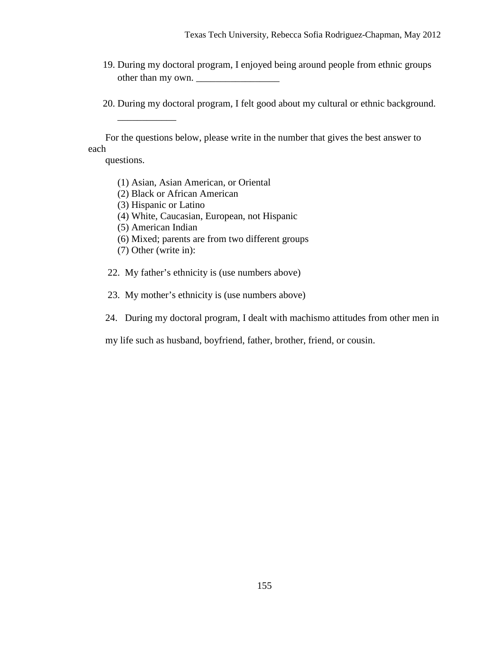- 19. During my doctoral program, I enjoyed being around people from ethnic groups other than my own.
- 20. During my doctoral program, I felt good about my cultural or ethnic background.

 For the questions below, please write in the number that gives the best answer to each

questions.

 $\frac{1}{2}$  ,  $\frac{1}{2}$  ,  $\frac{1}{2}$  ,  $\frac{1}{2}$  ,  $\frac{1}{2}$ 

- (1) Asian, Asian American, or Oriental
- (2) Black or African American
- (3) Hispanic or Latino
- (4) White, Caucasian, European, not Hispanic
- (5) American Indian
- (6) Mixed; parents are from two different groups
- (7) Other (write in):
- 22. My father's ethnicity is (use numbers above)
- 23. My mother's ethnicity is (use numbers above)
- 24. During my doctoral program, I dealt with machismo attitudes from other men in

my life such as husband, boyfriend, father, brother, friend, or cousin.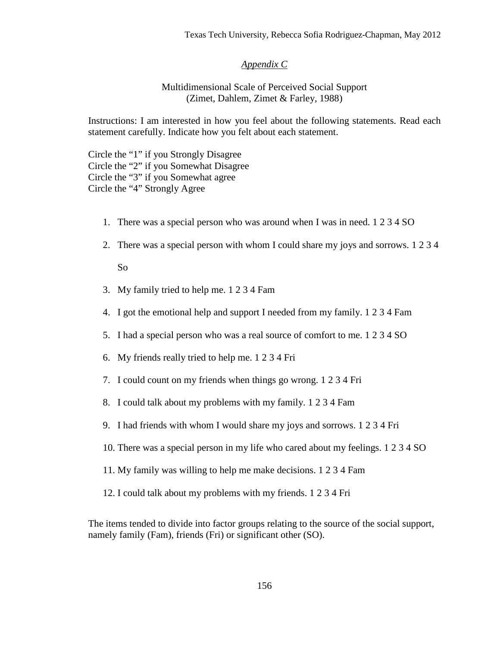#### *Appendix C*

#### Multidimensional Scale of Perceived Social Support (Zimet, Dahlem, Zimet & Farley, 1988)

Instructions: I am interested in how you feel about the following statements. Read each statement carefully. Indicate how you felt about each statement.

Circle the "1" if you Strongly Disagree Circle the "2" if you Somewhat Disagree Circle the "3" if you Somewhat agree Circle the "4" Strongly Agree

- 1. There was a special person who was around when I was in need. 1 2 3 4 SO
- 2. There was a special person with whom I could share my joys and sorrows. 1 2 3 4

So

- 3. My family tried to help me. 1 2 3 4 Fam
- 4. I got the emotional help and support I needed from my family. 1 2 3 4 Fam
- 5. I had a special person who was a real source of comfort to me. 1 2 3 4 SO
- 6. My friends really tried to help me. 1 2 3 4 Fri
- 7. I could count on my friends when things go wrong. 1 2 3 4 Fri
- 8. I could talk about my problems with my family. 1 2 3 4 Fam
- 9. I had friends with whom I would share my joys and sorrows. 1 2 3 4 Fri
- 10. There was a special person in my life who cared about my feelings. 1 2 3 4 SO
- 11. My family was willing to help me make decisions. 1 2 3 4 Fam
- 12. I could talk about my problems with my friends. 1 2 3 4 Fri

The items tended to divide into factor groups relating to the source of the social support, namely family (Fam), friends (Fri) or significant other (SO).